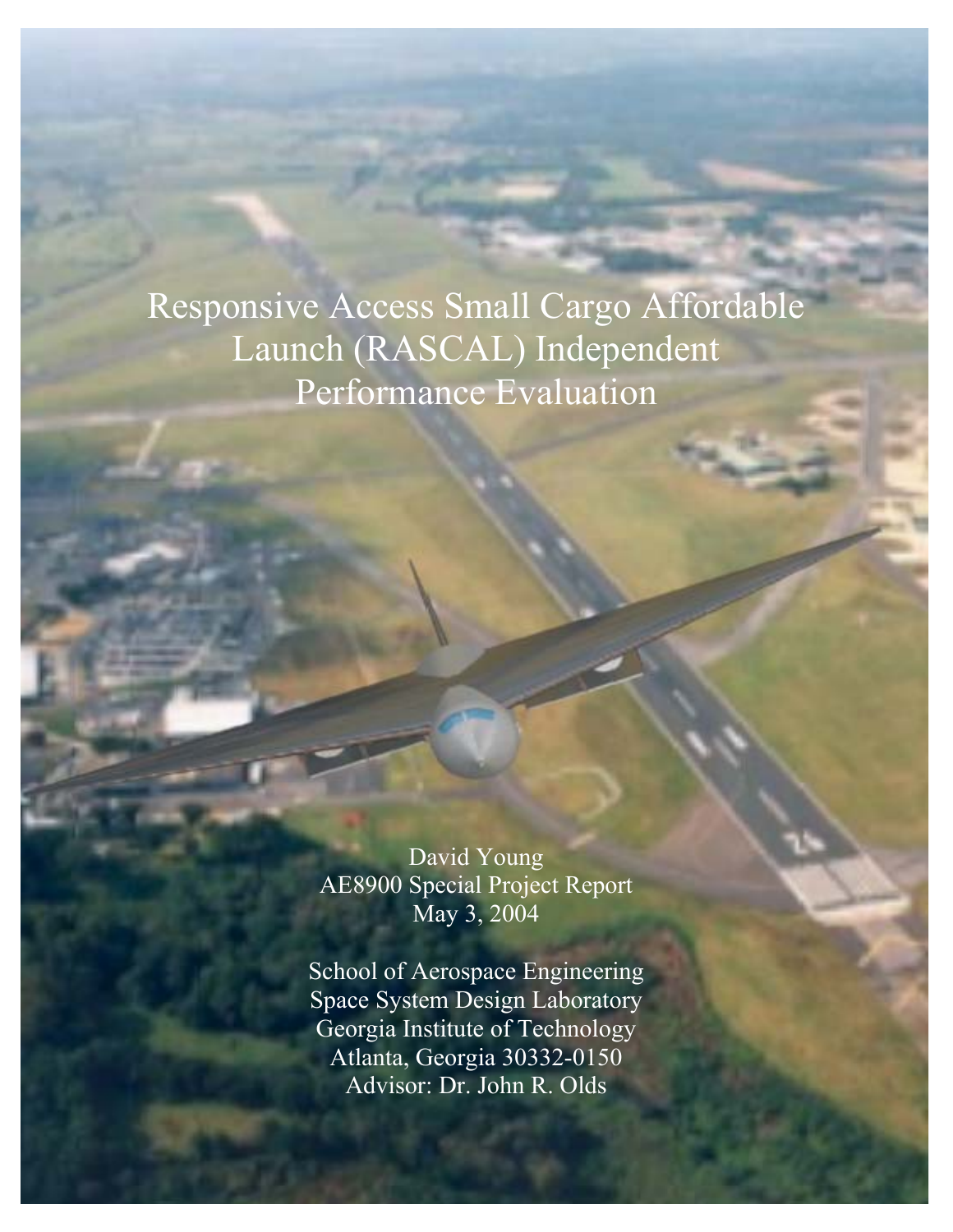# Responsive Access Small Cargo Affordable Launch (RASCAL) Independent Performance Evaluation

David Young AE8900 Special Project Report May 3, 2004

School of Aerospace Engineering Space System Design Laboratory Georgia Institute of Technology Atlanta, Georgia 30332-0150 Advisor: Dr. John R. Olds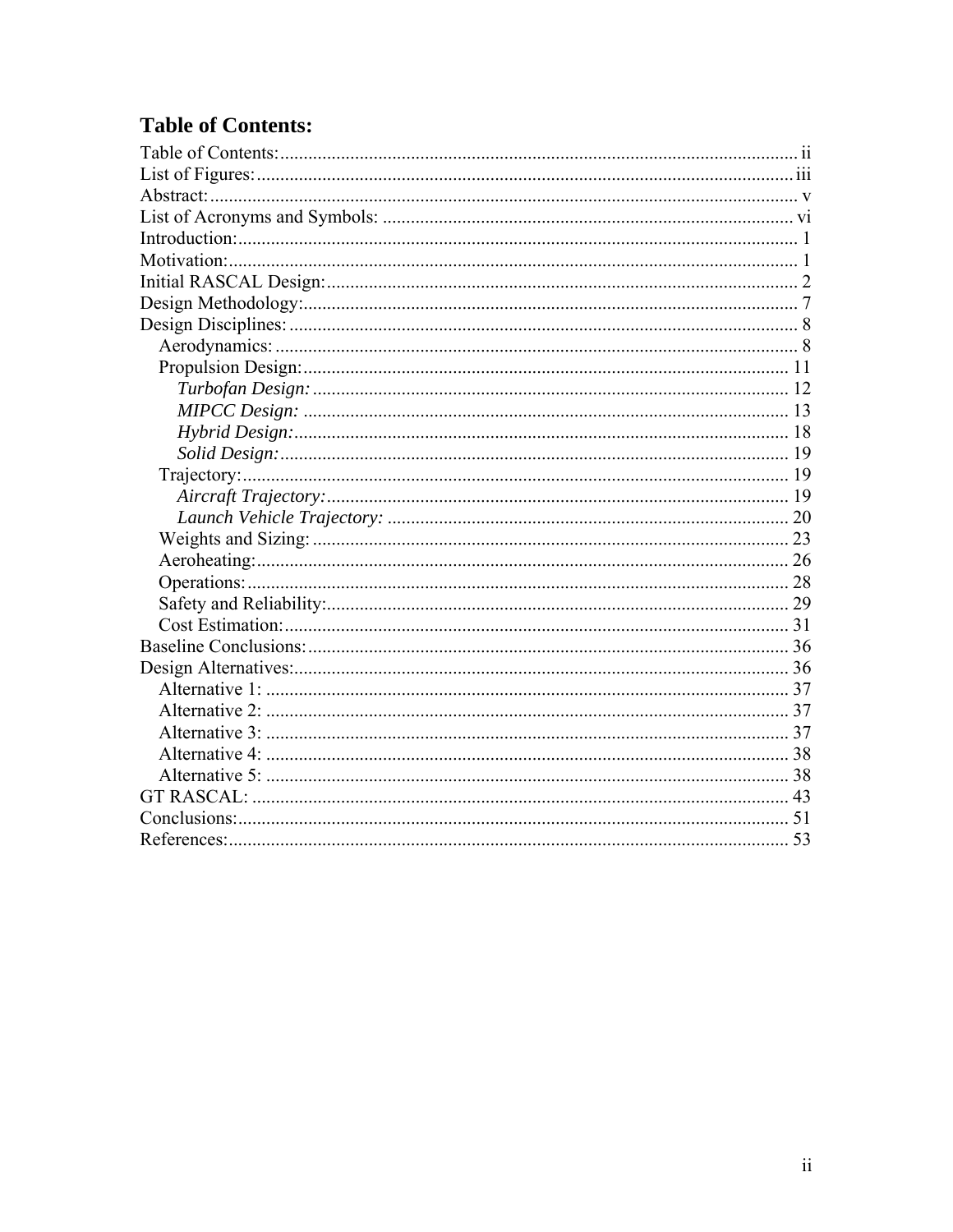# **Table of Contents:**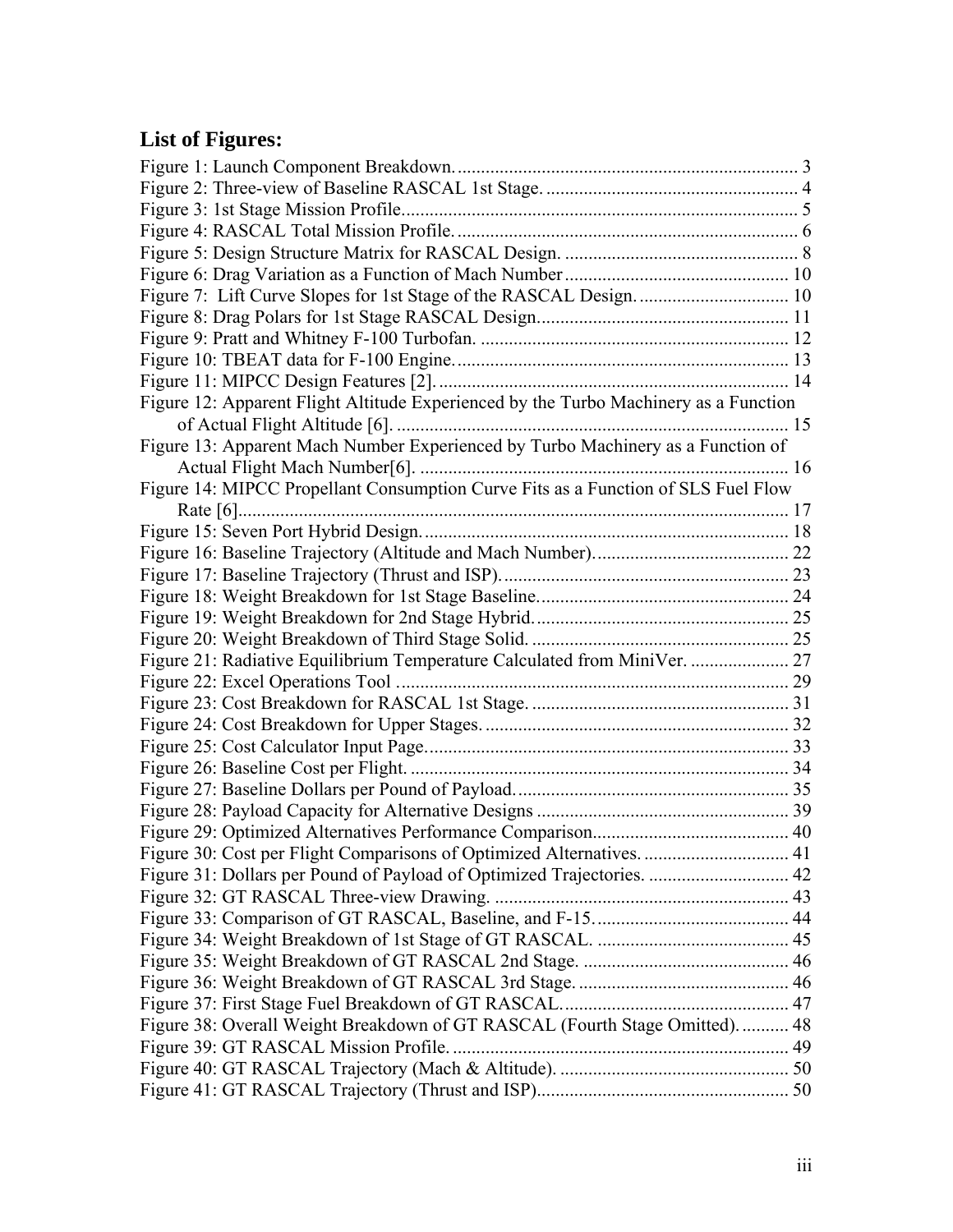# **List of Figures:**

| Figure 12: Apparent Flight Altitude Experienced by the Turbo Machinery as a Function |  |
|--------------------------------------------------------------------------------------|--|
|                                                                                      |  |
| Figure 13: Apparent Mach Number Experienced by Turbo Machinery as a Function of      |  |
|                                                                                      |  |
| Figure 14: MIPCC Propellant Consumption Curve Fits as a Function of SLS Fuel Flow    |  |
|                                                                                      |  |
|                                                                                      |  |
|                                                                                      |  |
|                                                                                      |  |
|                                                                                      |  |
|                                                                                      |  |
|                                                                                      |  |
| Figure 21: Radiative Equilibrium Temperature Calculated from MiniVer.  27            |  |
|                                                                                      |  |
|                                                                                      |  |
|                                                                                      |  |
|                                                                                      |  |
|                                                                                      |  |
|                                                                                      |  |
|                                                                                      |  |
|                                                                                      |  |
| Figure 30: Cost per Flight Comparisons of Optimized Alternatives.  41                |  |
|                                                                                      |  |
|                                                                                      |  |
|                                                                                      |  |
|                                                                                      |  |
|                                                                                      |  |
|                                                                                      |  |
|                                                                                      |  |
| Figure 38: Overall Weight Breakdown of GT RASCAL (Fourth Stage Omitted).  48         |  |
|                                                                                      |  |
|                                                                                      |  |
|                                                                                      |  |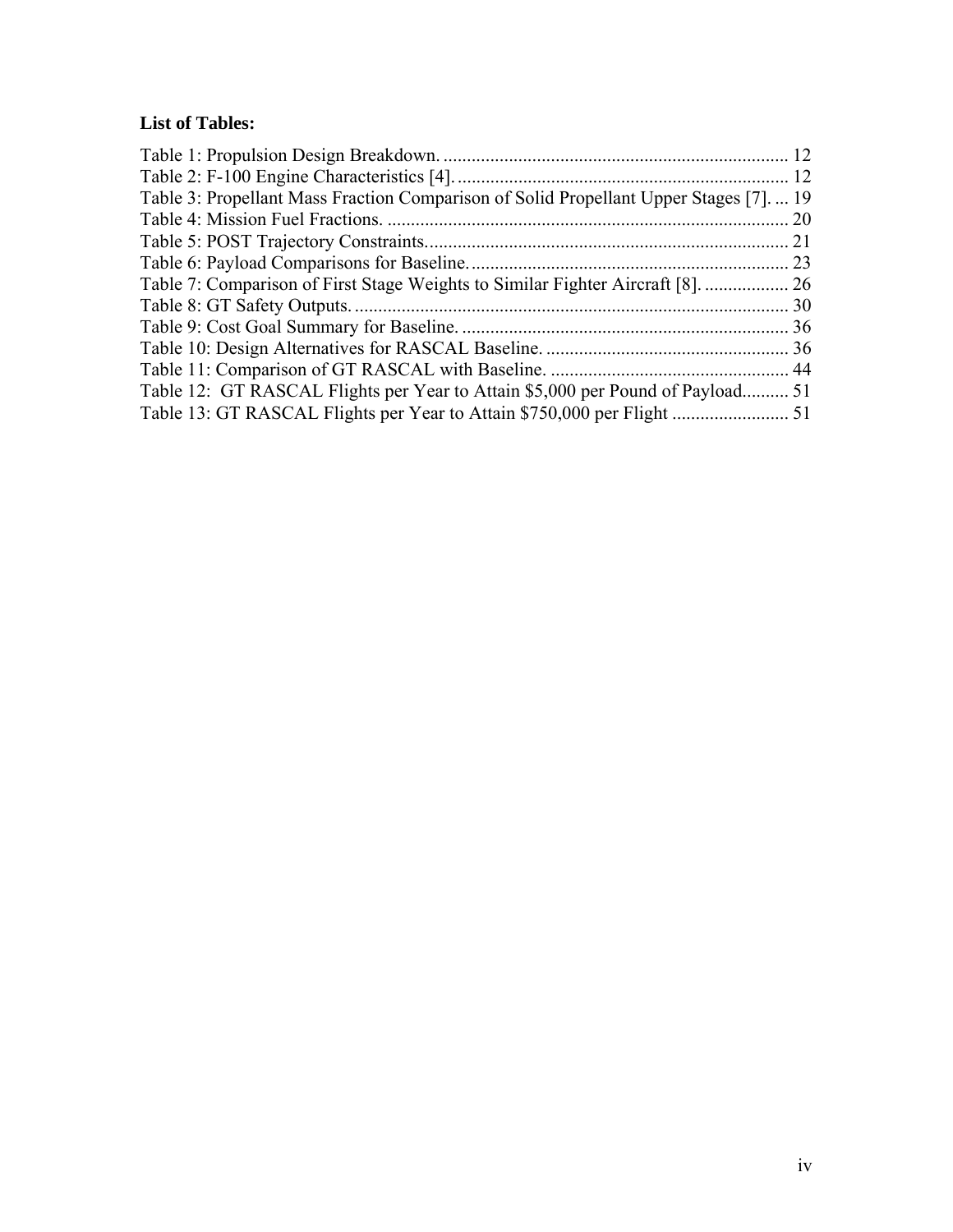## **List of Tables:**

|                                                                                      | 12   |
|--------------------------------------------------------------------------------------|------|
|                                                                                      |      |
| Table 3: Propellant Mass Fraction Comparison of Solid Propellant Upper Stages [7] 19 |      |
|                                                                                      | 20   |
|                                                                                      | 21   |
|                                                                                      | . 23 |
|                                                                                      |      |
|                                                                                      | 30   |
|                                                                                      |      |
|                                                                                      |      |
|                                                                                      |      |
| Table 12: GT RASCAL Flights per Year to Attain \$5,000 per Pound of Payload 51       |      |
|                                                                                      |      |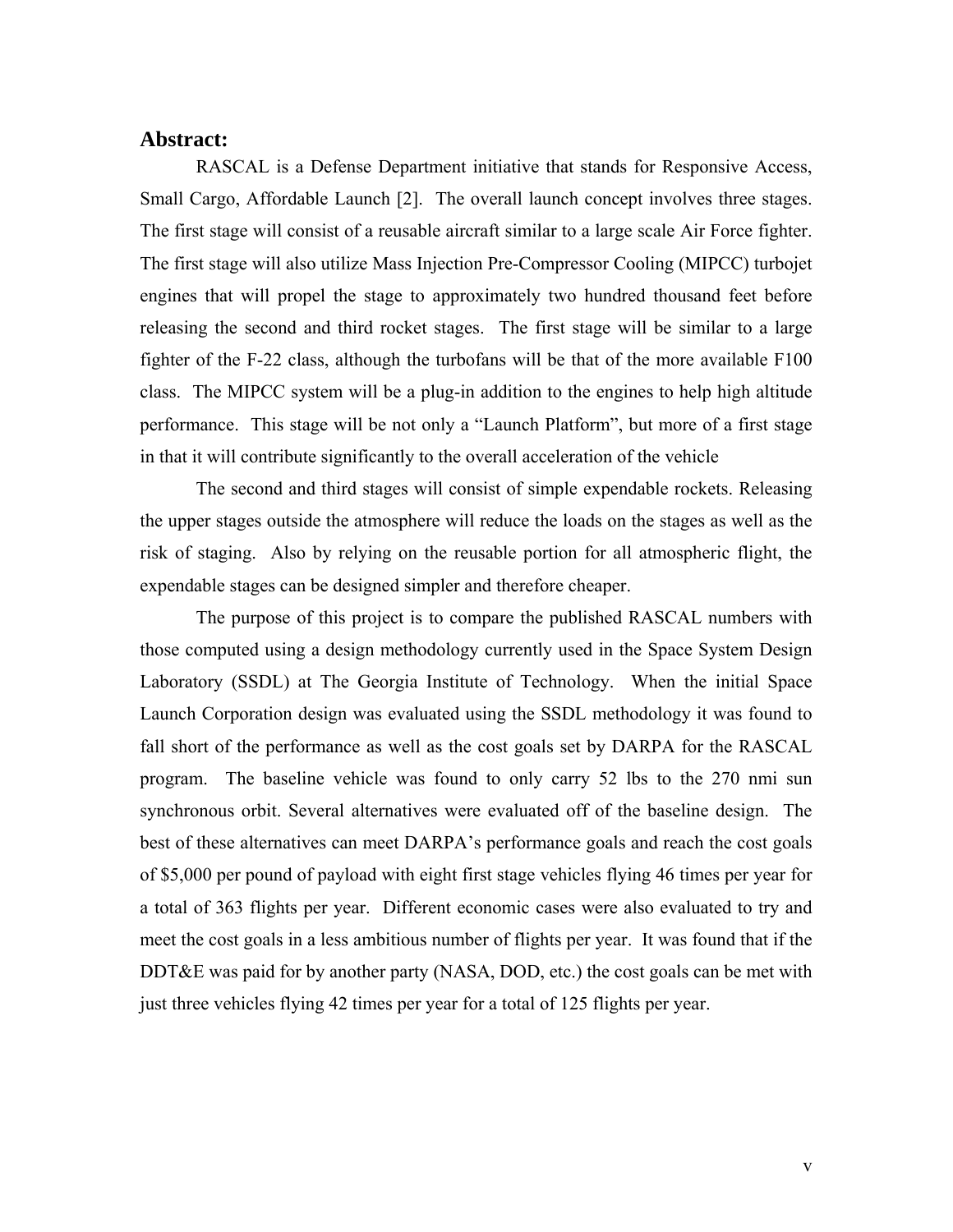#### **Abstract:**

 RASCAL is a Defense Department initiative that stands for Responsive Access, Small Cargo, Affordable Launch [2]. The overall launch concept involves three stages. The first stage will consist of a reusable aircraft similar to a large scale Air Force fighter. The first stage will also utilize Mass Injection Pre-Compressor Cooling (MIPCC) turbojet engines that will propel the stage to approximately two hundred thousand feet before releasing the second and third rocket stages. The first stage will be similar to a large fighter of the F-22 class, although the turbofans will be that of the more available F100 class. The MIPCC system will be a plug-in addition to the engines to help high altitude performance. This stage will be not only a "Launch Platform", but more of a first stage in that it will contribute significantly to the overall acceleration of the vehicle

The second and third stages will consist of simple expendable rockets. Releasing the upper stages outside the atmosphere will reduce the loads on the stages as well as the risk of staging. Also by relying on the reusable portion for all atmospheric flight, the expendable stages can be designed simpler and therefore cheaper.

The purpose of this project is to compare the published RASCAL numbers with those computed using a design methodology currently used in the Space System Design Laboratory (SSDL) at The Georgia Institute of Technology. When the initial Space Launch Corporation design was evaluated using the SSDL methodology it was found to fall short of the performance as well as the cost goals set by DARPA for the RASCAL program. The baseline vehicle was found to only carry 52 lbs to the 270 nmi sun synchronous orbit. Several alternatives were evaluated off of the baseline design. The best of these alternatives can meet DARPA's performance goals and reach the cost goals of \$5,000 per pound of payload with eight first stage vehicles flying 46 times per year for a total of 363 flights per year. Different economic cases were also evaluated to try and meet the cost goals in a less ambitious number of flights per year. It was found that if the DDT&E was paid for by another party (NASA, DOD, etc.) the cost goals can be met with just three vehicles flying 42 times per year for a total of 125 flights per year.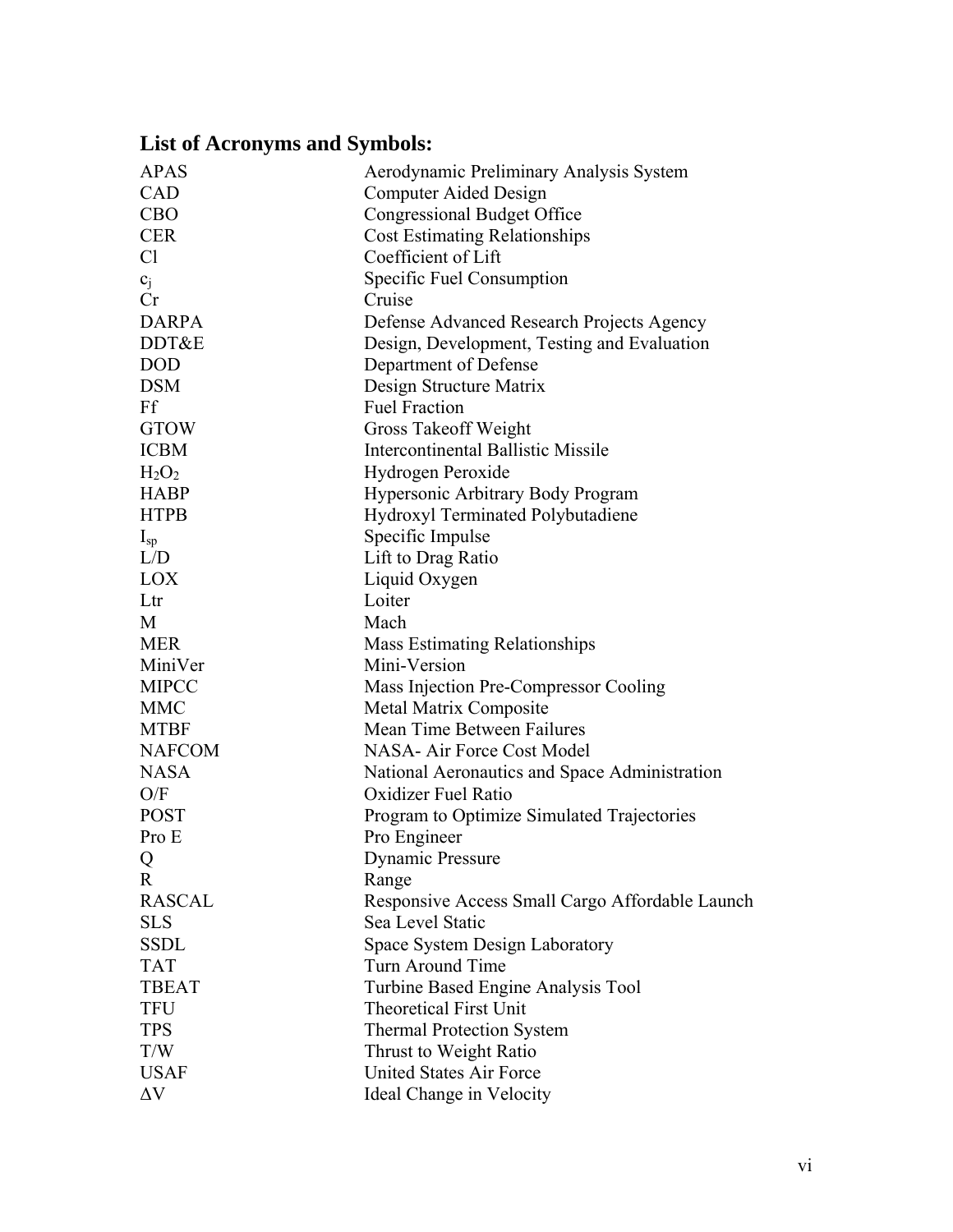# **List of Acronyms and Symbols:**

| <b>APAS</b>    | Aerodynamic Preliminary Analysis System         |
|----------------|-------------------------------------------------|
| CAD            | <b>Computer Aided Design</b>                    |
| <b>CBO</b>     | <b>Congressional Budget Office</b>              |
| <b>CER</b>     | <b>Cost Estimating Relationships</b>            |
| C <sub>1</sub> | Coefficient of Lift                             |
| $c_j$          | Specific Fuel Consumption                       |
| Cr             | Cruise                                          |
| <b>DARPA</b>   | Defense Advanced Research Projects Agency       |
| DDT&E          | Design, Development, Testing and Evaluation     |
| <b>DOD</b>     | Department of Defense                           |
| <b>DSM</b>     | Design Structure Matrix                         |
| Ff             | <b>Fuel Fraction</b>                            |
| <b>GTOW</b>    | <b>Gross Takeoff Weight</b>                     |
| <b>ICBM</b>    | Intercontinental Ballistic Missile              |
| $H_2O_2$       | Hydrogen Peroxide                               |
| <b>HABP</b>    | Hypersonic Arbitrary Body Program               |
| <b>HTPB</b>    | Hydroxyl Terminated Polybutadiene               |
| $l_{sp}$       | Specific Impulse                                |
| L/D            | Lift to Drag Ratio                              |
| LOX            | Liquid Oxygen                                   |
| Ltr            | Loiter                                          |
| M              | Mach                                            |
| <b>MER</b>     | <b>Mass Estimating Relationships</b>            |
| MiniVer        | Mini-Version                                    |
| <b>MIPCC</b>   | Mass Injection Pre-Compressor Cooling           |
| <b>MMC</b>     | <b>Metal Matrix Composite</b>                   |
| <b>MTBF</b>    | Mean Time Between Failures                      |
| <b>NAFCOM</b>  | NASA-Air Force Cost Model                       |
| <b>NASA</b>    | National Aeronautics and Space Administration   |
| O/F            | Oxidizer Fuel Ratio                             |
| <b>POST</b>    | Program to Optimize Simulated Trajectories      |
| Pro E          | Pro Engineer                                    |
| Q              | <b>Dynamic Pressure</b>                         |
| R              | Range                                           |
| <b>RASCAL</b>  | Responsive Access Small Cargo Affordable Launch |
| <b>SLS</b>     | Sea Level Static                                |
| <b>SSDL</b>    | Space System Design Laboratory                  |
| <b>TAT</b>     | Turn Around Time                                |
| <b>TBEAT</b>   | Turbine Based Engine Analysis Tool              |
| <b>TFU</b>     | <b>Theoretical First Unit</b>                   |
| <b>TPS</b>     | <b>Thermal Protection System</b>                |
| T/W            | Thrust to Weight Ratio                          |
| <b>USAF</b>    | <b>United States Air Force</b>                  |
| $\Delta V$     | Ideal Change in Velocity                        |
|                |                                                 |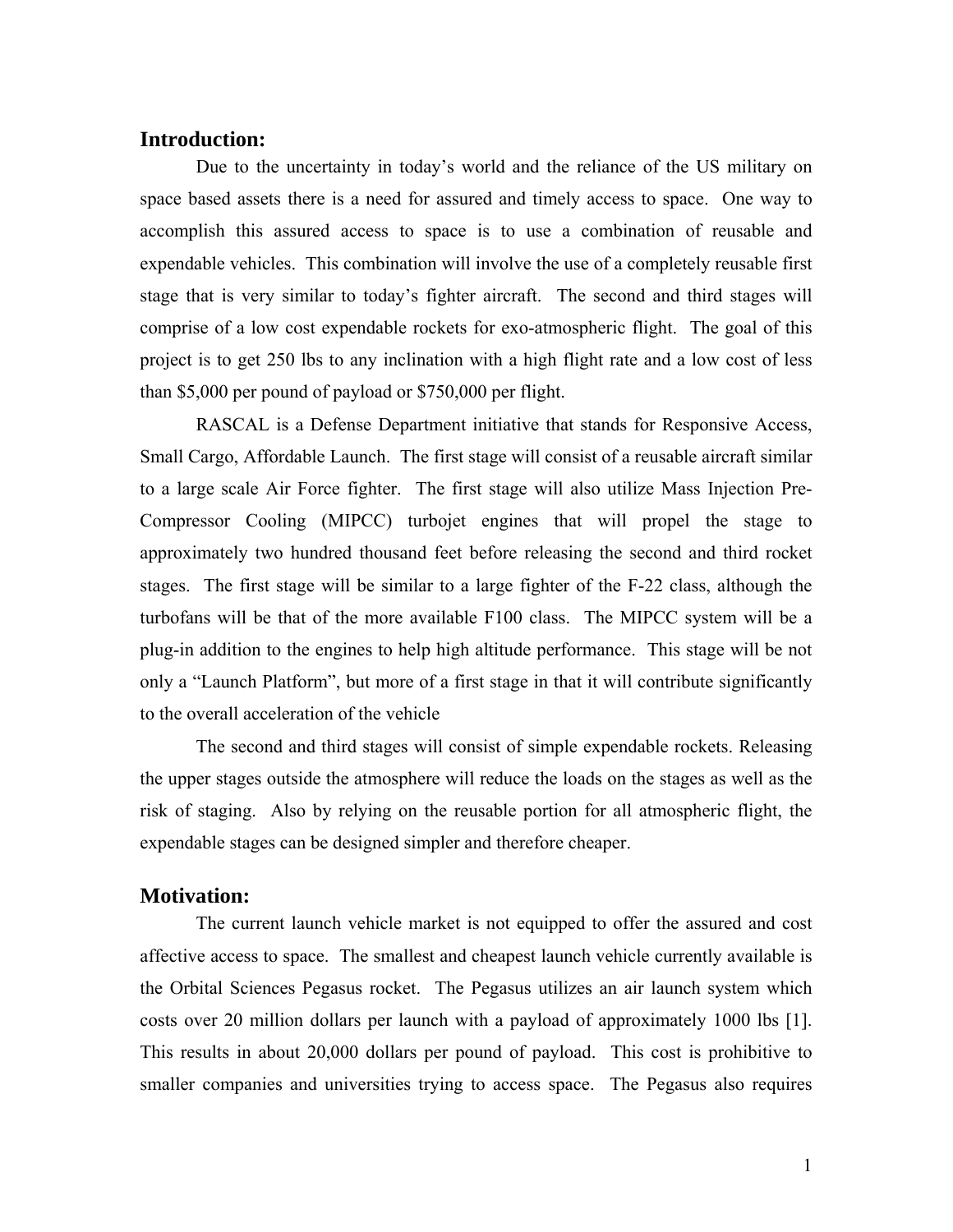#### **Introduction:**

 Due to the uncertainty in today's world and the reliance of the US military on space based assets there is a need for assured and timely access to space. One way to accomplish this assured access to space is to use a combination of reusable and expendable vehicles. This combination will involve the use of a completely reusable first stage that is very similar to today's fighter aircraft. The second and third stages will comprise of a low cost expendable rockets for exo-atmospheric flight. The goal of this project is to get 250 lbs to any inclination with a high flight rate and a low cost of less than \$5,000 per pound of payload or \$750,000 per flight.

RASCAL is a Defense Department initiative that stands for Responsive Access, Small Cargo, Affordable Launch. The first stage will consist of a reusable aircraft similar to a large scale Air Force fighter. The first stage will also utilize Mass Injection Pre-Compressor Cooling (MIPCC) turbojet engines that will propel the stage to approximately two hundred thousand feet before releasing the second and third rocket stages. The first stage will be similar to a large fighter of the F-22 class, although the turbofans will be that of the more available F100 class. The MIPCC system will be a plug-in addition to the engines to help high altitude performance. This stage will be not only a "Launch Platform", but more of a first stage in that it will contribute significantly to the overall acceleration of the vehicle

The second and third stages will consist of simple expendable rockets. Releasing the upper stages outside the atmosphere will reduce the loads on the stages as well as the risk of staging. Also by relying on the reusable portion for all atmospheric flight, the expendable stages can be designed simpler and therefore cheaper.

#### **Motivation:**

 The current launch vehicle market is not equipped to offer the assured and cost affective access to space. The smallest and cheapest launch vehicle currently available is the Orbital Sciences Pegasus rocket. The Pegasus utilizes an air launch system which costs over 20 million dollars per launch with a payload of approximately 1000 lbs [1]. This results in about 20,000 dollars per pound of payload. This cost is prohibitive to smaller companies and universities trying to access space. The Pegasus also requires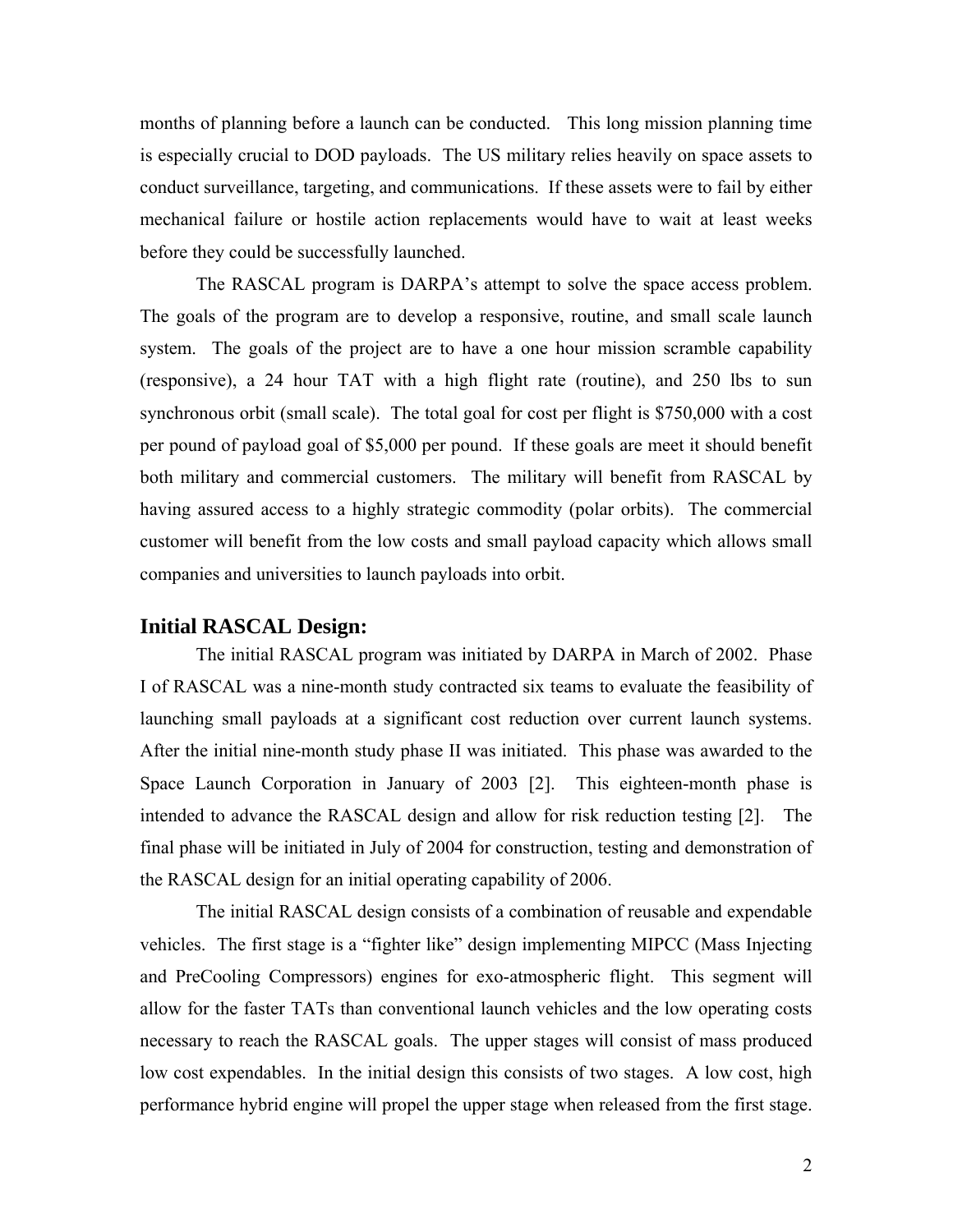months of planning before a launch can be conducted. This long mission planning time is especially crucial to DOD payloads. The US military relies heavily on space assets to conduct surveillance, targeting, and communications. If these assets were to fail by either mechanical failure or hostile action replacements would have to wait at least weeks before they could be successfully launched.

 The RASCAL program is DARPA's attempt to solve the space access problem. The goals of the program are to develop a responsive, routine, and small scale launch system. The goals of the project are to have a one hour mission scramble capability (responsive), a 24 hour TAT with a high flight rate (routine), and 250 lbs to sun synchronous orbit (small scale). The total goal for cost per flight is \$750,000 with a cost per pound of payload goal of \$5,000 per pound. If these goals are meet it should benefit both military and commercial customers. The military will benefit from RASCAL by having assured access to a highly strategic commodity (polar orbits). The commercial customer will benefit from the low costs and small payload capacity which allows small companies and universities to launch payloads into orbit.

#### **Initial RASCAL Design:**

 The initial RASCAL program was initiated by DARPA in March of 2002. Phase I of RASCAL was a nine-month study contracted six teams to evaluate the feasibility of launching small payloads at a significant cost reduction over current launch systems. After the initial nine-month study phase II was initiated. This phase was awarded to the Space Launch Corporation in January of 2003 [2]. This eighteen-month phase is intended to advance the RASCAL design and allow for risk reduction testing [2]. The final phase will be initiated in July of 2004 for construction, testing and demonstration of the RASCAL design for an initial operating capability of 2006.

 The initial RASCAL design consists of a combination of reusable and expendable vehicles. The first stage is a "fighter like" design implementing MIPCC (Mass Injecting and PreCooling Compressors) engines for exo-atmospheric flight. This segment will allow for the faster TATs than conventional launch vehicles and the low operating costs necessary to reach the RASCAL goals. The upper stages will consist of mass produced low cost expendables. In the initial design this consists of two stages. A low cost, high performance hybrid engine will propel the upper stage when released from the first stage.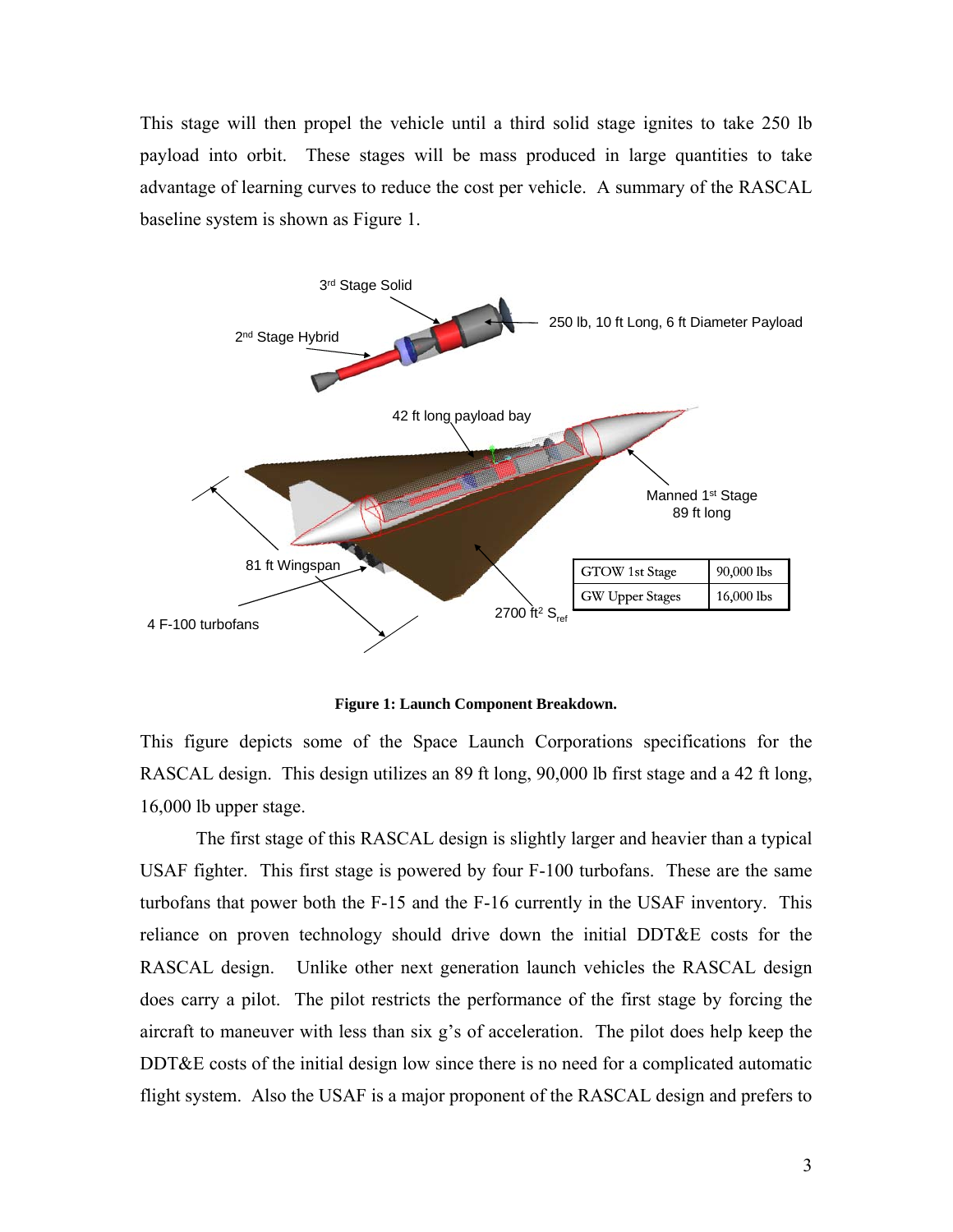This stage will then propel the vehicle until a third solid stage ignites to take 250 lb payload into orbit. These stages will be mass produced in large quantities to take advantage of learning curves to reduce the cost per vehicle. A summary of the RASCAL baseline system is shown as Figure 1.



**Figure 1: Launch Component Breakdown.** 

This figure depicts some of the Space Launch Corporations specifications for the RASCAL design. This design utilizes an 89 ft long, 90,000 lb first stage and a 42 ft long, 16,000 lb upper stage.

The first stage of this RASCAL design is slightly larger and heavier than a typical USAF fighter. This first stage is powered by four F-100 turbofans. These are the same turbofans that power both the F-15 and the F-16 currently in the USAF inventory. This reliance on proven technology should drive down the initial DDT&E costs for the RASCAL design. Unlike other next generation launch vehicles the RASCAL design does carry a pilot. The pilot restricts the performance of the first stage by forcing the aircraft to maneuver with less than six g's of acceleration. The pilot does help keep the DDT&E costs of the initial design low since there is no need for a complicated automatic flight system. Also the USAF is a major proponent of the RASCAL design and prefers to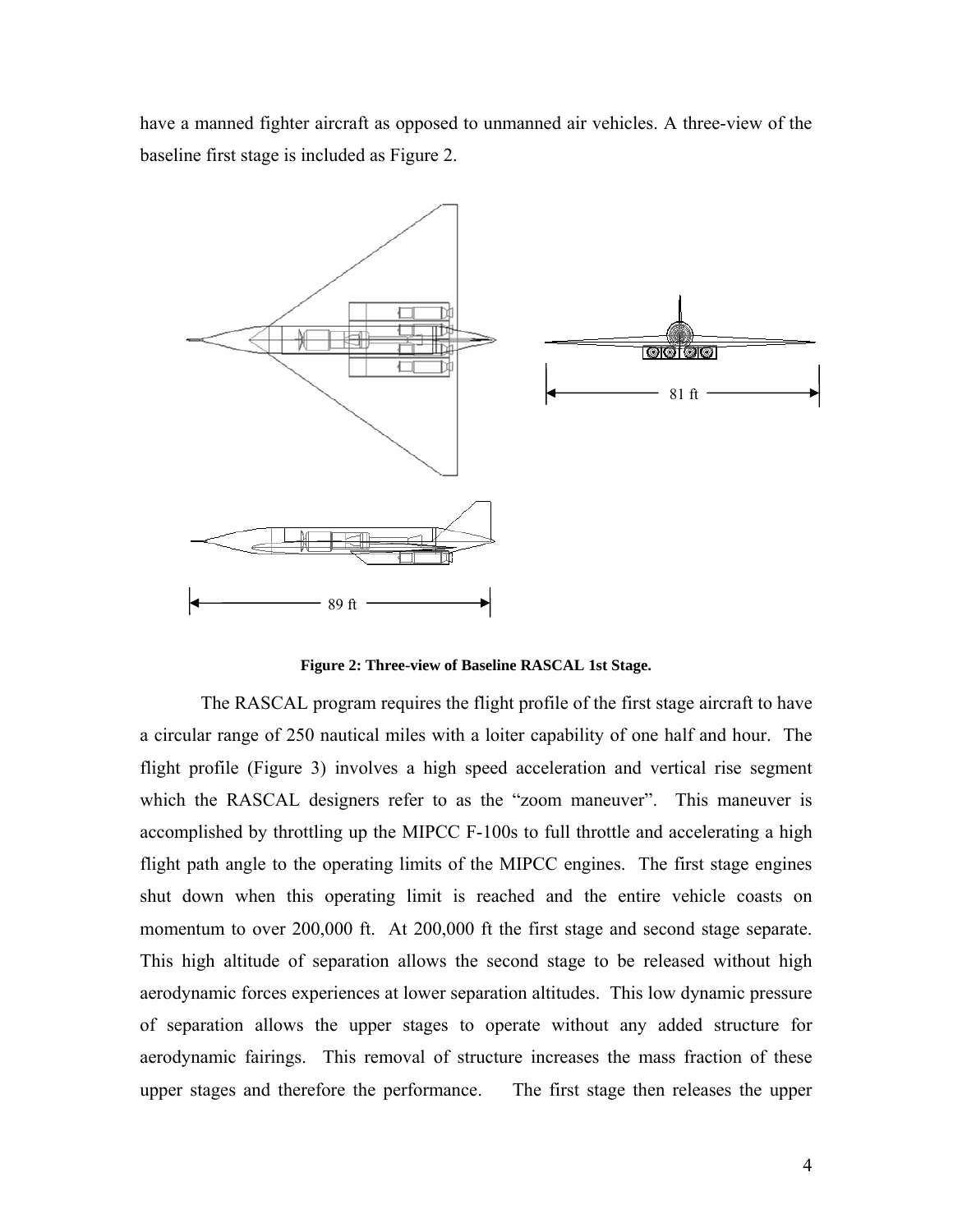have a manned fighter aircraft as opposed to unmanned air vehicles. A three-view of the baseline first stage is included as Figure 2.



**Figure 2: Three-view of Baseline RASCAL 1st Stage.** 

 The RASCAL program requires the flight profile of the first stage aircraft to have a circular range of 250 nautical miles with a loiter capability of one half and hour. The flight profile (Figure 3) involves a high speed acceleration and vertical rise segment which the RASCAL designers refer to as the "zoom maneuver". This maneuver is accomplished by throttling up the MIPCC F-100s to full throttle and accelerating a high flight path angle to the operating limits of the MIPCC engines. The first stage engines shut down when this operating limit is reached and the entire vehicle coasts on momentum to over 200,000 ft. At 200,000 ft the first stage and second stage separate. This high altitude of separation allows the second stage to be released without high aerodynamic forces experiences at lower separation altitudes. This low dynamic pressure of separation allows the upper stages to operate without any added structure for aerodynamic fairings. This removal of structure increases the mass fraction of these upper stages and therefore the performance. The first stage then releases the upper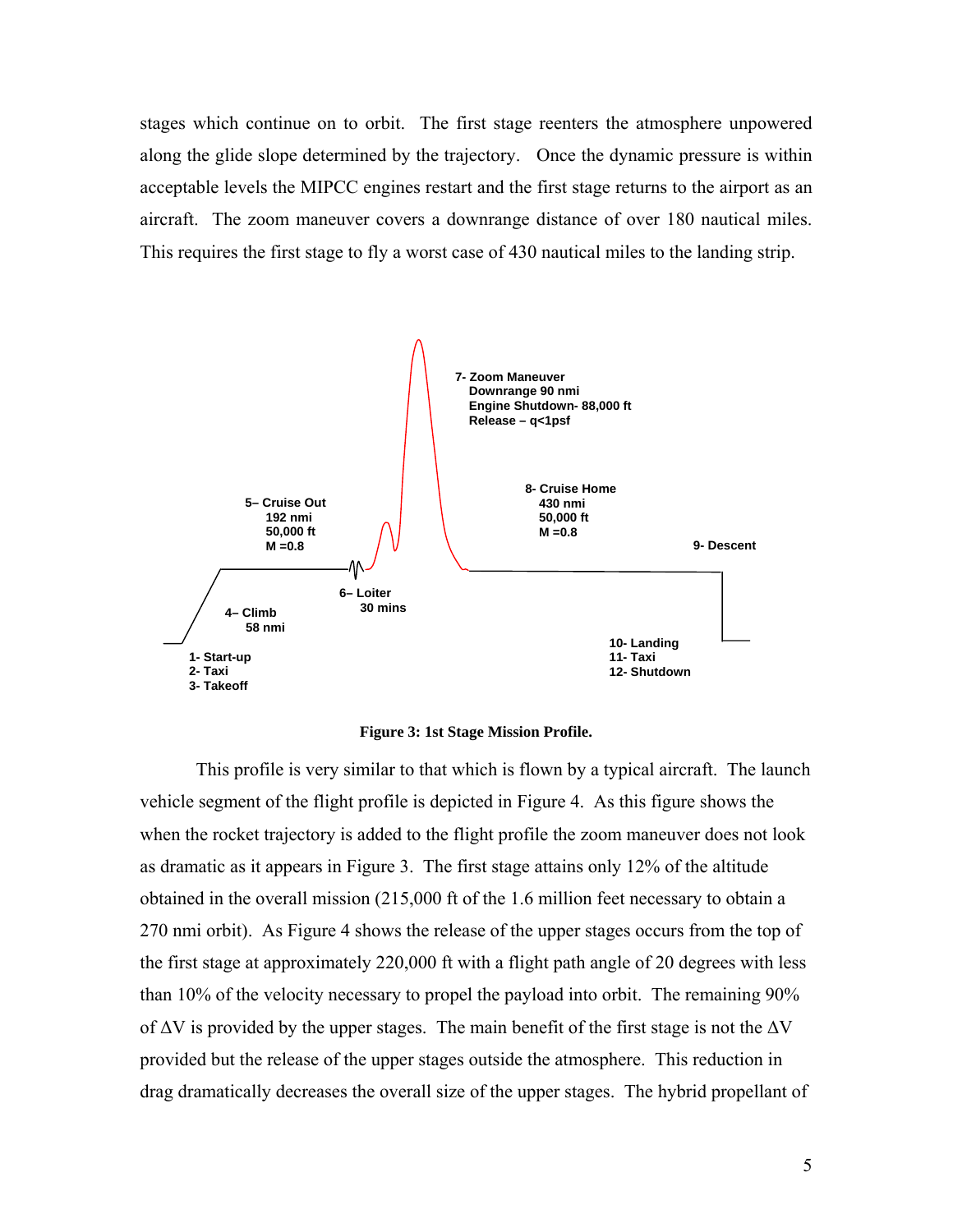stages which continue on to orbit. The first stage reenters the atmosphere unpowered along the glide slope determined by the trajectory. Once the dynamic pressure is within acceptable levels the MIPCC engines restart and the first stage returns to the airport as an aircraft. The zoom maneuver covers a downrange distance of over 180 nautical miles. This requires the first stage to fly a worst case of 430 nautical miles to the landing strip.



**Figure 3: 1st Stage Mission Profile.** 

 This profile is very similar to that which is flown by a typical aircraft. The launch vehicle segment of the flight profile is depicted in Figure 4. As this figure shows the when the rocket trajectory is added to the flight profile the zoom maneuver does not look as dramatic as it appears in Figure 3. The first stage attains only 12% of the altitude obtained in the overall mission (215,000 ft of the 1.6 million feet necessary to obtain a 270 nmi orbit). As Figure 4 shows the release of the upper stages occurs from the top of the first stage at approximately 220,000 ft with a flight path angle of 20 degrees with less than 10% of the velocity necessary to propel the payload into orbit. The remaining 90% of  $\Delta V$  is provided by the upper stages. The main benefit of the first stage is not the  $\Delta V$ provided but the release of the upper stages outside the atmosphere. This reduction in drag dramatically decreases the overall size of the upper stages. The hybrid propellant of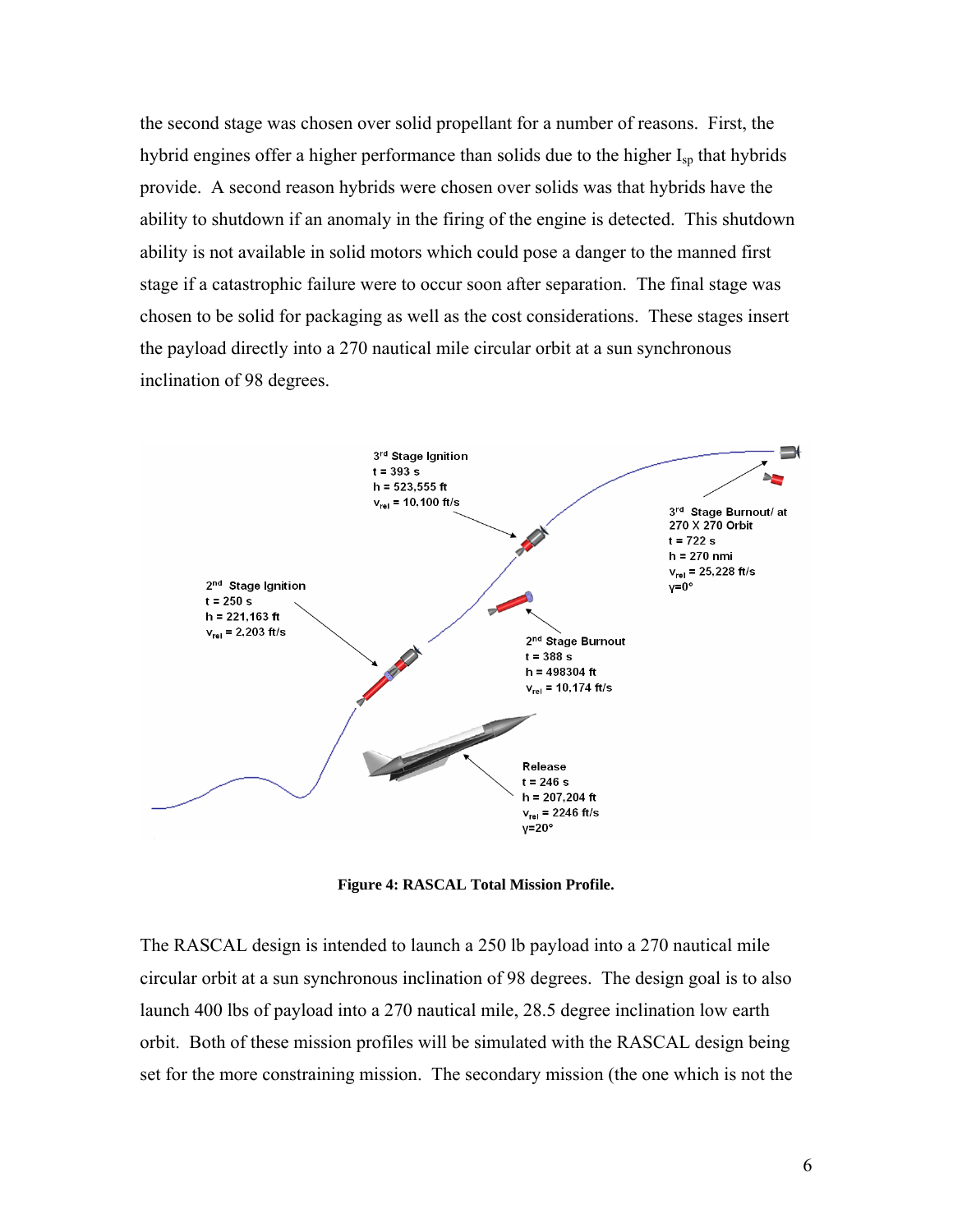the second stage was chosen over solid propellant for a number of reasons. First, the hybrid engines offer a higher performance than solids due to the higher  $I_{\rm SD}$  that hybrids provide. A second reason hybrids were chosen over solids was that hybrids have the ability to shutdown if an anomaly in the firing of the engine is detected. This shutdown ability is not available in solid motors which could pose a danger to the manned first stage if a catastrophic failure were to occur soon after separation. The final stage was chosen to be solid for packaging as well as the cost considerations. These stages insert the payload directly into a 270 nautical mile circular orbit at a sun synchronous inclination of 98 degrees.



**Figure 4: RASCAL Total Mission Profile.** 

The RASCAL design is intended to launch a 250 lb payload into a 270 nautical mile circular orbit at a sun synchronous inclination of 98 degrees. The design goal is to also launch 400 lbs of payload into a 270 nautical mile, 28.5 degree inclination low earth orbit. Both of these mission profiles will be simulated with the RASCAL design being set for the more constraining mission. The secondary mission (the one which is not the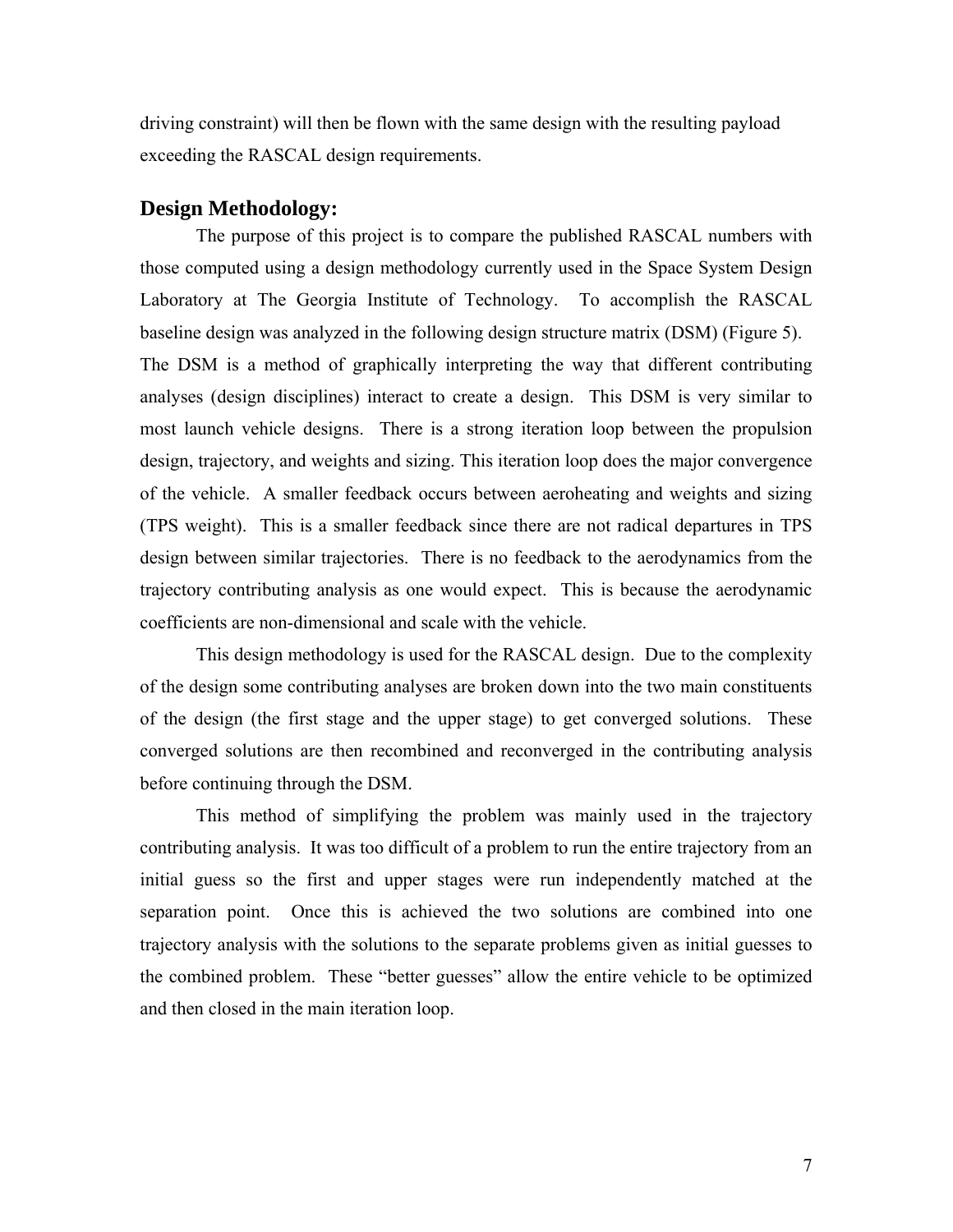driving constraint) will then be flown with the same design with the resulting payload exceeding the RASCAL design requirements.

#### **Design Methodology:**

 The purpose of this project is to compare the published RASCAL numbers with those computed using a design methodology currently used in the Space System Design Laboratory at The Georgia Institute of Technology. To accomplish the RASCAL baseline design was analyzed in the following design structure matrix (DSM) (Figure 5). The DSM is a method of graphically interpreting the way that different contributing analyses (design disciplines) interact to create a design. This DSM is very similar to most launch vehicle designs. There is a strong iteration loop between the propulsion design, trajectory, and weights and sizing. This iteration loop does the major convergence of the vehicle. A smaller feedback occurs between aeroheating and weights and sizing (TPS weight). This is a smaller feedback since there are not radical departures in TPS design between similar trajectories. There is no feedback to the aerodynamics from the trajectory contributing analysis as one would expect. This is because the aerodynamic coefficients are non-dimensional and scale with the vehicle.

This design methodology is used for the RASCAL design. Due to the complexity of the design some contributing analyses are broken down into the two main constituents of the design (the first stage and the upper stage) to get converged solutions. These converged solutions are then recombined and reconverged in the contributing analysis before continuing through the DSM.

This method of simplifying the problem was mainly used in the trajectory contributing analysis. It was too difficult of a problem to run the entire trajectory from an initial guess so the first and upper stages were run independently matched at the separation point. Once this is achieved the two solutions are combined into one trajectory analysis with the solutions to the separate problems given as initial guesses to the combined problem. These "better guesses" allow the entire vehicle to be optimized and then closed in the main iteration loop.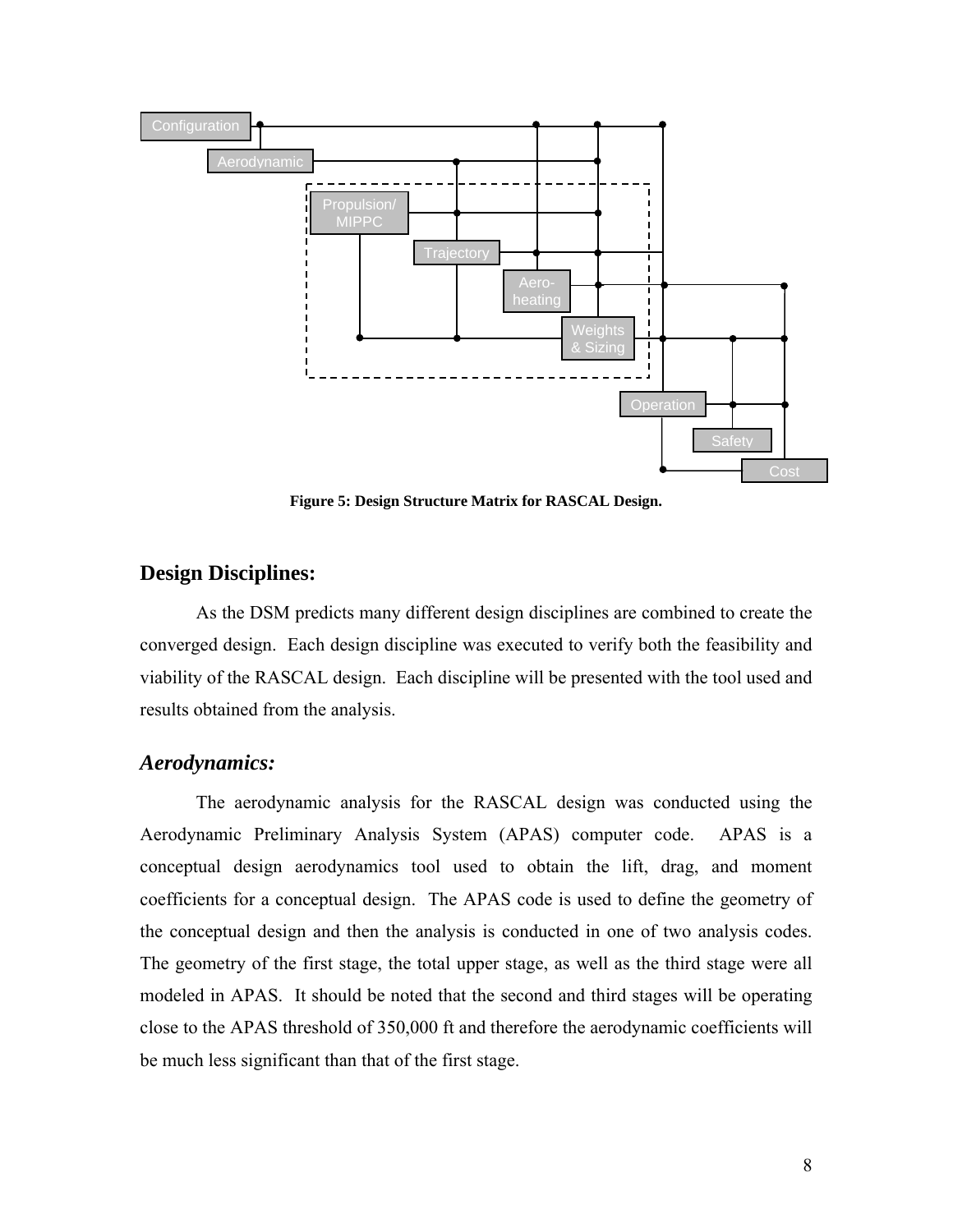

**Figure 5: Design Structure Matrix for RASCAL Design.** 

#### **Design Disciplines:**

 As the DSM predicts many different design disciplines are combined to create the converged design. Each design discipline was executed to verify both the feasibility and viability of the RASCAL design. Each discipline will be presented with the tool used and results obtained from the analysis.

#### *Aerodynamics:*

 The aerodynamic analysis for the RASCAL design was conducted using the Aerodynamic Preliminary Analysis System (APAS) computer code. APAS is a conceptual design aerodynamics tool used to obtain the lift, drag, and moment coefficients for a conceptual design. The APAS code is used to define the geometry of the conceptual design and then the analysis is conducted in one of two analysis codes. The geometry of the first stage, the total upper stage, as well as the third stage were all modeled in APAS. It should be noted that the second and third stages will be operating close to the APAS threshold of 350,000 ft and therefore the aerodynamic coefficients will be much less significant than that of the first stage.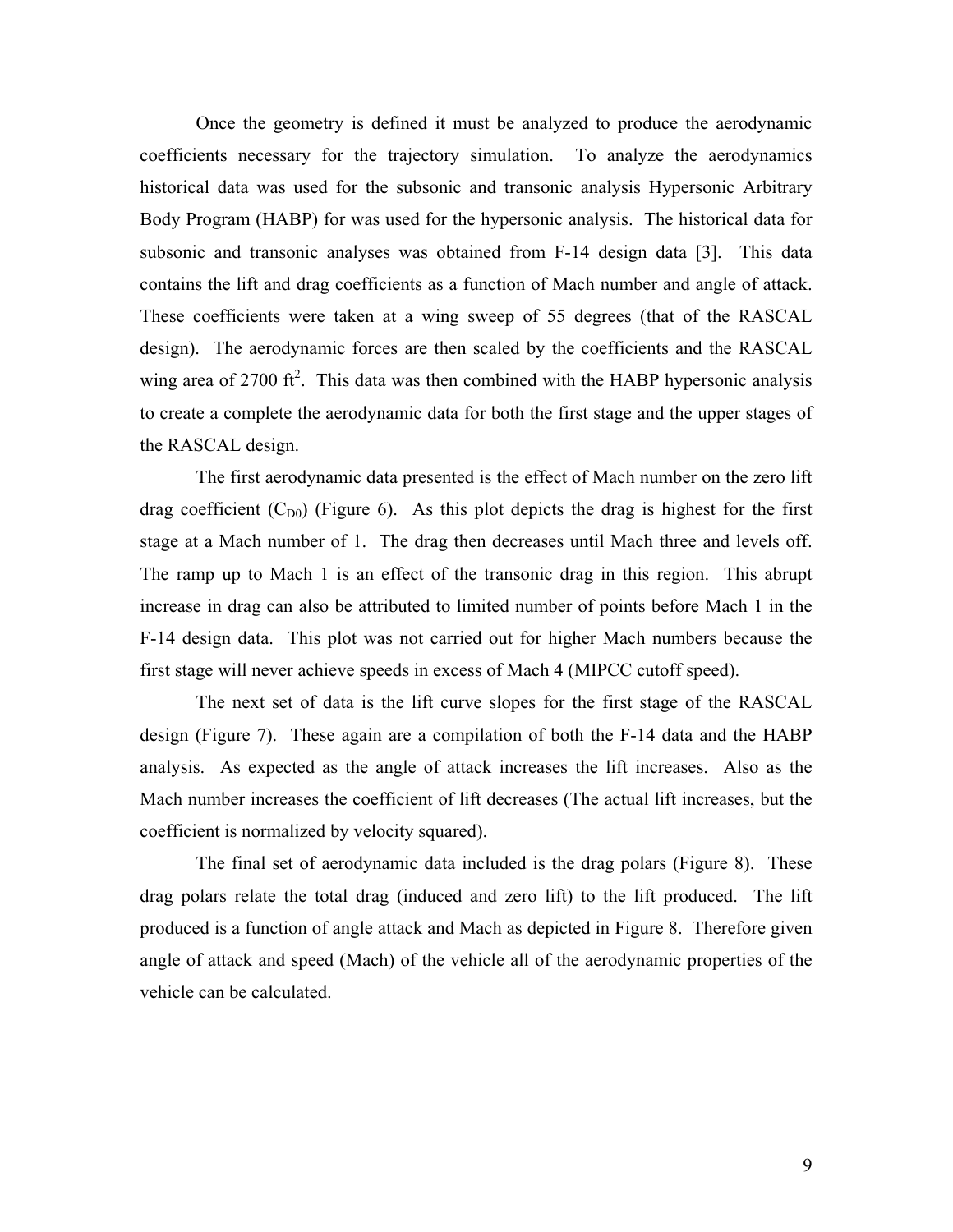Once the geometry is defined it must be analyzed to produce the aerodynamic coefficients necessary for the trajectory simulation. To analyze the aerodynamics historical data was used for the subsonic and transonic analysis Hypersonic Arbitrary Body Program (HABP) for was used for the hypersonic analysis. The historical data for subsonic and transonic analyses was obtained from F-14 design data [3]. This data contains the lift and drag coefficients as a function of Mach number and angle of attack. These coefficients were taken at a wing sweep of 55 degrees (that of the RASCAL design). The aerodynamic forces are then scaled by the coefficients and the RASCAL wing area of 2700  $\text{ft}^2$ . This data was then combined with the HABP hypersonic analysis to create a complete the aerodynamic data for both the first stage and the upper stages of the RASCAL design.

 The first aerodynamic data presented is the effect of Mach number on the zero lift drag coefficient  $(C_{D0})$  (Figure 6). As this plot depicts the drag is highest for the first stage at a Mach number of 1. The drag then decreases until Mach three and levels off. The ramp up to Mach 1 is an effect of the transonic drag in this region. This abrupt increase in drag can also be attributed to limited number of points before Mach 1 in the F-14 design data. This plot was not carried out for higher Mach numbers because the first stage will never achieve speeds in excess of Mach 4 (MIPCC cutoff speed).

 The next set of data is the lift curve slopes for the first stage of the RASCAL design (Figure 7). These again are a compilation of both the F-14 data and the HABP analysis. As expected as the angle of attack increases the lift increases. Also as the Mach number increases the coefficient of lift decreases (The actual lift increases, but the coefficient is normalized by velocity squared).

 The final set of aerodynamic data included is the drag polars (Figure 8). These drag polars relate the total drag (induced and zero lift) to the lift produced. The lift produced is a function of angle attack and Mach as depicted in Figure 8. Therefore given angle of attack and speed (Mach) of the vehicle all of the aerodynamic properties of the vehicle can be calculated.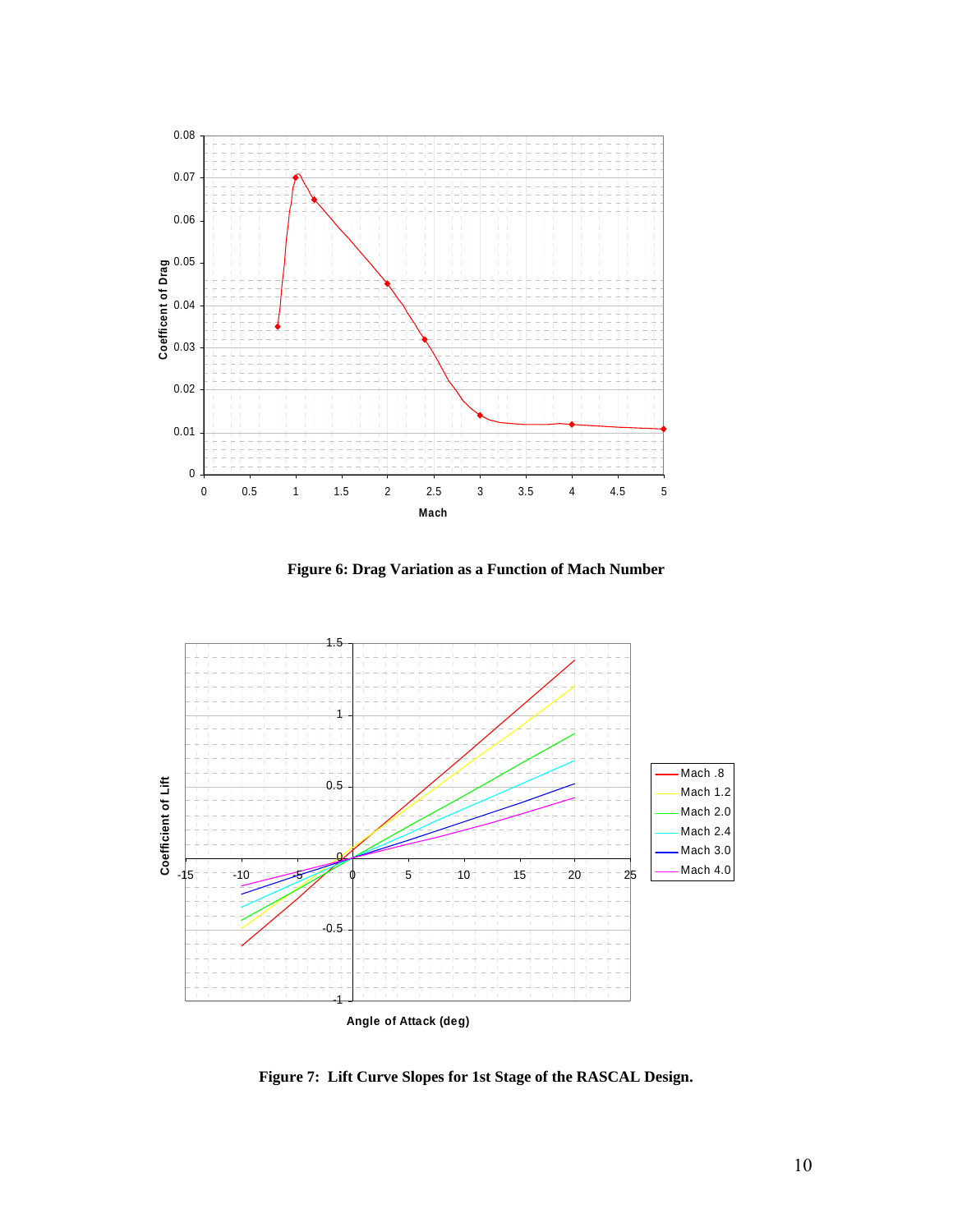

**Figure 6: Drag Variation as a Function of Mach Number** 



**Figure 7: Lift Curve Slopes for 1st Stage of the RASCAL Design.**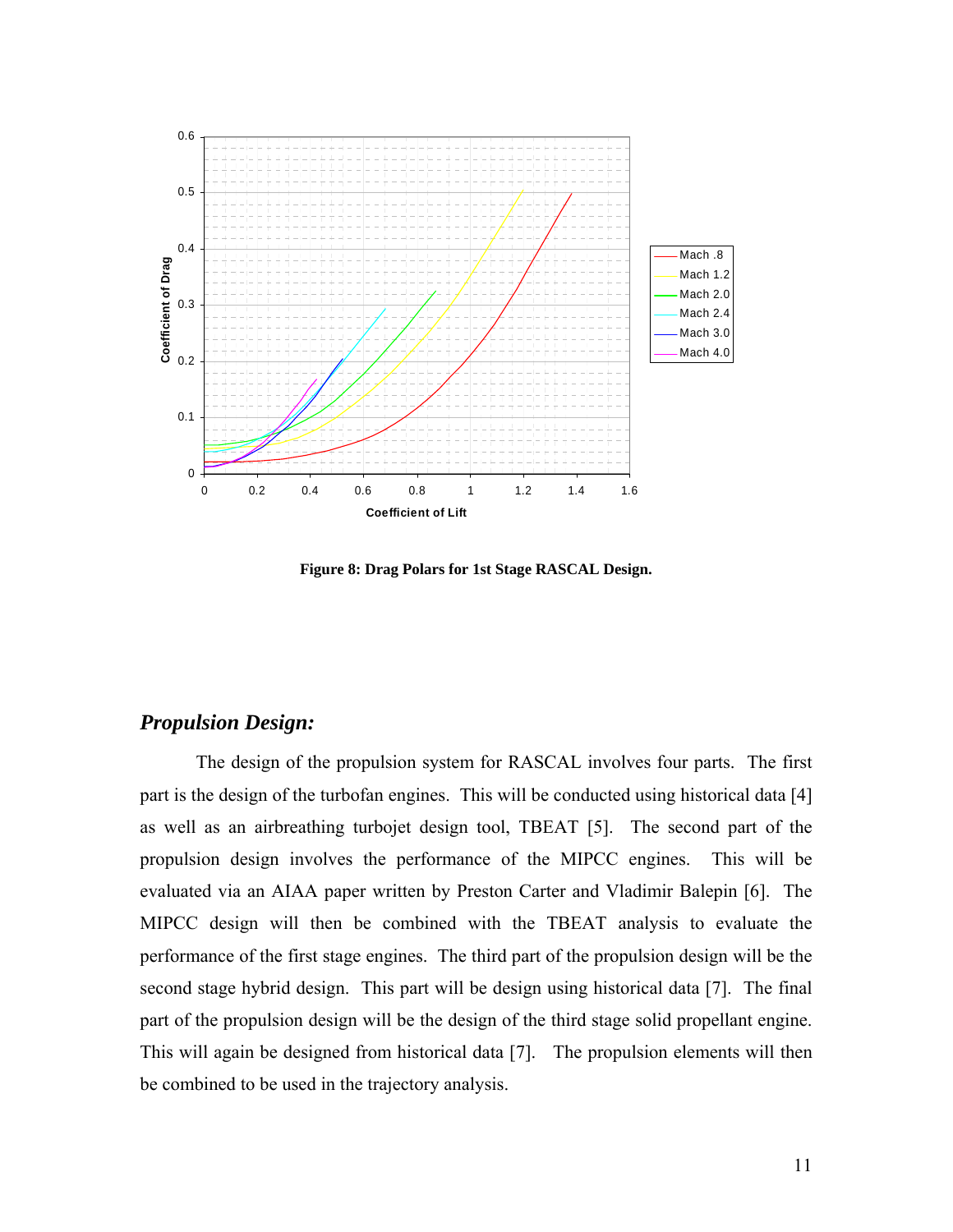

**Figure 8: Drag Polars for 1st Stage RASCAL Design.** 

# *Propulsion Design:*

 The design of the propulsion system for RASCAL involves four parts. The first part is the design of the turbofan engines. This will be conducted using historical data [4] as well as an airbreathing turbojet design tool, TBEAT [5]. The second part of the propulsion design involves the performance of the MIPCC engines. This will be evaluated via an AIAA paper written by Preston Carter and Vladimir Balepin [6]. The MIPCC design will then be combined with the TBEAT analysis to evaluate the performance of the first stage engines. The third part of the propulsion design will be the second stage hybrid design. This part will be design using historical data [7]. The final part of the propulsion design will be the design of the third stage solid propellant engine. This will again be designed from historical data [7]. The propulsion elements will then be combined to be used in the trajectory analysis.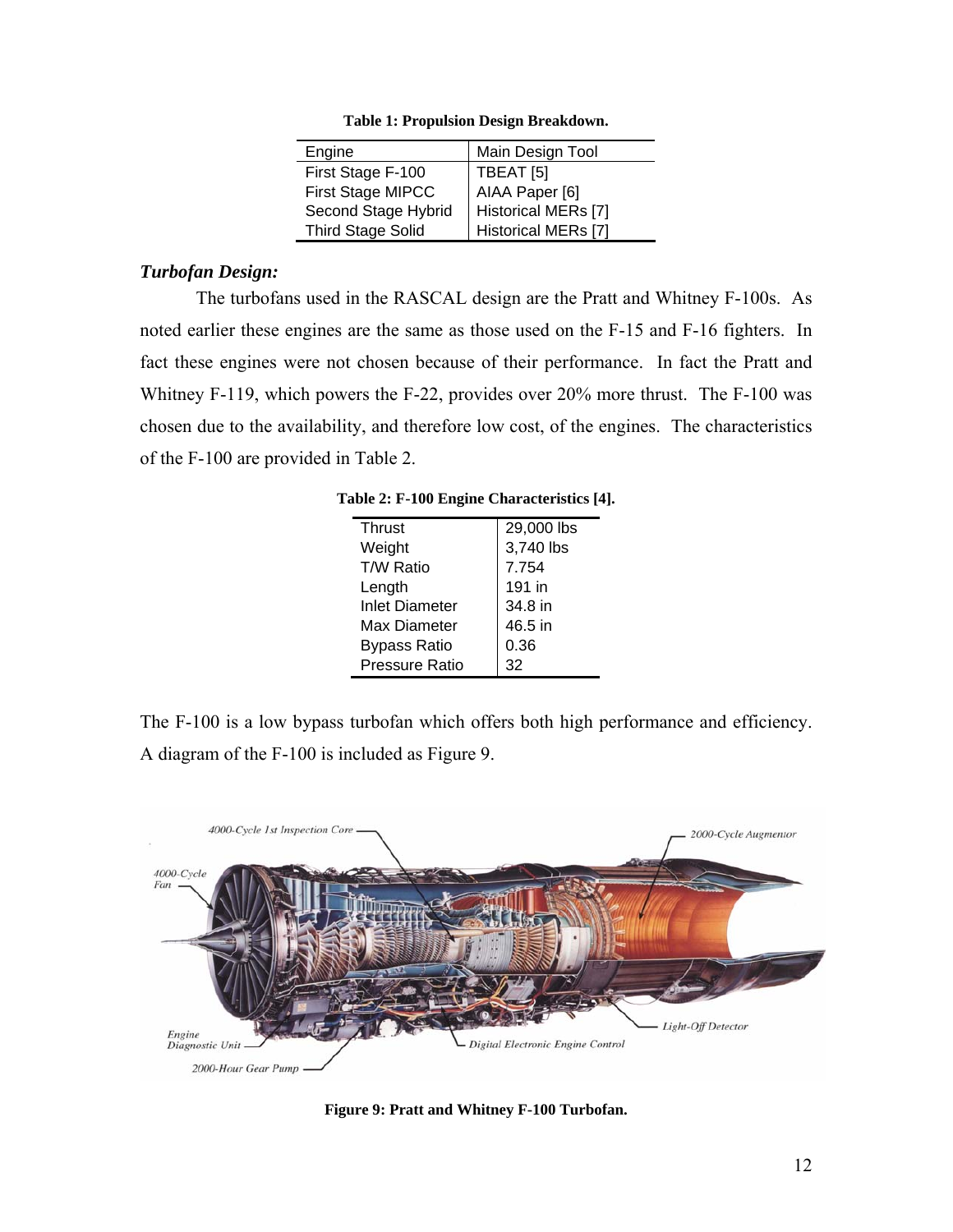| Engine                   | Main Design Tool           |
|--------------------------|----------------------------|
| First Stage F-100        | TBEAT [5]                  |
| First Stage MIPCC        | AIAA Paper [6]             |
| Second Stage Hybrid      | Historical MERs [7]        |
| <b>Third Stage Solid</b> | <b>Historical MERs [7]</b> |

**Table 1: Propulsion Design Breakdown.** 

#### *Turbofan Design:*

 The turbofans used in the RASCAL design are the Pratt and Whitney F-100s. As noted earlier these engines are the same as those used on the F-15 and F-16 fighters. In fact these engines were not chosen because of their performance. In fact the Pratt and Whitney F-119, which powers the F-22, provides over 20% more thrust. The F-100 was chosen due to the availability, and therefore low cost, of the engines. The characteristics of the F-100 are provided in Table 2.

**Table 2: F-100 Engine Characteristics [4].** 

| <b>Thrust</b>         | 29,000 lbs |
|-----------------------|------------|
| Weight                | 3,740 lbs  |
| <b>T/W Ratio</b>      | 7.754      |
| Length                | 191 in     |
| <b>Inlet Diameter</b> | 34.8 in    |
| Max Diameter          | 46.5 in    |
| <b>Bypass Ratio</b>   | 0.36       |
| <b>Pressure Ratio</b> | 32         |

The F-100 is a low bypass turbofan which offers both high performance and efficiency. A diagram of the F-100 is included as Figure 9.



**Figure 9: Pratt and Whitney F-100 Turbofan.**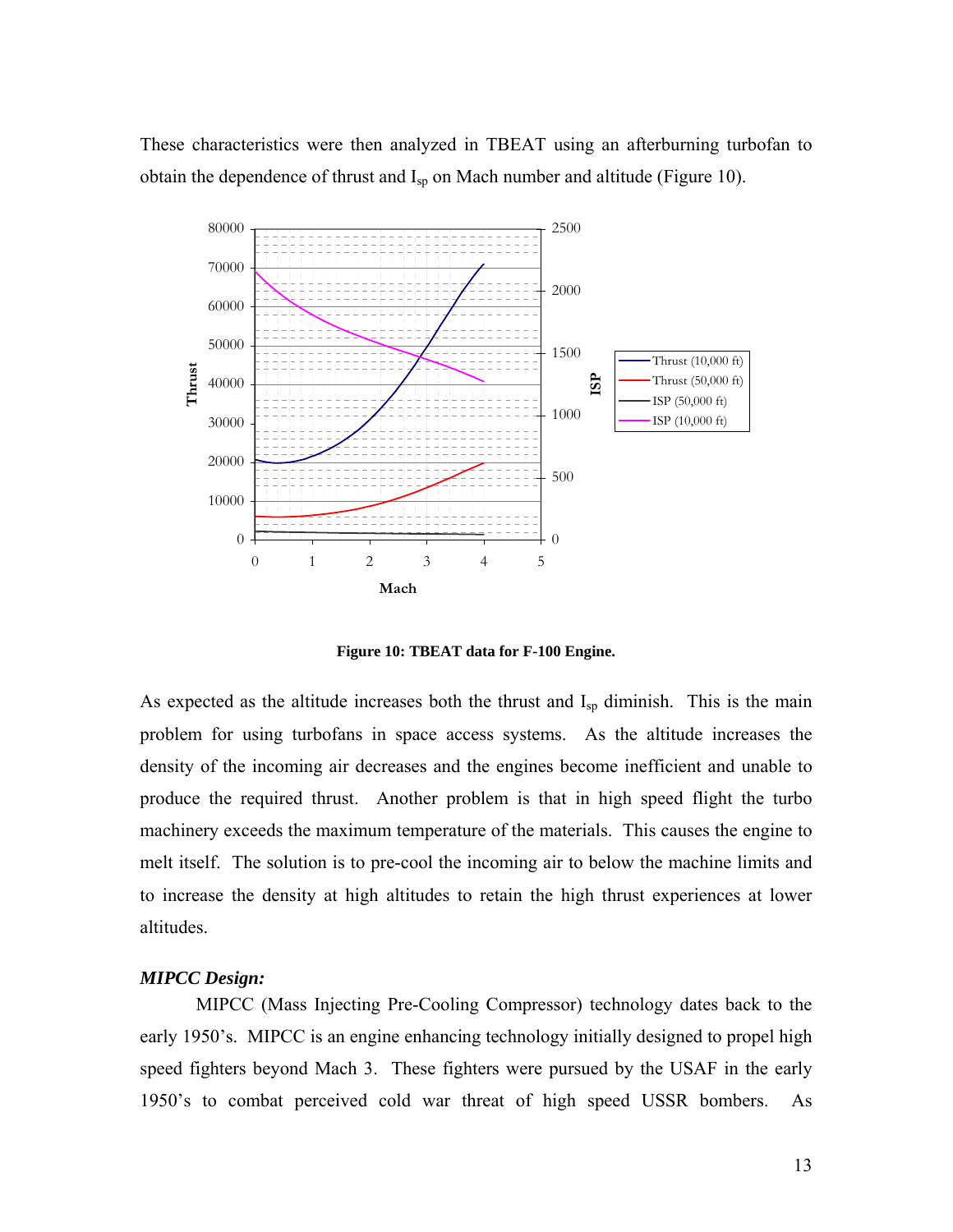These characteristics were then analyzed in TBEAT using an afterburning turbofan to obtain the dependence of thrust and  $I_{sp}$  on Mach number and altitude (Figure 10).



**Figure 10: TBEAT data for F-100 Engine.** 

As expected as the altitude increases both the thrust and  $I_{sp}$  diminish. This is the main problem for using turbofans in space access systems. As the altitude increases the density of the incoming air decreases and the engines become inefficient and unable to produce the required thrust. Another problem is that in high speed flight the turbo machinery exceeds the maximum temperature of the materials. This causes the engine to melt itself. The solution is to pre-cool the incoming air to below the machine limits and to increase the density at high altitudes to retain the high thrust experiences at lower altitudes.

#### *MIPCC Design:*

 MIPCC (Mass Injecting Pre-Cooling Compressor) technology dates back to the early 1950's. MIPCC is an engine enhancing technology initially designed to propel high speed fighters beyond Mach 3. These fighters were pursued by the USAF in the early 1950's to combat perceived cold war threat of high speed USSR bombers. As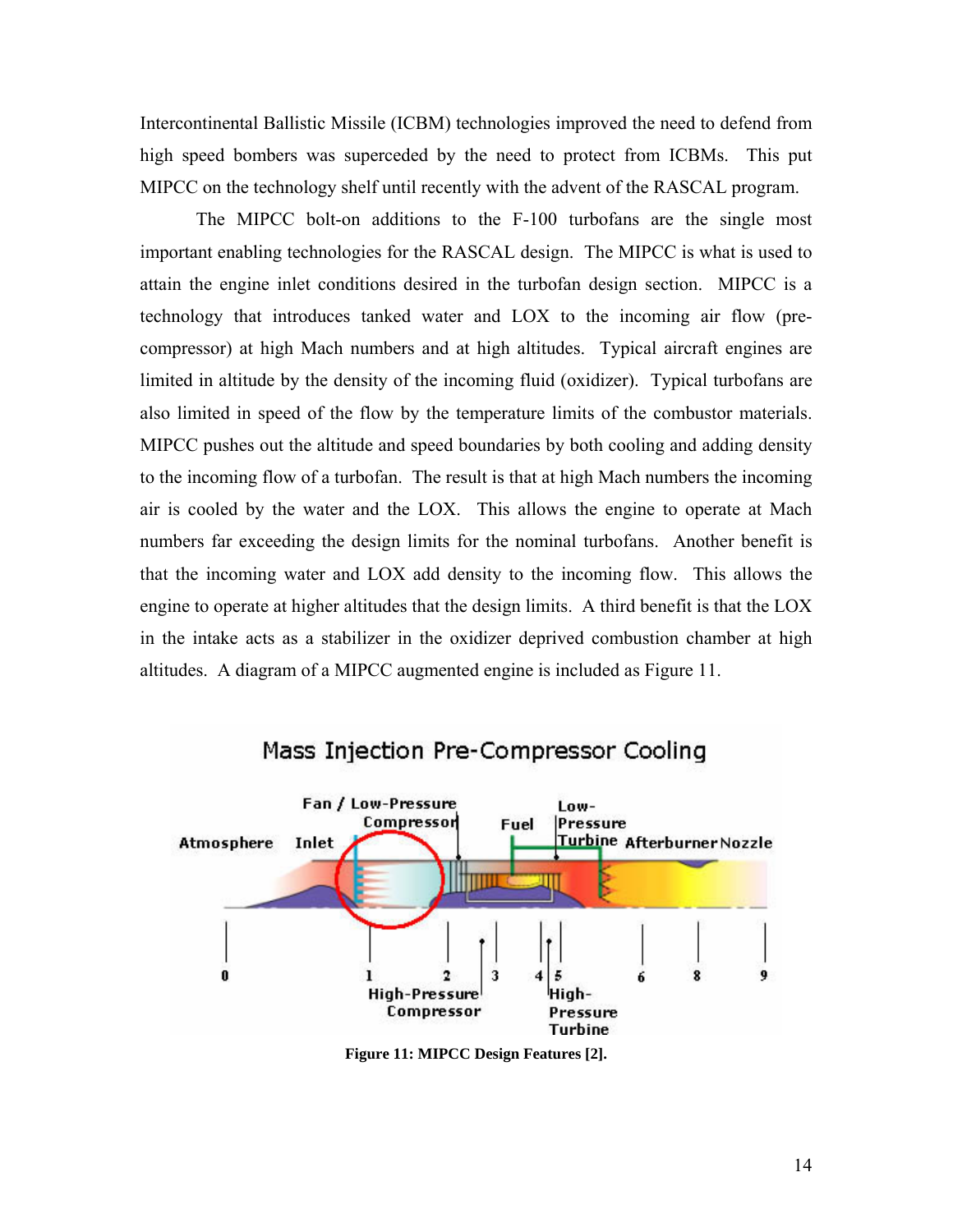Intercontinental Ballistic Missile (ICBM) technologies improved the need to defend from high speed bombers was superceded by the need to protect from ICBMs. This put MIPCC on the technology shelf until recently with the advent of the RASCAL program.

The MIPCC bolt-on additions to the F-100 turbofans are the single most important enabling technologies for the RASCAL design. The MIPCC is what is used to attain the engine inlet conditions desired in the turbofan design section. MIPCC is a technology that introduces tanked water and LOX to the incoming air flow (precompressor) at high Mach numbers and at high altitudes. Typical aircraft engines are limited in altitude by the density of the incoming fluid (oxidizer). Typical turbofans are also limited in speed of the flow by the temperature limits of the combustor materials. MIPCC pushes out the altitude and speed boundaries by both cooling and adding density to the incoming flow of a turbofan. The result is that at high Mach numbers the incoming air is cooled by the water and the LOX. This allows the engine to operate at Mach numbers far exceeding the design limits for the nominal turbofans. Another benefit is that the incoming water and LOX add density to the incoming flow. This allows the engine to operate at higher altitudes that the design limits. A third benefit is that the LOX in the intake acts as a stabilizer in the oxidizer deprived combustion chamber at high altitudes. A diagram of a MIPCC augmented engine is included as Figure 11.



Mass Injection Pre-Compressor Cooling

**Figure 11: MIPCC Design Features [2].**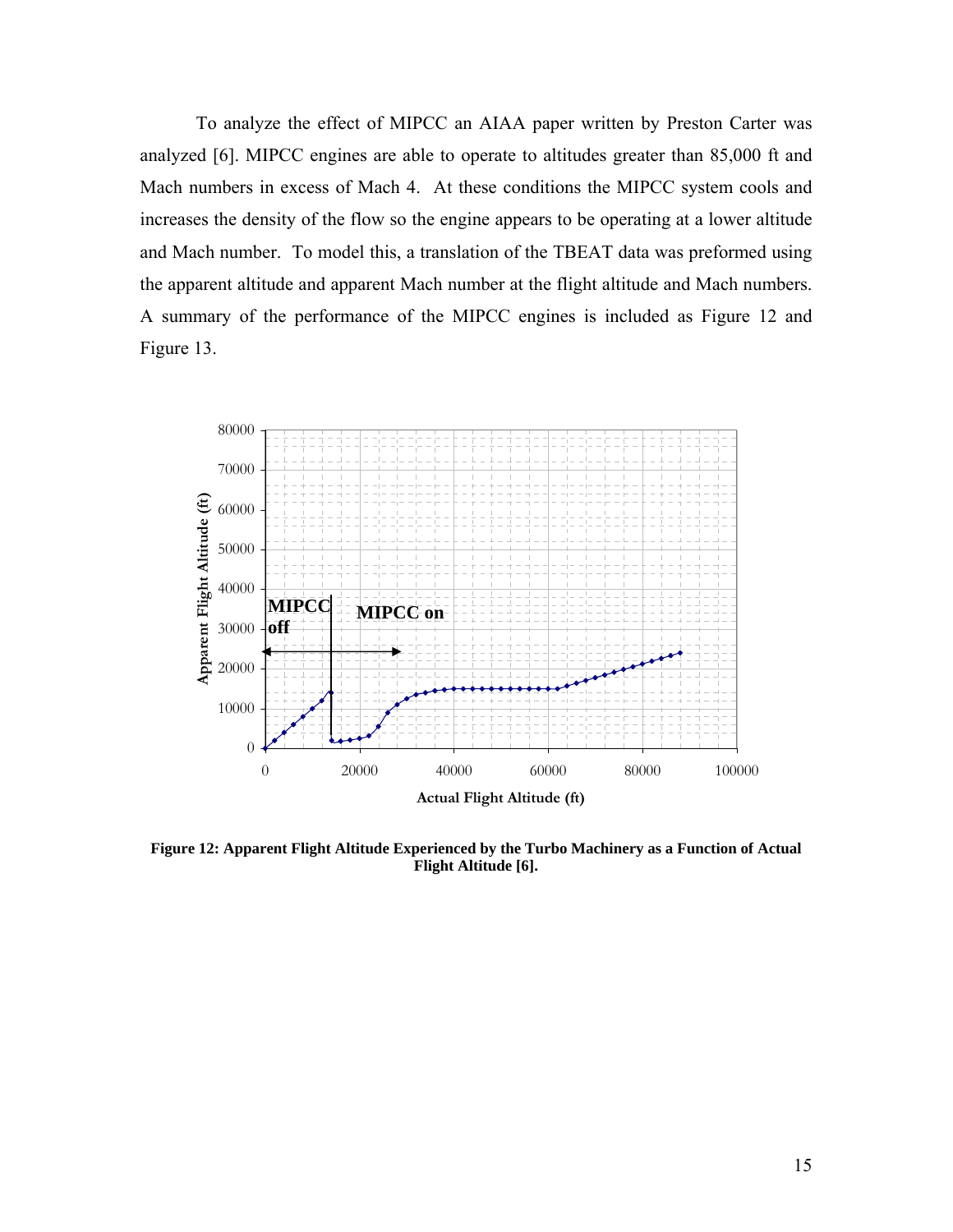To analyze the effect of MIPCC an AIAA paper written by Preston Carter was analyzed [6]. MIPCC engines are able to operate to altitudes greater than 85,000 ft and Mach numbers in excess of Mach 4. At these conditions the MIPCC system cools and increases the density of the flow so the engine appears to be operating at a lower altitude and Mach number. To model this, a translation of the TBEAT data was preformed using the apparent altitude and apparent Mach number at the flight altitude and Mach numbers. A summary of the performance of the MIPCC engines is included as Figure 12 and Figure 13.



**Figure 12: Apparent Flight Altitude Experienced by the Turbo Machinery as a Function of Actual Flight Altitude [6].**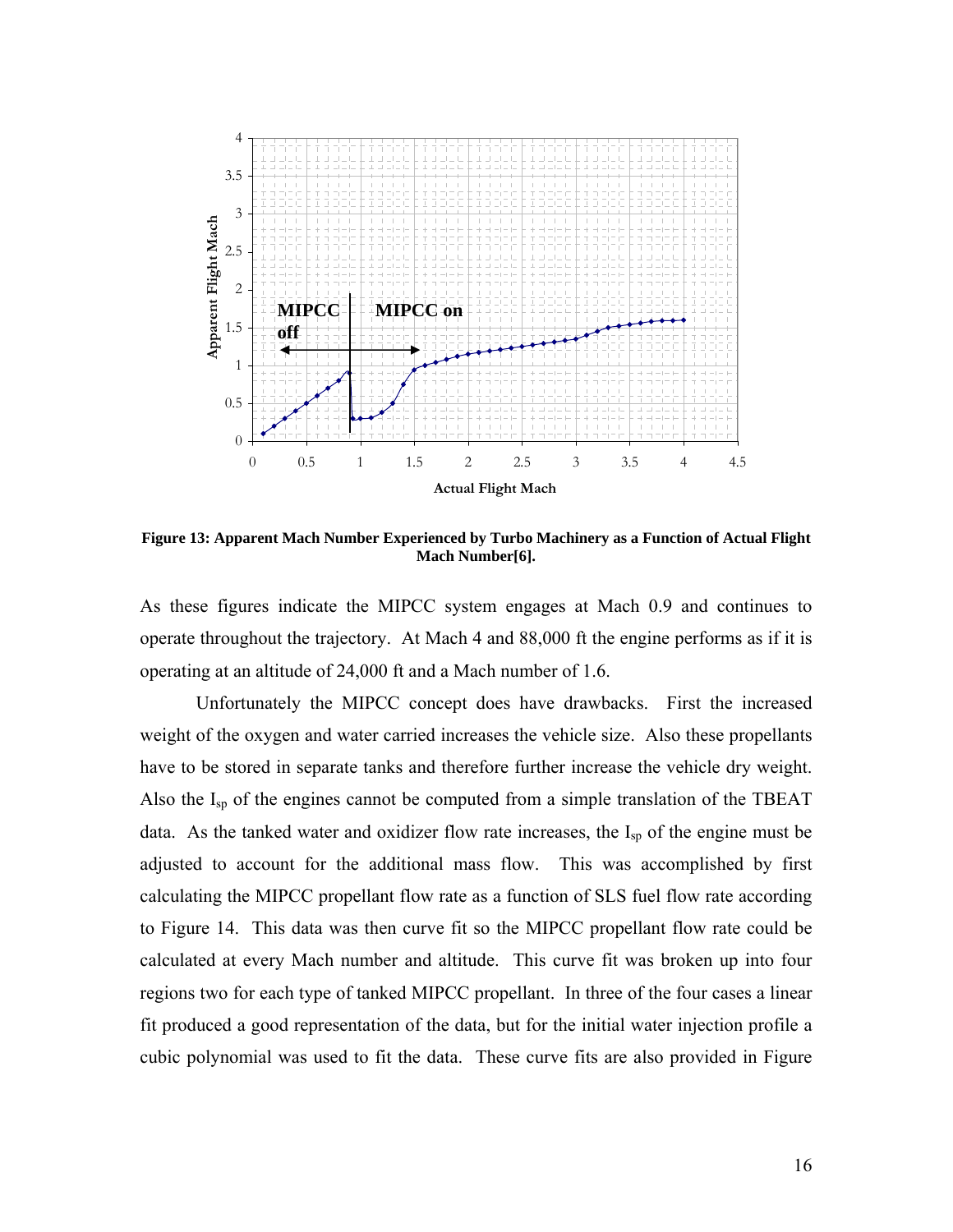

**Figure 13: Apparent Mach Number Experienced by Turbo Machinery as a Function of Actual Flight Mach Number[6].** 

As these figures indicate the MIPCC system engages at Mach 0.9 and continues to operate throughout the trajectory. At Mach 4 and 88,000 ft the engine performs as if it is operating at an altitude of 24,000 ft and a Mach number of 1.6.

Unfortunately the MIPCC concept does have drawbacks. First the increased weight of the oxygen and water carried increases the vehicle size. Also these propellants have to be stored in separate tanks and therefore further increase the vehicle dry weight. Also the  $I_{sp}$  of the engines cannot be computed from a simple translation of the TBEAT data. As the tanked water and oxidizer flow rate increases, the  $I_{sp}$  of the engine must be adjusted to account for the additional mass flow. This was accomplished by first calculating the MIPCC propellant flow rate as a function of SLS fuel flow rate according to Figure 14. This data was then curve fit so the MIPCC propellant flow rate could be calculated at every Mach number and altitude. This curve fit was broken up into four regions two for each type of tanked MIPCC propellant. In three of the four cases a linear fit produced a good representation of the data, but for the initial water injection profile a cubic polynomial was used to fit the data. These curve fits are also provided in Figure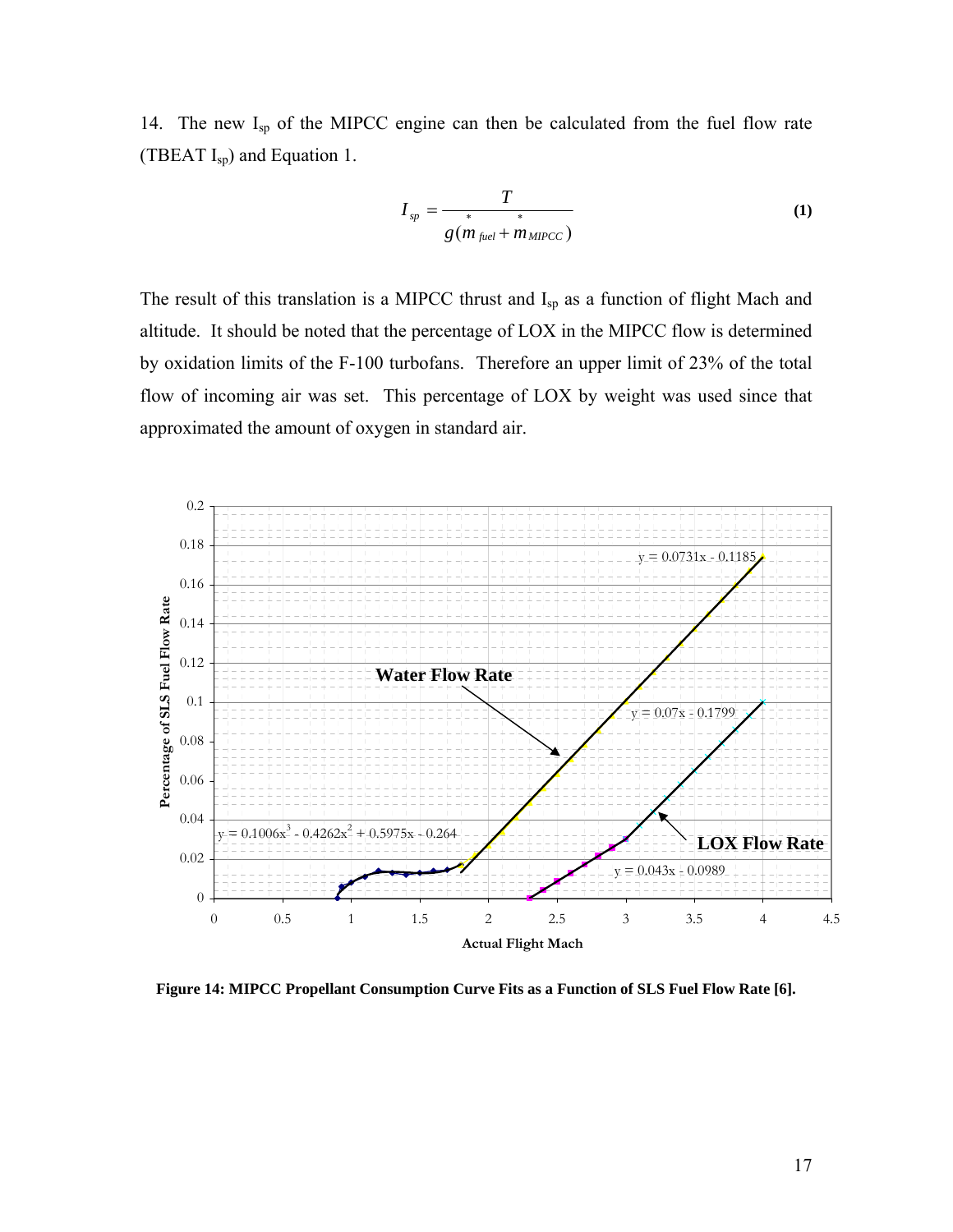14. The new Isp of the MIPCC engine can then be calculated from the fuel flow rate (TBEAT Isp) and Equation 1.

$$
I_{sp} = \frac{T}{g(m_{fuel} + m_{MIPCC})}
$$
 (1)

The result of this translation is a MIPCC thrust and  $I_{sp}$  as a function of flight Mach and altitude. It should be noted that the percentage of LOX in the MIPCC flow is determined by oxidation limits of the F-100 turbofans. Therefore an upper limit of 23% of the total flow of incoming air was set. This percentage of LOX by weight was used since that approximated the amount of oxygen in standard air.



**Figure 14: MIPCC Propellant Consumption Curve Fits as a Function of SLS Fuel Flow Rate [6].**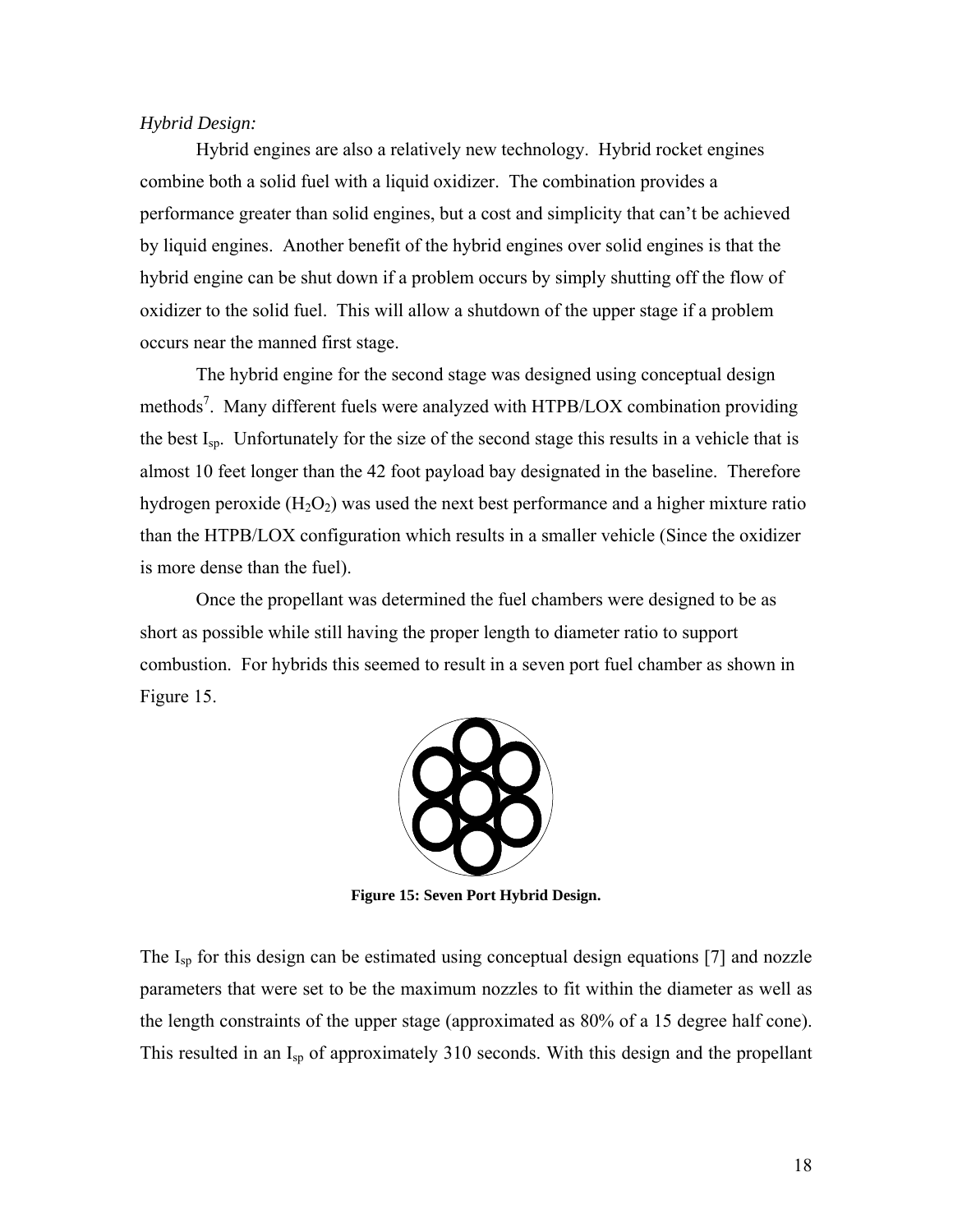#### *Hybrid Design:*

 Hybrid engines are also a relatively new technology. Hybrid rocket engines combine both a solid fuel with a liquid oxidizer. The combination provides a performance greater than solid engines, but a cost and simplicity that can't be achieved by liquid engines. Another benefit of the hybrid engines over solid engines is that the hybrid engine can be shut down if a problem occurs by simply shutting off the flow of oxidizer to the solid fuel. This will allow a shutdown of the upper stage if a problem occurs near the manned first stage.

 The hybrid engine for the second stage was designed using conceptual design methods<sup>7</sup>. Many different fuels were analyzed with HTPB/LOX combination providing the best Isp. Unfortunately for the size of the second stage this results in a vehicle that is almost 10 feet longer than the 42 foot payload bay designated in the baseline. Therefore hydrogen peroxide  $(H_2O_2)$  was used the next best performance and a higher mixture ratio than the HTPB/LOX configuration which results in a smaller vehicle (Since the oxidizer is more dense than the fuel).

 Once the propellant was determined the fuel chambers were designed to be as short as possible while still having the proper length to diameter ratio to support combustion. For hybrids this seemed to result in a seven port fuel chamber as shown in Figure 15.



**Figure 15: Seven Port Hybrid Design.** 

The I<sub>sp</sub> for this design can be estimated using conceptual design equations [7] and nozzle parameters that were set to be the maximum nozzles to fit within the diameter as well as the length constraints of the upper stage (approximated as 80% of a 15 degree half cone). This resulted in an I<sub>sp</sub> of approximately 310 seconds. With this design and the propellant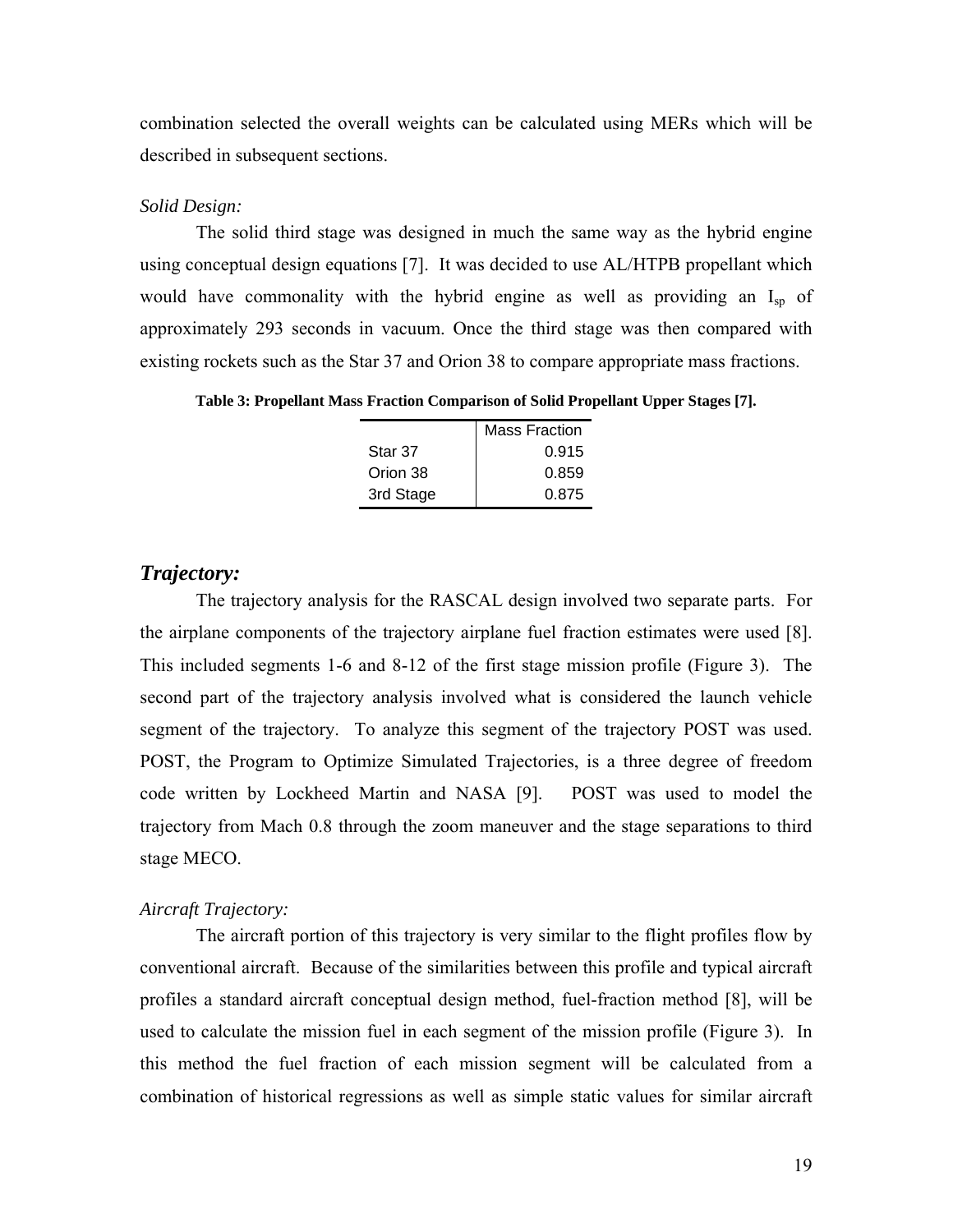combination selected the overall weights can be calculated using MERs which will be described in subsequent sections.

#### *Solid Design:*

The solid third stage was designed in much the same way as the hybrid engine using conceptual design equations [7]. It was decided to use AL/HTPB propellant which would have commonality with the hybrid engine as well as providing an  $I_{sp}$  of approximately 293 seconds in vacuum. Once the third stage was then compared with existing rockets such as the Star 37 and Orion 38 to compare appropriate mass fractions.

**Table 3: Propellant Mass Fraction Comparison of Solid Propellant Upper Stages [7].** 

|           | <b>Mass Fraction</b> |
|-----------|----------------------|
| Star 37   | 0.915                |
| Orion 38  | 0.859                |
| 3rd Stage | 0.875                |

#### *Trajectory:*

The trajectory analysis for the RASCAL design involved two separate parts. For the airplane components of the trajectory airplane fuel fraction estimates were used [8]. This included segments 1-6 and 8-12 of the first stage mission profile (Figure 3). The second part of the trajectory analysis involved what is considered the launch vehicle segment of the trajectory. To analyze this segment of the trajectory POST was used. POST, the Program to Optimize Simulated Trajectories, is a three degree of freedom code written by Lockheed Martin and NASA [9]. POST was used to model the trajectory from Mach 0.8 through the zoom maneuver and the stage separations to third stage MECO.

#### *Aircraft Trajectory:*

 The aircraft portion of this trajectory is very similar to the flight profiles flow by conventional aircraft. Because of the similarities between this profile and typical aircraft profiles a standard aircraft conceptual design method, fuel-fraction method [8], will be used to calculate the mission fuel in each segment of the mission profile (Figure 3). In this method the fuel fraction of each mission segment will be calculated from a combination of historical regressions as well as simple static values for similar aircraft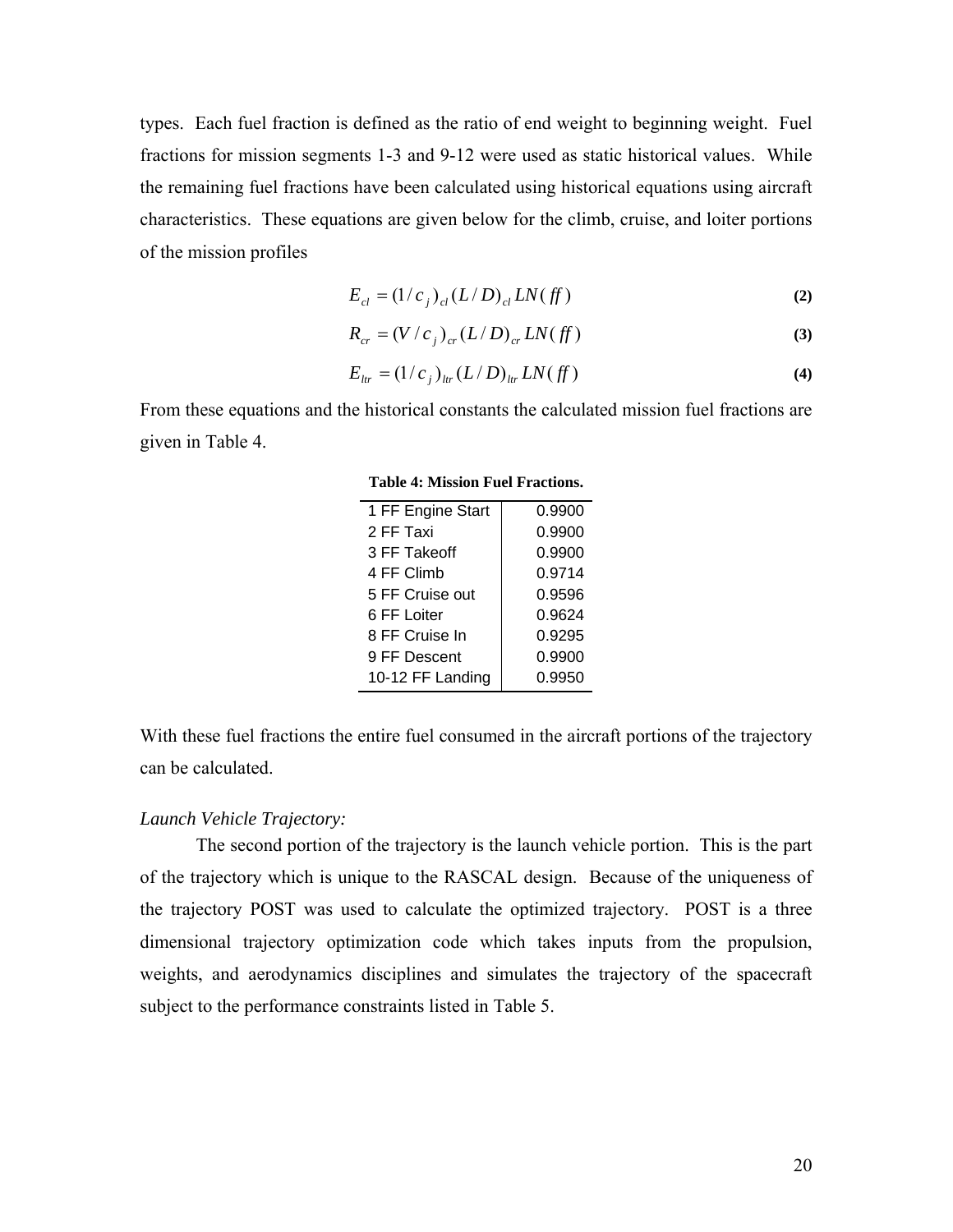types. Each fuel fraction is defined as the ratio of end weight to beginning weight. Fuel fractions for mission segments 1-3 and 9-12 were used as static historical values. While the remaining fuel fractions have been calculated using historical equations using aircraft characteristics. These equations are given below for the climb, cruise, and loiter portions of the mission profiles

$$
E_{cl} = (1/c_j)_{cl} (L/D)_{cl} LN(ff)
$$
 (2)

$$
R_{cr} = (V/c_j)_{cr} (L/D)_{cr} LN(ff)
$$
 (3)

$$
E_{\text{tr}} = (1/c_j)_{\text{tr}} (L/D)_{\text{tr}} LN(f\text{f})
$$
 (4)

From these equations and the historical constants the calculated mission fuel fractions are given in Table 4.

| 1 FF Engine Start | 0.9900 |
|-------------------|--------|
| 2 FF Taxi         | 0.9900 |
| 3 FF Takeoff      | 0.9900 |
| 4 FF Climb        | 0.9714 |
| 5 FF Cruise out   | 0.9596 |
| 6 FF Loiter       | 0.9624 |
| 8 FF Cruise In    | 0.9295 |
| 9 FF Descent      | 0.9900 |
| 10-12 FF Landing  | 0.9950 |
|                   |        |

**Table 4: Mission Fuel Fractions.** 

With these fuel fractions the entire fuel consumed in the aircraft portions of the trajectory can be calculated.

#### *Launch Vehicle Trajectory:*

 The second portion of the trajectory is the launch vehicle portion. This is the part of the trajectory which is unique to the RASCAL design. Because of the uniqueness of the trajectory POST was used to calculate the optimized trajectory. POST is a three dimensional trajectory optimization code which takes inputs from the propulsion, weights, and aerodynamics disciplines and simulates the trajectory of the spacecraft subject to the performance constraints listed in Table 5.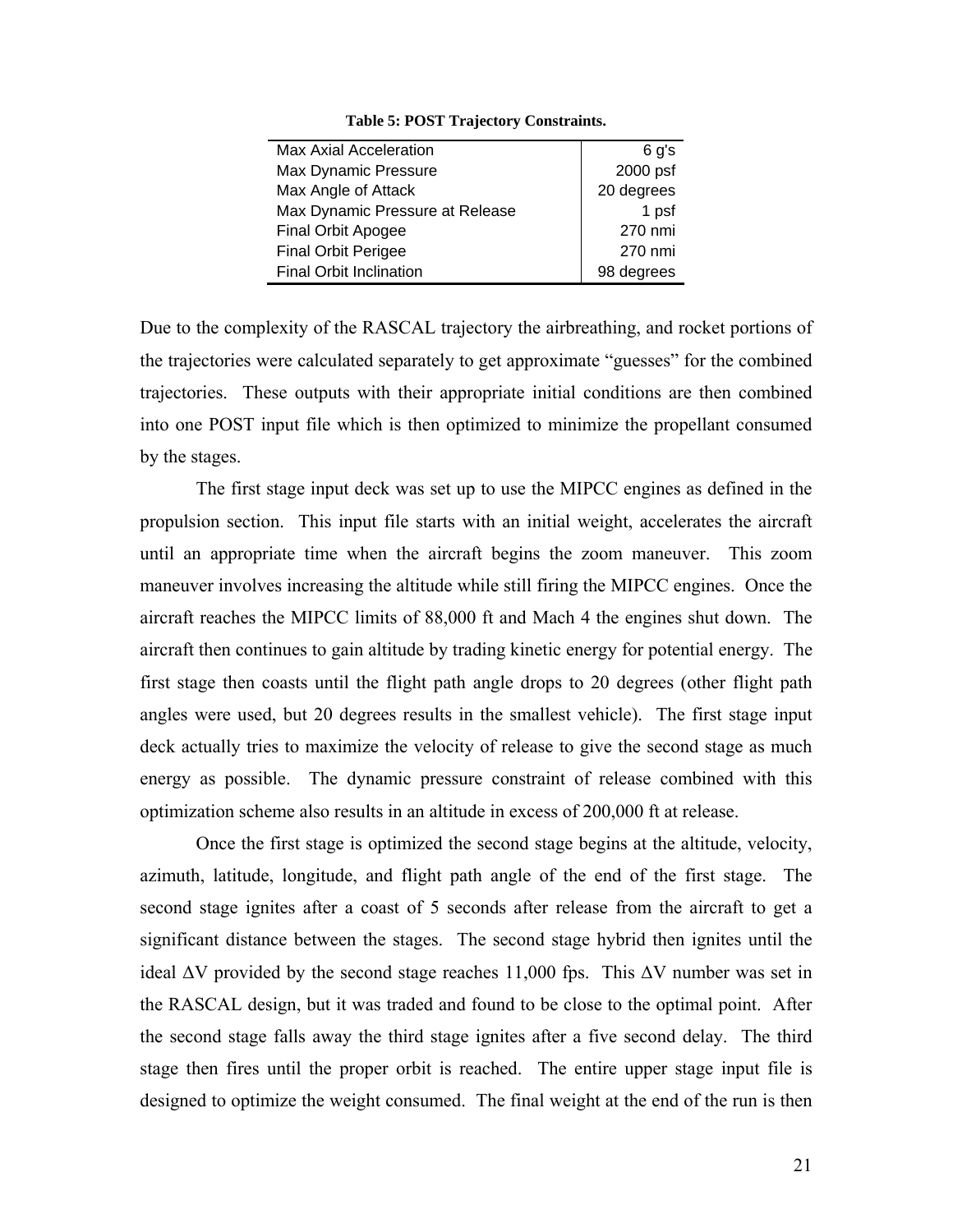| <b>Max Axial Acceleration</b>   | 6 g's      |
|---------------------------------|------------|
| Max Dynamic Pressure            | 2000 psf   |
| Max Angle of Attack             | 20 degrees |
| Max Dynamic Pressure at Release | 1 psf      |
| Final Orbit Apogee              | 270 nmi    |
| <b>Final Orbit Perigee</b>      | 270 nmi    |
| <b>Final Orbit Inclination</b>  | 98 degrees |

#### **Table 5: POST Trajectory Constraints.**

Due to the complexity of the RASCAL trajectory the airbreathing, and rocket portions of the trajectories were calculated separately to get approximate "guesses" for the combined trajectories. These outputs with their appropriate initial conditions are then combined into one POST input file which is then optimized to minimize the propellant consumed by the stages.

 The first stage input deck was set up to use the MIPCC engines as defined in the propulsion section. This input file starts with an initial weight, accelerates the aircraft until an appropriate time when the aircraft begins the zoom maneuver. This zoom maneuver involves increasing the altitude while still firing the MIPCC engines. Once the aircraft reaches the MIPCC limits of 88,000 ft and Mach 4 the engines shut down. The aircraft then continues to gain altitude by trading kinetic energy for potential energy. The first stage then coasts until the flight path angle drops to 20 degrees (other flight path angles were used, but 20 degrees results in the smallest vehicle). The first stage input deck actually tries to maximize the velocity of release to give the second stage as much energy as possible. The dynamic pressure constraint of release combined with this optimization scheme also results in an altitude in excess of 200,000 ft at release.

Once the first stage is optimized the second stage begins at the altitude, velocity, azimuth, latitude, longitude, and flight path angle of the end of the first stage. The second stage ignites after a coast of 5 seconds after release from the aircraft to get a significant distance between the stages. The second stage hybrid then ignites until the ideal  $\Delta V$  provided by the second stage reaches 11,000 fps. This  $\Delta V$  number was set in the RASCAL design, but it was traded and found to be close to the optimal point. After the second stage falls away the third stage ignites after a five second delay. The third stage then fires until the proper orbit is reached. The entire upper stage input file is designed to optimize the weight consumed. The final weight at the end of the run is then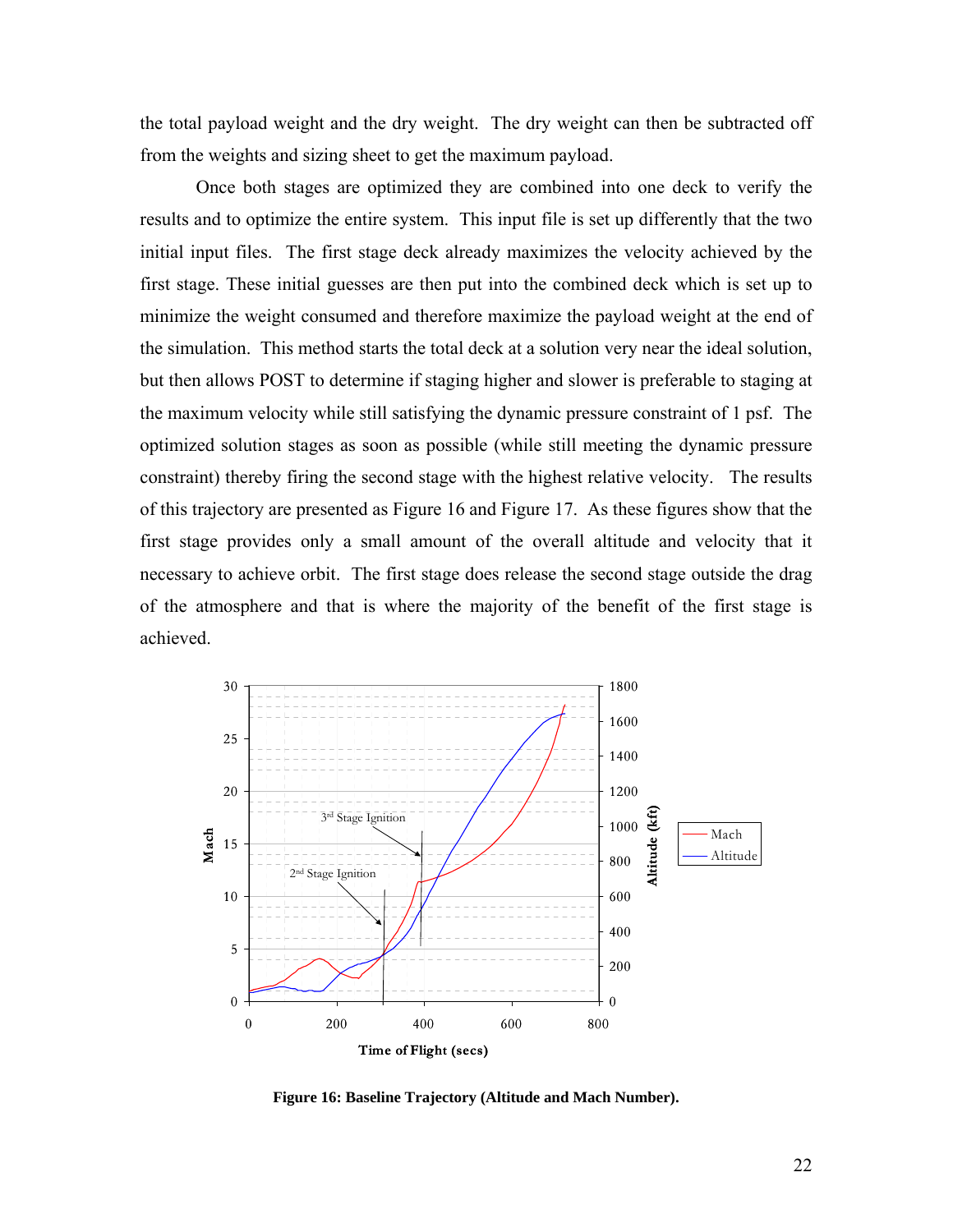the total payload weight and the dry weight. The dry weight can then be subtracted off from the weights and sizing sheet to get the maximum payload.

Once both stages are optimized they are combined into one deck to verify the results and to optimize the entire system. This input file is set up differently that the two initial input files. The first stage deck already maximizes the velocity achieved by the first stage. These initial guesses are then put into the combined deck which is set up to minimize the weight consumed and therefore maximize the payload weight at the end of the simulation. This method starts the total deck at a solution very near the ideal solution, but then allows POST to determine if staging higher and slower is preferable to staging at the maximum velocity while still satisfying the dynamic pressure constraint of 1 psf. The optimized solution stages as soon as possible (while still meeting the dynamic pressure constraint) thereby firing the second stage with the highest relative velocity. The results of this trajectory are presented as Figure 16 and Figure 17. As these figures show that the first stage provides only a small amount of the overall altitude and velocity that it necessary to achieve orbit. The first stage does release the second stage outside the drag of the atmosphere and that is where the majority of the benefit of the first stage is achieved.



**Figure 16: Baseline Trajectory (Altitude and Mach Number).**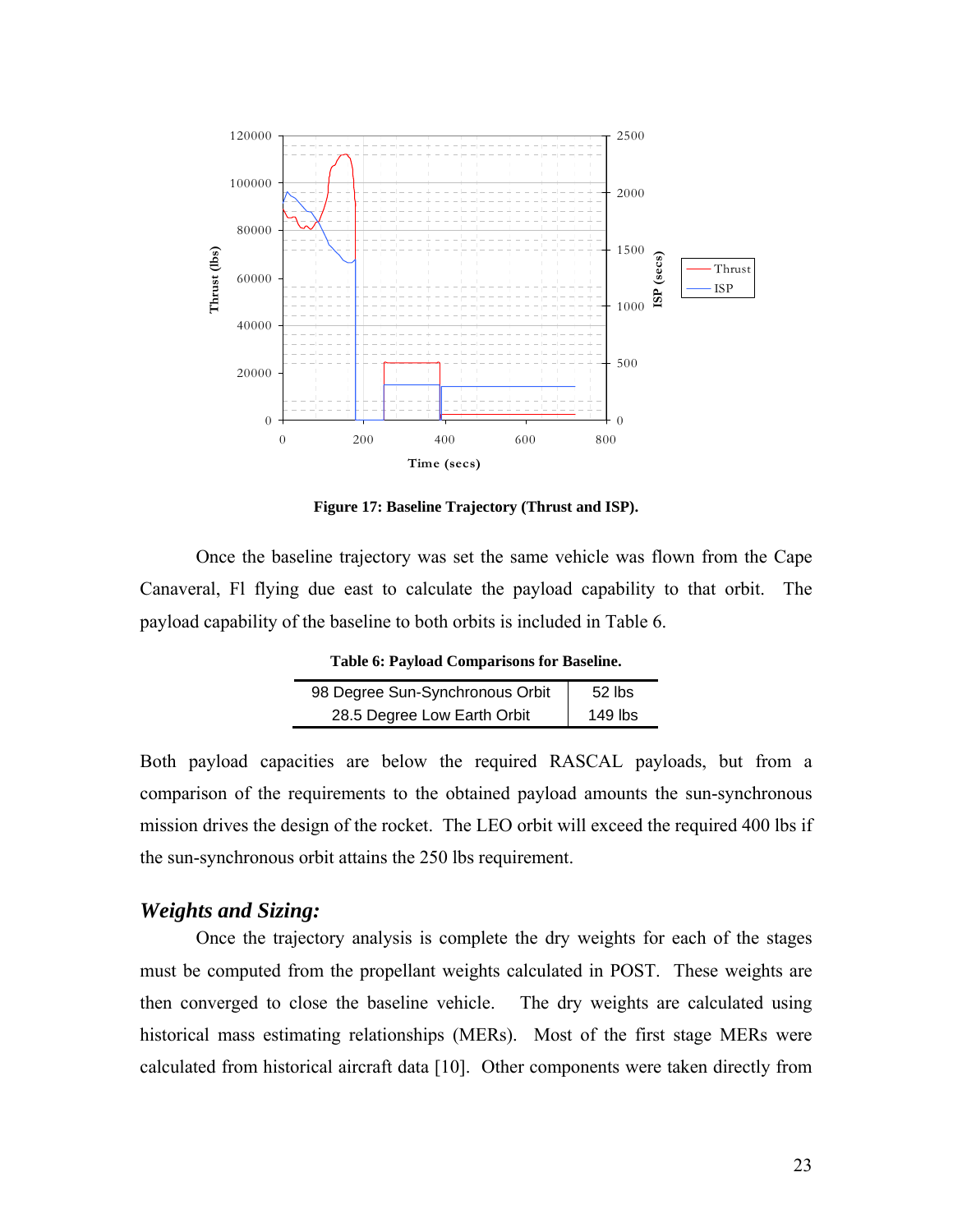

**Figure 17: Baseline Trajectory (Thrust and ISP).** 

 Once the baseline trajectory was set the same vehicle was flown from the Cape Canaveral, Fl flying due east to calculate the payload capability to that orbit. The payload capability of the baseline to both orbits is included in Table 6.

**Table 6: Payload Comparisons for Baseline.** 

| 98 Degree Sun-Synchronous Orbit | $52$ lbs  |
|---------------------------------|-----------|
| 28.5 Degree Low Earth Orbit     | $149$ lbs |

Both payload capacities are below the required RASCAL payloads, but from a comparison of the requirements to the obtained payload amounts the sun-synchronous mission drives the design of the rocket. The LEO orbit will exceed the required 400 lbs if the sun-synchronous orbit attains the 250 lbs requirement.

#### *Weights and Sizing:*

 Once the trajectory analysis is complete the dry weights for each of the stages must be computed from the propellant weights calculated in POST. These weights are then converged to close the baseline vehicle. The dry weights are calculated using historical mass estimating relationships (MERs). Most of the first stage MERs were calculated from historical aircraft data [10]. Other components were taken directly from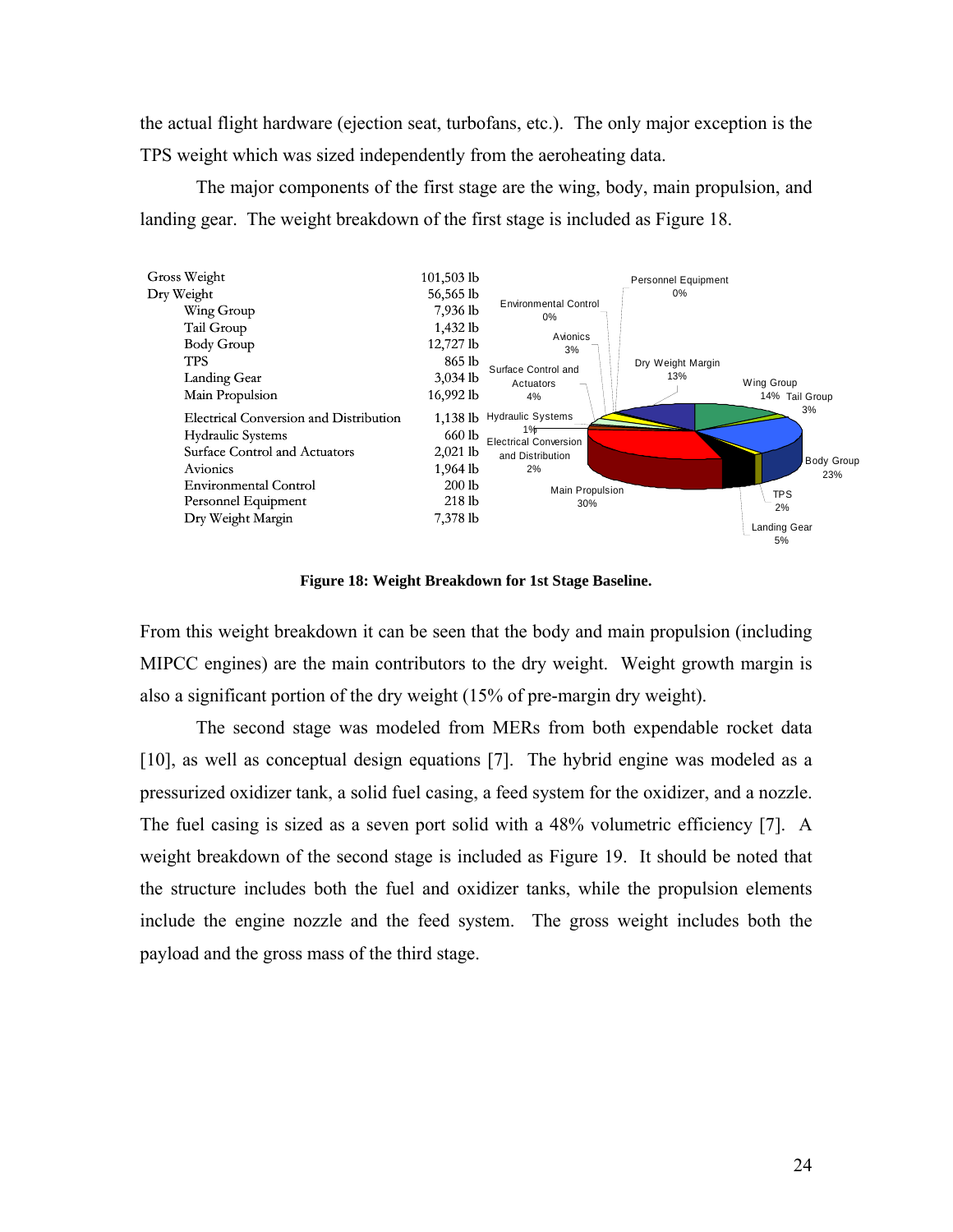the actual flight hardware (ejection seat, turbofans, etc.). The only major exception is the TPS weight which was sized independently from the aeroheating data.

landing gear. The weight breakdown of the first stage is included as Figure 18.

The major components of the first stage are the wing, body, main propulsion, and

Avionics 1,964 lb Surface Control and Actuators 2,021 lb Hydraulic Systems 660 lb Electrical Conversion and Distribution Main Propulsion 16,992 lb Landing Gear 3,034 lb TPS 865 lb Body Group 12,727 lb Tail Group 1,432 lb Wing Group 7,936 lb Dry Weight 56,565 lb Gross Weight 101,503 lb Wing Group 14% Tail Group 3% Body Group 23% 1,138 lb Hydraulic Systems 1% Surface Control and Actuators 4% Avionics 3% Environmental Control 0% Electrical Conversion and Distribution 2% Personnel Equipment 0% Dry Weight Margin 13%

> Main Propulsion 30%



Dry Weight Margin 7,378 lb Personnel Equipment 218 lb Environmental Control 200 lb

From this weight breakdown it can be seen that the body and main propulsion (including MIPCC engines) are the main contributors to the dry weight. Weight growth margin is also a significant portion of the dry weight (15% of pre-margin dry weight).

 The second stage was modeled from MERs from both expendable rocket data [10], as well as conceptual design equations [7]. The hybrid engine was modeled as a pressurized oxidizer tank, a solid fuel casing, a feed system for the oxidizer, and a nozzle. The fuel casing is sized as a seven port solid with a 48% volumetric efficiency [7]. A weight breakdown of the second stage is included as Figure 19. It should be noted that the structure includes both the fuel and oxidizer tanks, while the propulsion elements include the engine nozzle and the feed system. The gross weight includes both the payload and the gross mass of the third stage.

24

TPS 2% Landing Gear 5%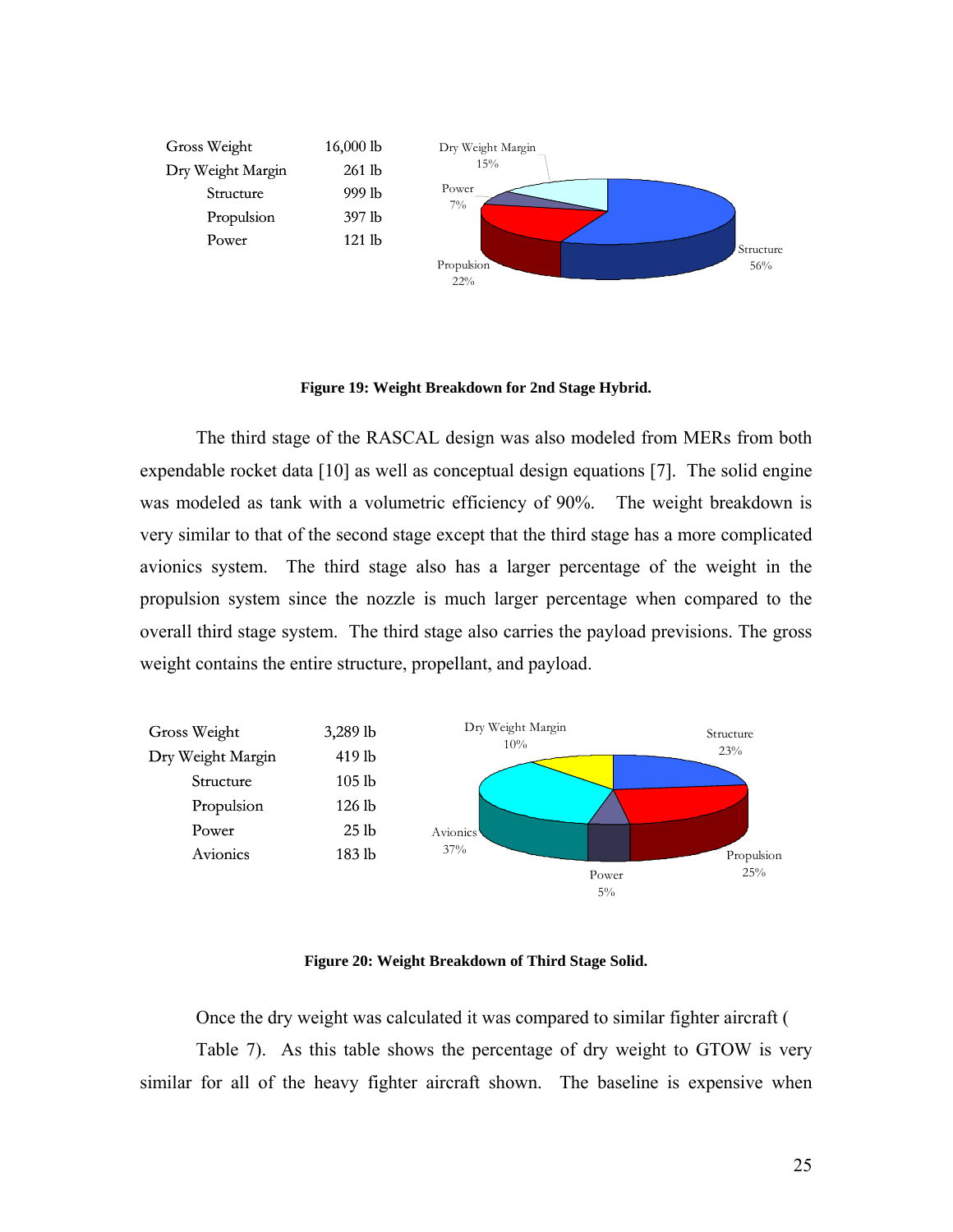

**Figure 19: Weight Breakdown for 2nd Stage Hybrid.** 

 The third stage of the RASCAL design was also modeled from MERs from both expendable rocket data [10] as well as conceptual design equations [7]. The solid engine was modeled as tank with a volumetric efficiency of 90%. The weight breakdown is very similar to that of the second stage except that the third stage has a more complicated avionics system. The third stage also has a larger percentage of the weight in the propulsion system since the nozzle is much larger percentage when compared to the overall third stage system. The third stage also carries the payload previsions. The gross weight contains the entire structure, propellant, and payload.





Once the dry weight was calculated it was compared to similar fighter aircraft ( Table 7). As this table shows the percentage of dry weight to GTOW is very similar for all of the heavy fighter aircraft shown. The baseline is expensive when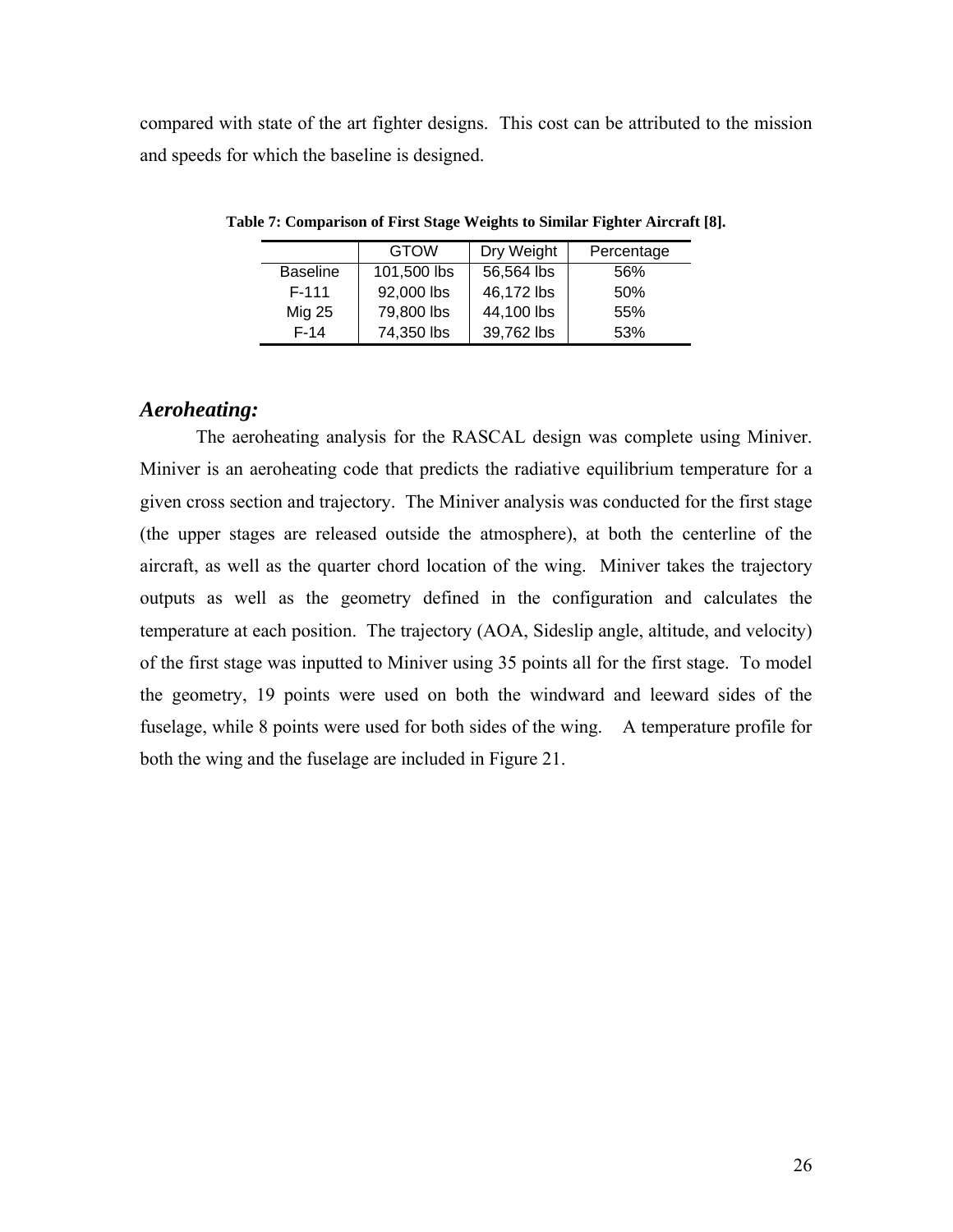compared with state of the art fighter designs. This cost can be attributed to the mission and speeds for which the baseline is designed.

|                 | <b>GTOW</b> | Dry Weight | Percentage |
|-----------------|-------------|------------|------------|
| <b>Baseline</b> | 101,500 lbs | 56,564 lbs | 56%        |
| $F-111$         | 92,000 lbs  | 46,172 lbs | 50%        |
| Mig 25          | 79,800 lbs  | 44,100 lbs | 55%        |
| $F-14$          | 74,350 lbs  | 39,762 lbs | 53%        |

**Table 7: Comparison of First Stage Weights to Similar Fighter Aircraft [8].** 

#### *Aeroheating:*

 The aeroheating analysis for the RASCAL design was complete using Miniver. Miniver is an aeroheating code that predicts the radiative equilibrium temperature for a given cross section and trajectory. The Miniver analysis was conducted for the first stage (the upper stages are released outside the atmosphere), at both the centerline of the aircraft, as well as the quarter chord location of the wing. Miniver takes the trajectory outputs as well as the geometry defined in the configuration and calculates the temperature at each position. The trajectory (AOA, Sideslip angle, altitude, and velocity) of the first stage was inputted to Miniver using 35 points all for the first stage. To model the geometry, 19 points were used on both the windward and leeward sides of the fuselage, while 8 points were used for both sides of the wing. A temperature profile for both the wing and the fuselage are included in Figure 21.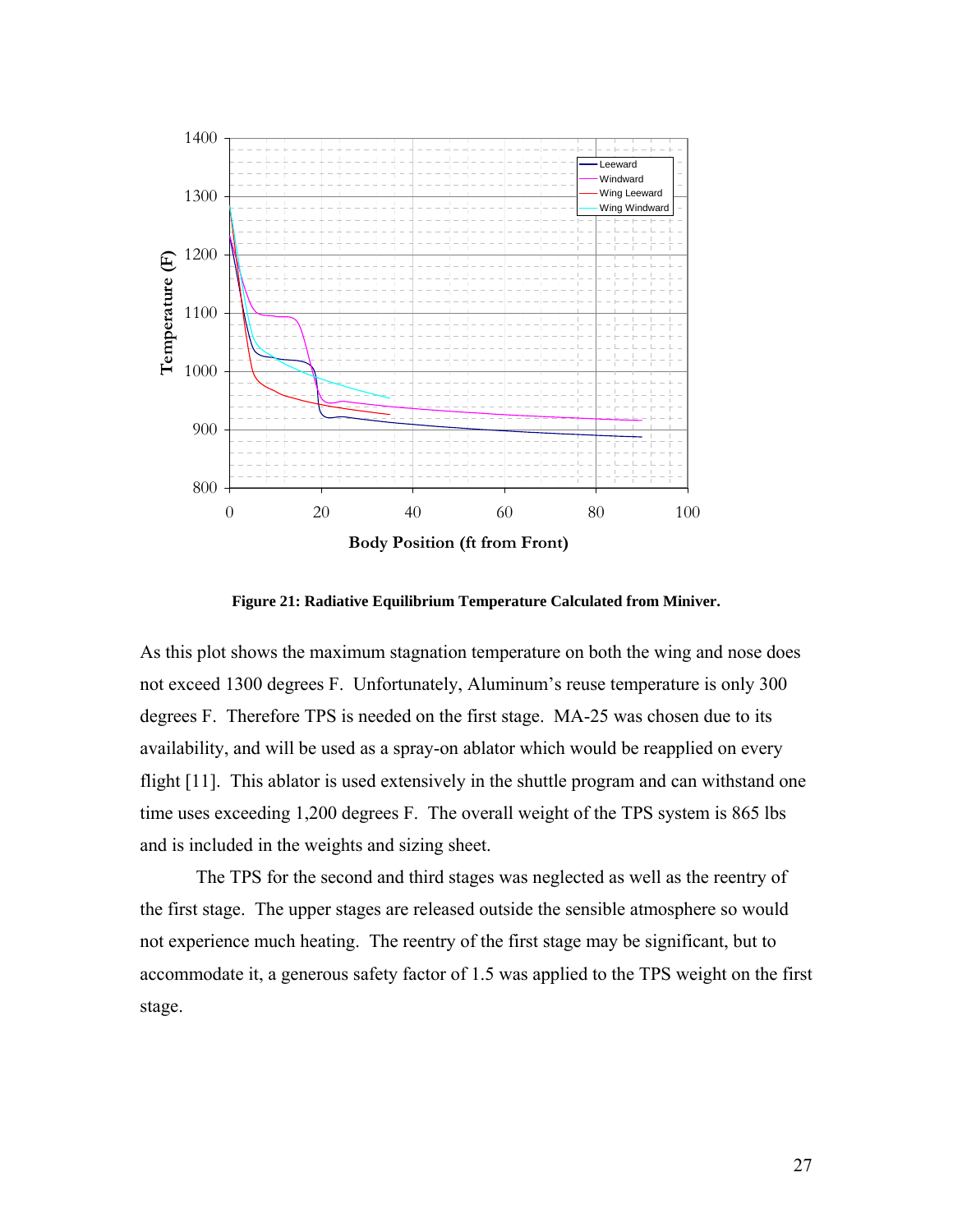

**Figure 21: Radiative Equilibrium Temperature Calculated from Miniver.** 

As this plot shows the maximum stagnation temperature on both the wing and nose does not exceed 1300 degrees F. Unfortunately, Aluminum's reuse temperature is only 300 degrees F. Therefore TPS is needed on the first stage. MA-25 was chosen due to its availability, and will be used as a spray-on ablator which would be reapplied on every flight [11]. This ablator is used extensively in the shuttle program and can withstand one time uses exceeding 1,200 degrees F. The overall weight of the TPS system is 865 lbs and is included in the weights and sizing sheet.

 The TPS for the second and third stages was neglected as well as the reentry of the first stage. The upper stages are released outside the sensible atmosphere so would not experience much heating. The reentry of the first stage may be significant, but to accommodate it, a generous safety factor of 1.5 was applied to the TPS weight on the first stage.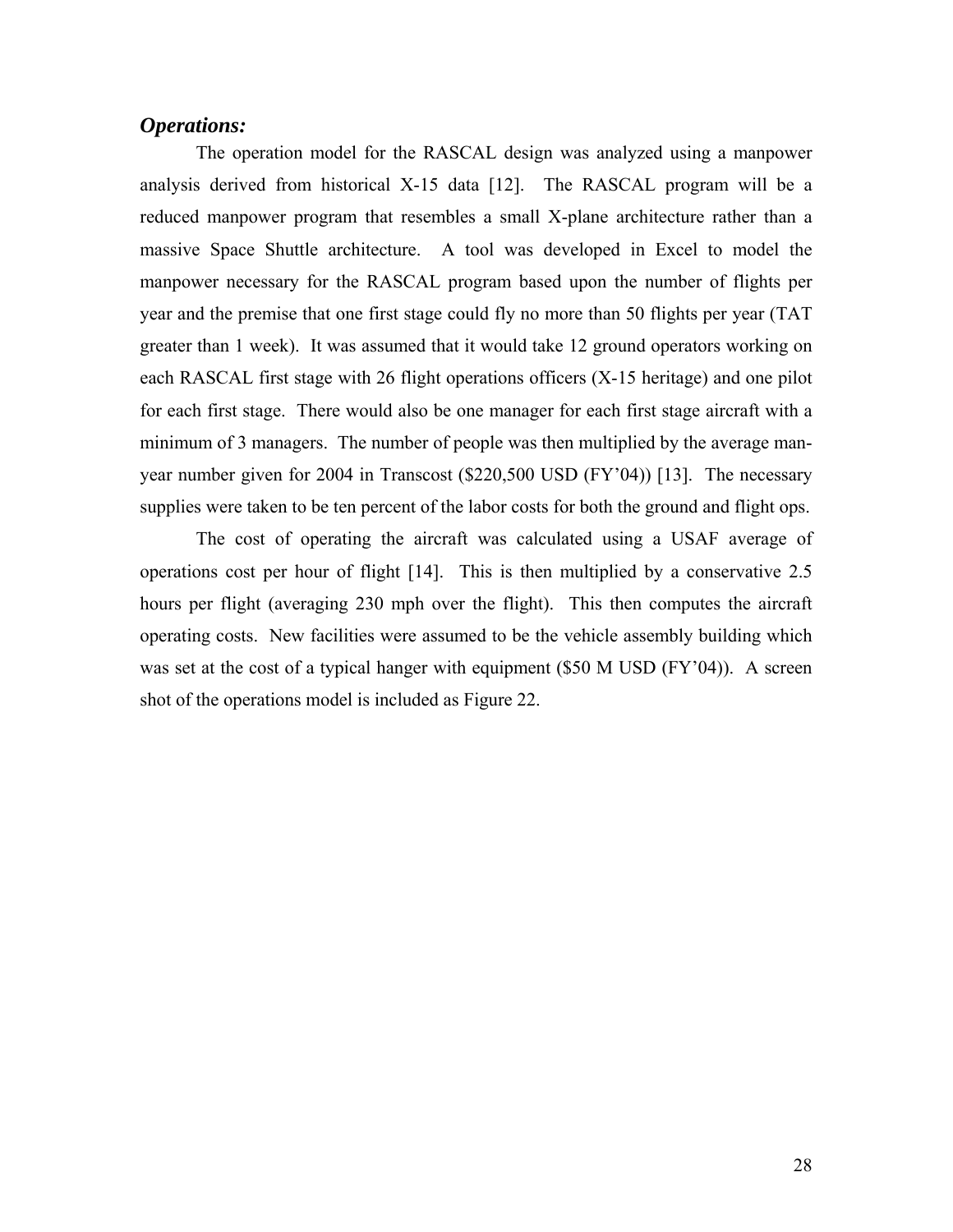#### *Operations:*

 The operation model for the RASCAL design was analyzed using a manpower analysis derived from historical X-15 data [12]. The RASCAL program will be a reduced manpower program that resembles a small X-plane architecture rather than a massive Space Shuttle architecture. A tool was developed in Excel to model the manpower necessary for the RASCAL program based upon the number of flights per year and the premise that one first stage could fly no more than 50 flights per year (TAT greater than 1 week). It was assumed that it would take 12 ground operators working on each RASCAL first stage with 26 flight operations officers (X-15 heritage) and one pilot for each first stage. There would also be one manager for each first stage aircraft with a minimum of 3 managers. The number of people was then multiplied by the average manyear number given for 2004 in Transcost (\$220,500 USD (FY'04)) [13]. The necessary supplies were taken to be ten percent of the labor costs for both the ground and flight ops.

The cost of operating the aircraft was calculated using a USAF average of operations cost per hour of flight [14]. This is then multiplied by a conservative 2.5 hours per flight (averaging 230 mph over the flight). This then computes the aircraft operating costs. New facilities were assumed to be the vehicle assembly building which was set at the cost of a typical hanger with equipment (\$50 M USD (FY'04)). A screen shot of the operations model is included as Figure 22.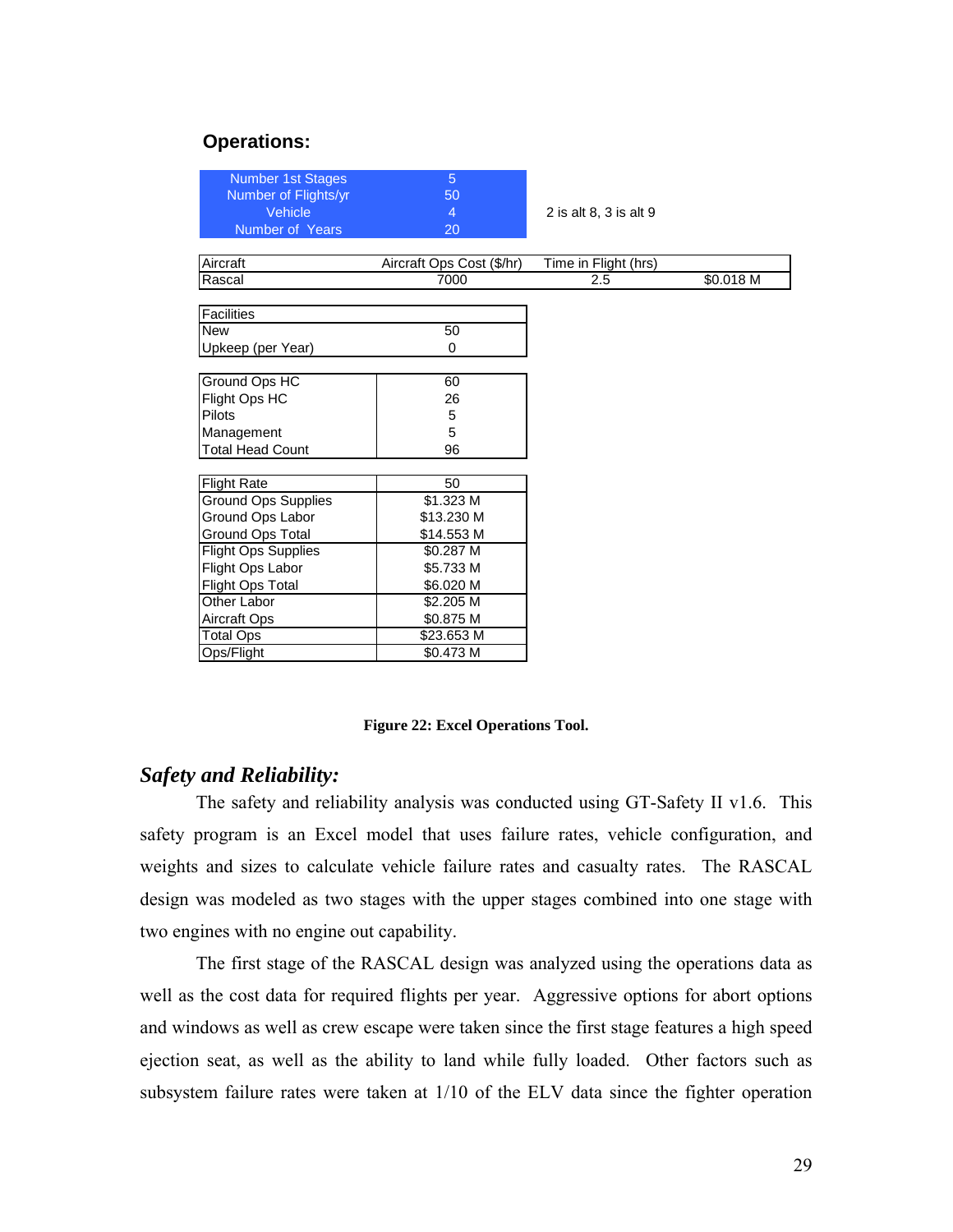#### **Operations:**

| <b>Number 1st Stages</b><br>Number of Flights/yr<br>Vehicle<br>Number of Years | 5<br>50<br>$\overline{4}$<br>20 | 2 is alt 8, 3 is alt 9 |            |
|--------------------------------------------------------------------------------|---------------------------------|------------------------|------------|
| Aircraft                                                                       | Aircraft Ops Cost (\$/hr)       | Time in Flight (hrs)   |            |
| Rascal                                                                         | 7000                            | 2.5                    | $$0.018$ M |
|                                                                                |                                 |                        |            |
| <b>Facilities</b>                                                              |                                 |                        |            |
| <b>New</b>                                                                     | 50                              |                        |            |
| Upkeep (per Year)                                                              | 0                               |                        |            |
|                                                                                |                                 |                        |            |
| Ground Ops HC                                                                  | 60                              |                        |            |
| Flight Ops HC                                                                  | 26                              |                        |            |
| <b>Pilots</b>                                                                  | 5                               |                        |            |
| Management                                                                     | 5                               |                        |            |
| <b>Total Head Count</b>                                                        | 96                              |                        |            |
|                                                                                |                                 |                        |            |
| <b>Flight Rate</b>                                                             | 50                              |                        |            |
| <b>Ground Ops Supplies</b>                                                     | \$1.323 M                       |                        |            |
| Ground Ops Labor                                                               | \$13.230 M                      |                        |            |
| Ground Ops Total                                                               | \$14.553 M                      |                        |            |
| Flight Ops Supplies                                                            | \$0.287 M                       |                        |            |
| Flight Ops Labor                                                               | \$5.733 M                       |                        |            |
| Flight Ops Total                                                               | \$6.020 M                       |                        |            |
| Other Labor                                                                    | \$2.205 M                       |                        |            |
| Aircraft Ops                                                                   | \$0.875 M                       |                        |            |
| <b>Total Ops</b>                                                               | \$23.653 M                      |                        |            |
| Ops/Flight                                                                     | \$0.473 M                       |                        |            |

#### **Figure 22: Excel Operations Tool.**

### *Safety and Reliability:*

 The safety and reliability analysis was conducted using GT-Safety II v1.6. This safety program is an Excel model that uses failure rates, vehicle configuration, and weights and sizes to calculate vehicle failure rates and casualty rates. The RASCAL design was modeled as two stages with the upper stages combined into one stage with two engines with no engine out capability.

 The first stage of the RASCAL design was analyzed using the operations data as well as the cost data for required flights per year. Aggressive options for abort options and windows as well as crew escape were taken since the first stage features a high speed ejection seat, as well as the ability to land while fully loaded. Other factors such as subsystem failure rates were taken at 1/10 of the ELV data since the fighter operation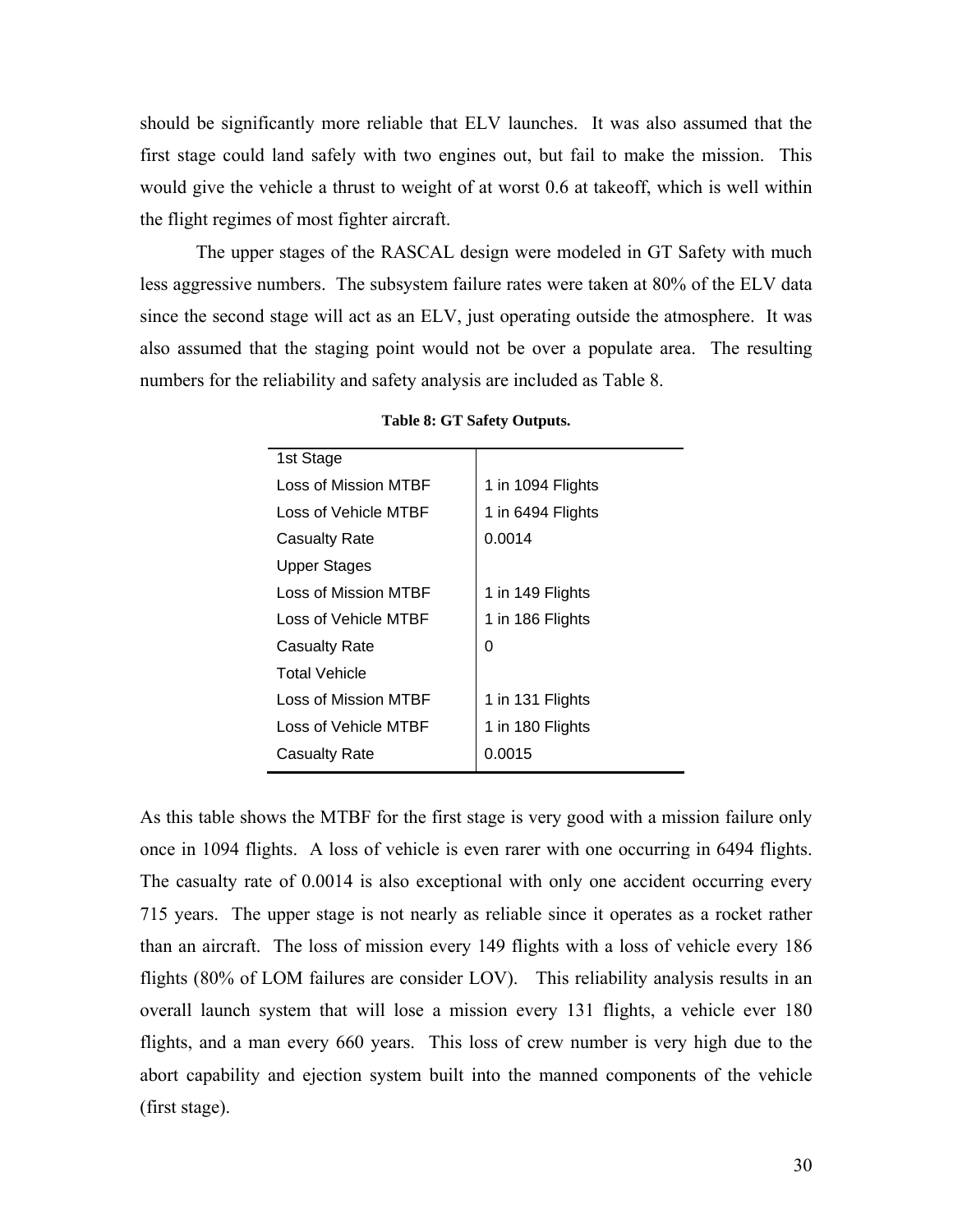should be significantly more reliable that ELV launches. It was also assumed that the first stage could land safely with two engines out, but fail to make the mission. This would give the vehicle a thrust to weight of at worst 0.6 at takeoff, which is well within the flight regimes of most fighter aircraft.

 The upper stages of the RASCAL design were modeled in GT Safety with much less aggressive numbers. The subsystem failure rates were taken at 80% of the ELV data since the second stage will act as an ELV, just operating outside the atmosphere. It was also assumed that the staging point would not be over a populate area. The resulting numbers for the reliability and safety analysis are included as Table 8.

| 1st Stage            |                   |
|----------------------|-------------------|
| Loss of Mission MTBF | 1 in 1094 Flights |
| Loss of Vehicle MTBF | 1 in 6494 Flights |
| <b>Casualty Rate</b> | 0.0014            |
| Upper Stages         |                   |
| Loss of Mission MTBF | 1 in 149 Flights  |
| Loss of Vehicle MTBF | 1 in 186 Flights  |
| <b>Casualty Rate</b> | 0                 |
| Total Vehicle        |                   |
| Loss of Mission MTBF | 1 in 131 Flights  |
| Loss of Vehicle MTBF | 1 in 180 Flights  |
| <b>Casualty Rate</b> | 0.0015            |
|                      |                   |

**Table 8: GT Safety Outputs.** 

As this table shows the MTBF for the first stage is very good with a mission failure only once in 1094 flights. A loss of vehicle is even rarer with one occurring in 6494 flights. The casualty rate of 0.0014 is also exceptional with only one accident occurring every 715 years. The upper stage is not nearly as reliable since it operates as a rocket rather than an aircraft. The loss of mission every 149 flights with a loss of vehicle every 186 flights (80% of LOM failures are consider LOV). This reliability analysis results in an overall launch system that will lose a mission every 131 flights, a vehicle ever 180 flights, and a man every 660 years. This loss of crew number is very high due to the abort capability and ejection system built into the manned components of the vehicle (first stage).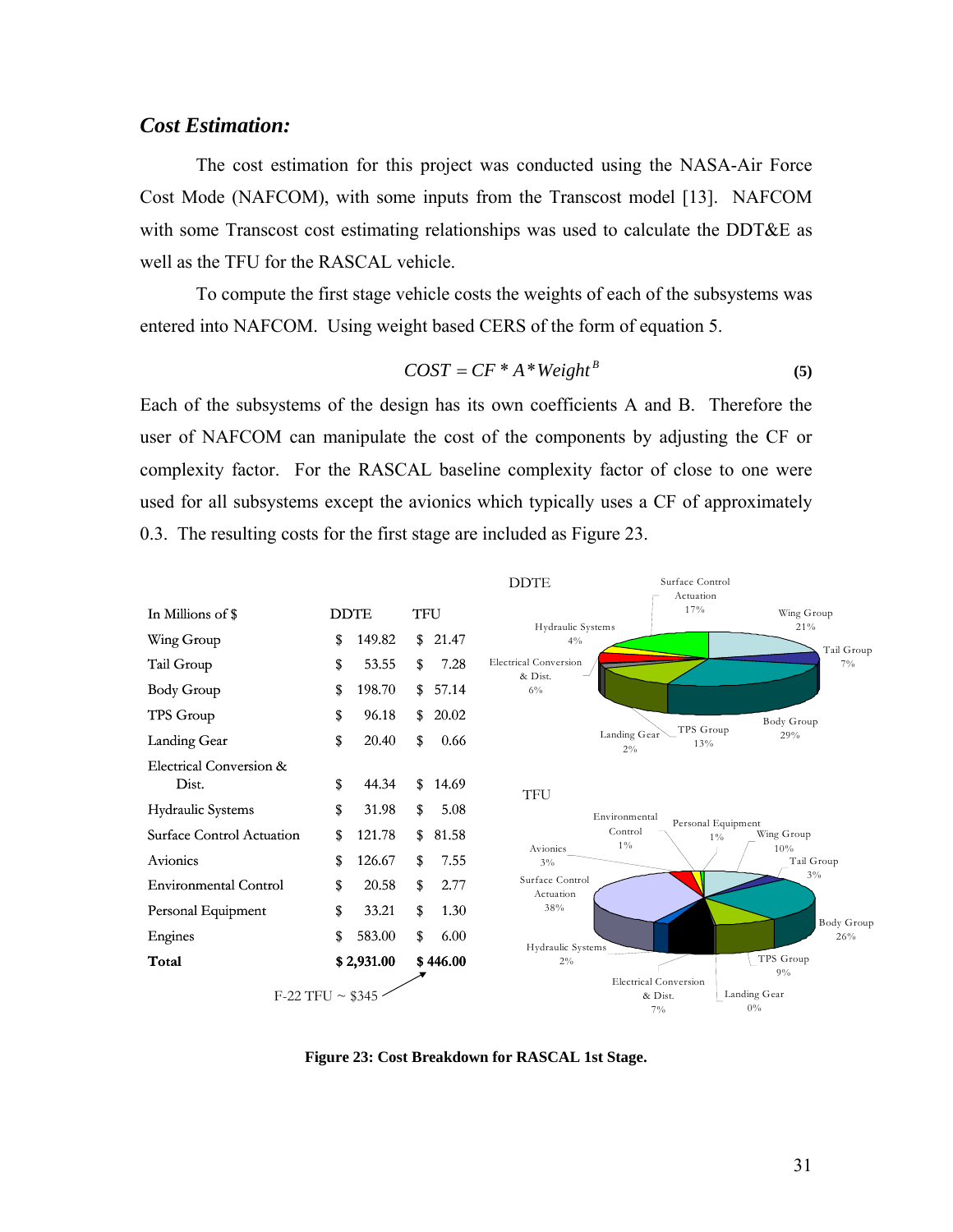#### *Cost Estimation:*

 The cost estimation for this project was conducted using the NASA-Air Force Cost Mode (NAFCOM), with some inputs from the Transcost model [13]. NAFCOM with some Transcost cost estimating relationships was used to calculate the DDT&E as well as the TFU for the RASCAL vehicle.

 To compute the first stage vehicle costs the weights of each of the subsystems was entered into NAFCOM. Using weight based CERS of the form of equation 5.

$$
COST = CF^*A^*Weight^B \tag{5}
$$

Each of the subsystems of the design has its own coefficients A and B. Therefore the user of NAFCOM can manipulate the cost of the components by adjusting the CF or complexity factor. For the RASCAL baseline complexity factor of close to one were used for all subsystems except the avionics which typically uses a CF of approximately 0.3. The resulting costs for the first stage are included as Figure 23.



**Figure 23: Cost Breakdown for RASCAL 1st Stage.**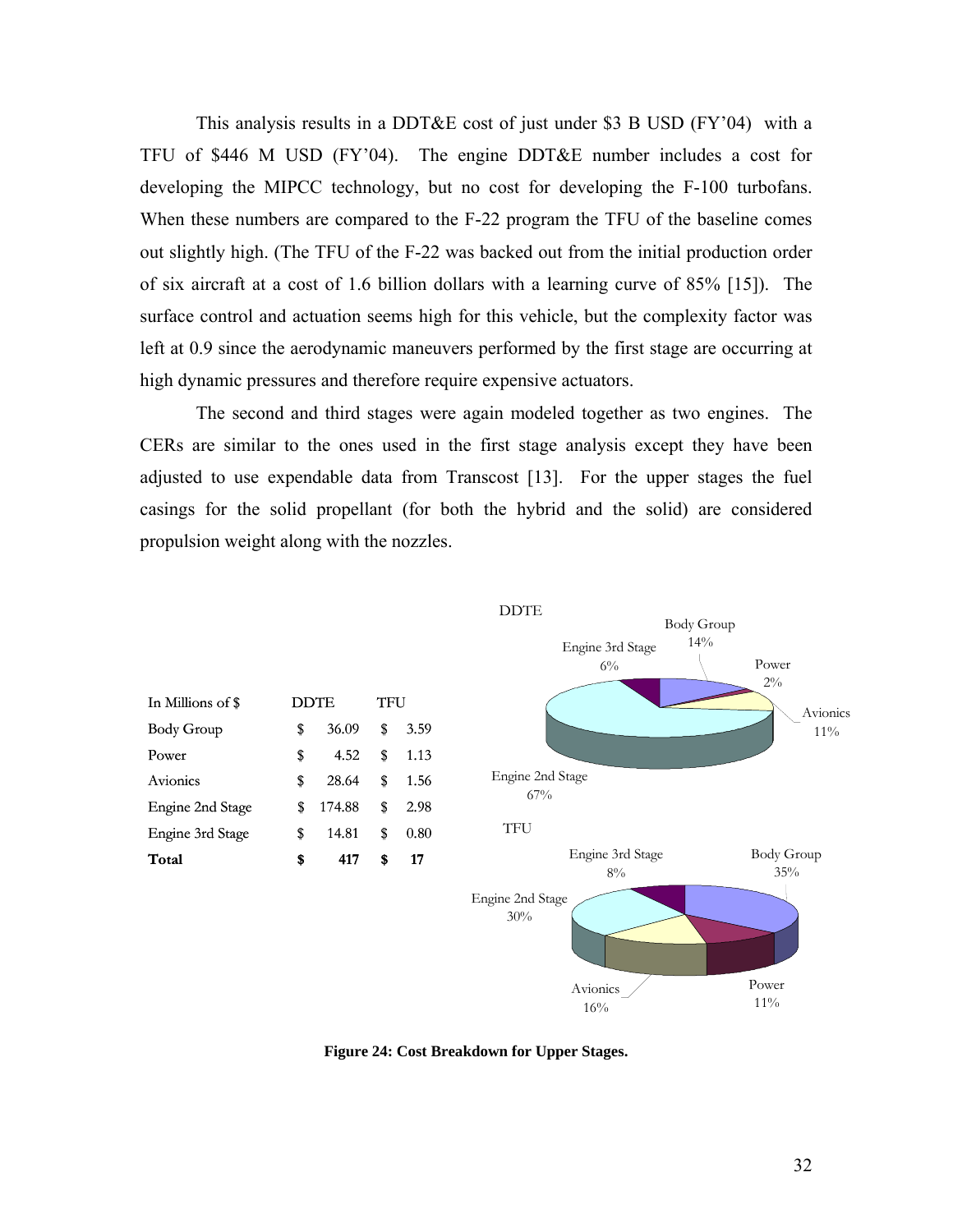This analysis results in a DDT&E cost of just under \$3 B USD (FY'04) with a TFU of \$446 M USD (FY'04). The engine DDT&E number includes a cost for developing the MIPCC technology, but no cost for developing the F-100 turbofans. When these numbers are compared to the F-22 program the TFU of the baseline comes out slightly high. (The TFU of the F-22 was backed out from the initial production order of six aircraft at a cost of 1.6 billion dollars with a learning curve of 85% [15]). The surface control and actuation seems high for this vehicle, but the complexity factor was left at 0.9 since the aerodynamic maneuvers performed by the first stage are occurring at high dynamic pressures and therefore require expensive actuators.

The second and third stages were again modeled together as two engines. The CERs are similar to the ones used in the first stage analysis except they have been adjusted to use expendable data from Transcost [13]. For the upper stages the fuel casings for the solid propellant (for both the hybrid and the solid) are considered propulsion weight along with the nozzles.



**Figure 24: Cost Breakdown for Upper Stages.**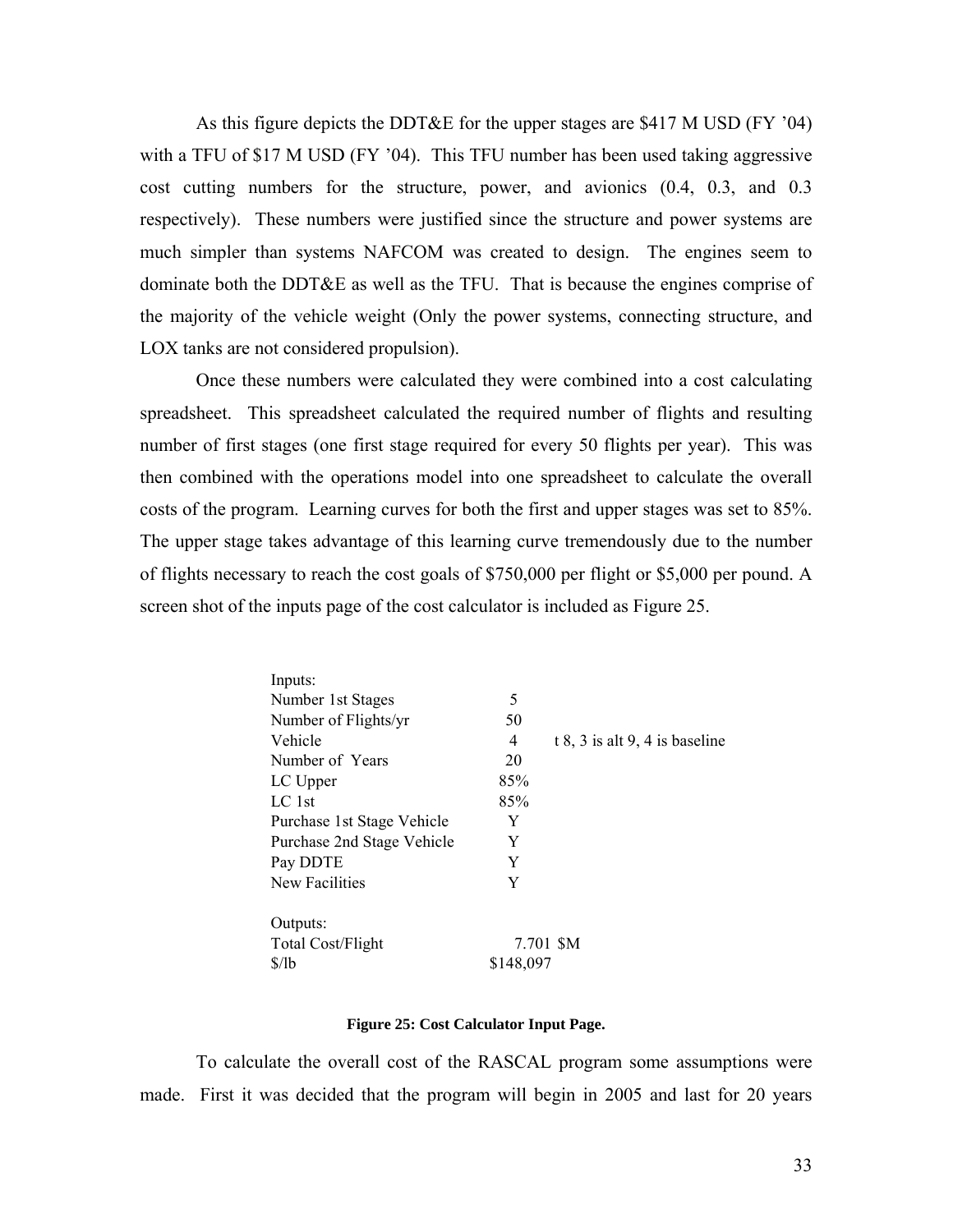As this figure depicts the DDT&E for the upper stages are \$417 M USD (FY '04) with a TFU of \$17 M USD (FY '04). This TFU number has been used taking aggressive cost cutting numbers for the structure, power, and avionics (0.4, 0.3, and 0.3 respectively). These numbers were justified since the structure and power systems are much simpler than systems NAFCOM was created to design. The engines seem to dominate both the DDT&E as well as the TFU. That is because the engines comprise of the majority of the vehicle weight (Only the power systems, connecting structure, and LOX tanks are not considered propulsion).

 Once these numbers were calculated they were combined into a cost calculating spreadsheet. This spreadsheet calculated the required number of flights and resulting number of first stages (one first stage required for every 50 flights per year). This was then combined with the operations model into one spreadsheet to calculate the overall costs of the program. Learning curves for both the first and upper stages was set to 85%. The upper stage takes advantage of this learning curve tremendously due to the number of flights necessary to reach the cost goals of \$750,000 per flight or \$5,000 per pound. A screen shot of the inputs page of the cost calculator is included as Figure 25.

| Inputs:<br>Number 1st Stages<br>Number of Flights/yr<br>Vehicle<br>Number of Years<br>LC Upper<br>LC 1st<br>Purchase 1st Stage Vehicle<br>Purchase 2nd Stage Vehicle | 5<br>50<br>4<br>20<br>85%<br>85%<br>Y<br>Y | t 8, 3 is alt 9, 4 is baseline |
|----------------------------------------------------------------------------------------------------------------------------------------------------------------------|--------------------------------------------|--------------------------------|
| Pay DDTE<br>New Facilities                                                                                                                                           | Y<br>Y                                     |                                |
| Outputs:<br>Total Cost/Flight<br>\$/lb                                                                                                                               | 7.701 \$M<br>\$148,097                     |                                |

#### **Figure 25: Cost Calculator Input Page.**

 To calculate the overall cost of the RASCAL program some assumptions were made. First it was decided that the program will begin in 2005 and last for 20 years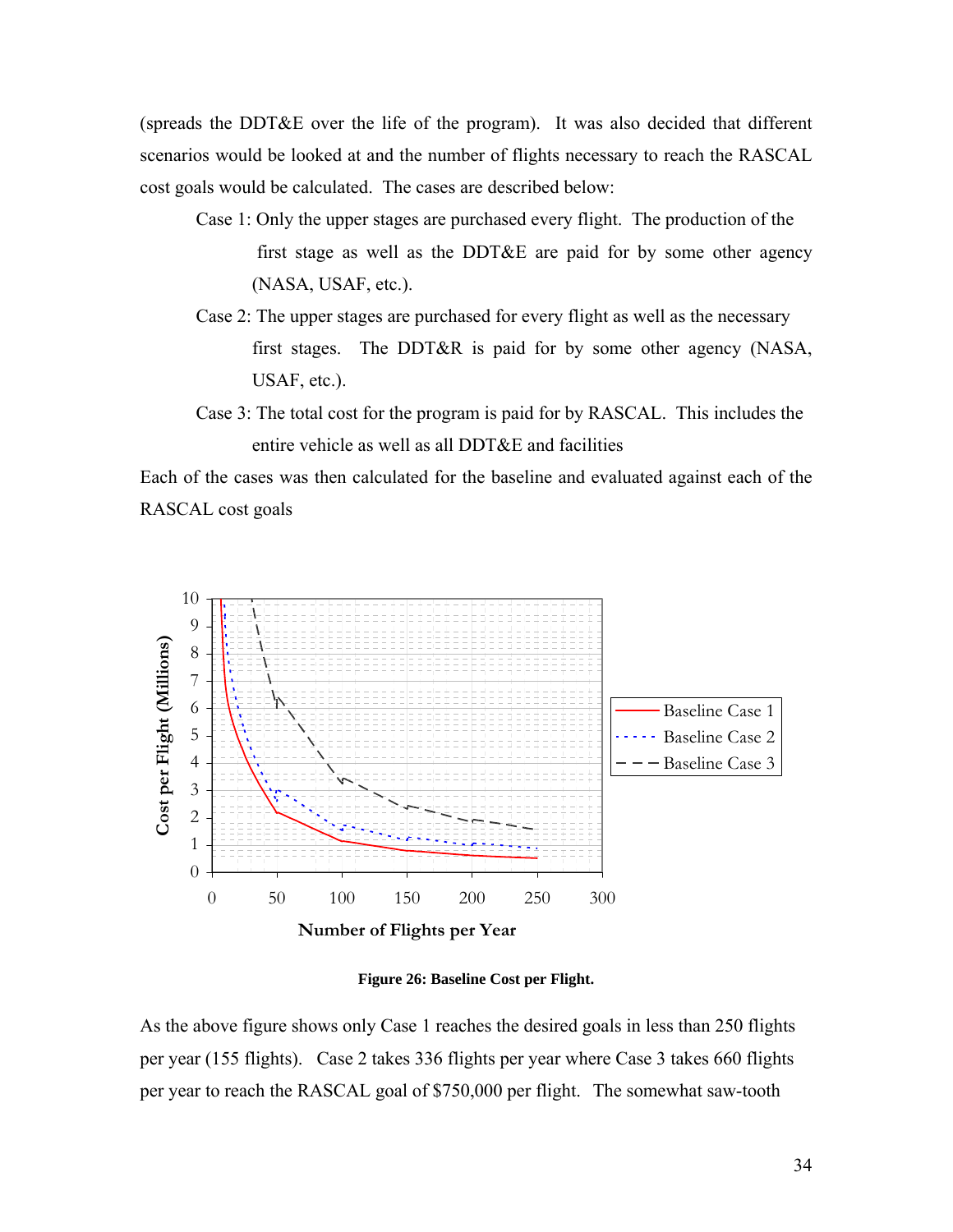(spreads the DDT&E over the life of the program). It was also decided that different scenarios would be looked at and the number of flights necessary to reach the RASCAL cost goals would be calculated. The cases are described below:

- Case 1: Only the upper stages are purchased every flight. The production of the first stage as well as the DDT&E are paid for by some other agency (NASA, USAF, etc.).
- Case 2: The upper stages are purchased for every flight as well as the necessary first stages. The DDT&R is paid for by some other agency (NASA, USAF, etc.).
- Case 3: The total cost for the program is paid for by RASCAL. This includes the entire vehicle as well as all DDT&E and facilities

Each of the cases was then calculated for the baseline and evaluated against each of the RASCAL cost goals



**Figure 26: Baseline Cost per Flight.** 

As the above figure shows only Case 1 reaches the desired goals in less than 250 flights per year (155 flights). Case 2 takes 336 flights per year where Case 3 takes 660 flights per year to reach the RASCAL goal of \$750,000 per flight. The somewhat saw-tooth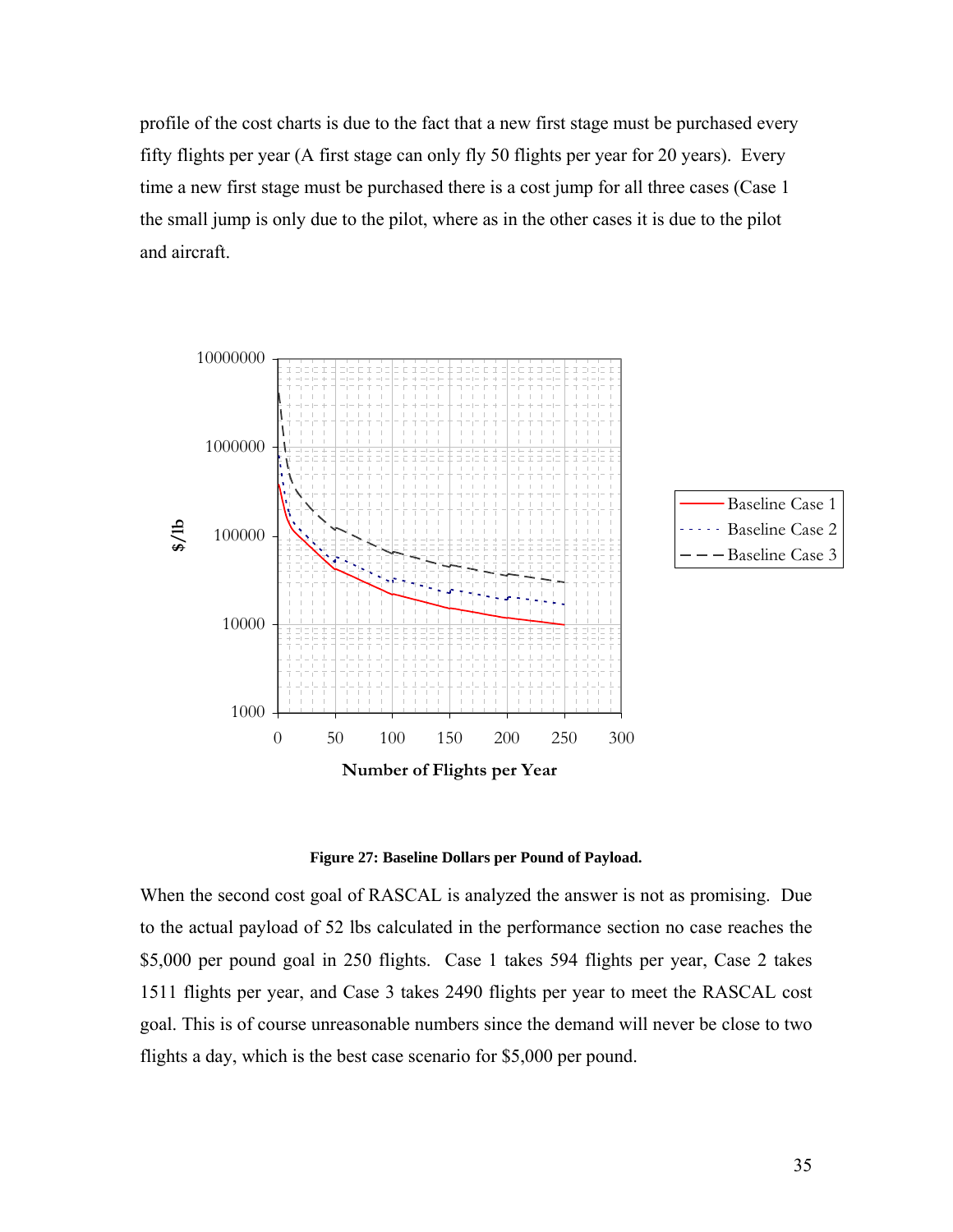profile of the cost charts is due to the fact that a new first stage must be purchased every fifty flights per year (A first stage can only fly 50 flights per year for 20 years). Every time a new first stage must be purchased there is a cost jump for all three cases (Case 1 the small jump is only due to the pilot, where as in the other cases it is due to the pilot and aircraft.



**Figure 27: Baseline Dollars per Pound of Payload.** 

When the second cost goal of RASCAL is analyzed the answer is not as promising. Due to the actual payload of 52 lbs calculated in the performance section no case reaches the \$5,000 per pound goal in 250 flights. Case 1 takes 594 flights per year, Case 2 takes 1511 flights per year, and Case 3 takes 2490 flights per year to meet the RASCAL cost goal. This is of course unreasonable numbers since the demand will never be close to two flights a day, which is the best case scenario for \$5,000 per pound.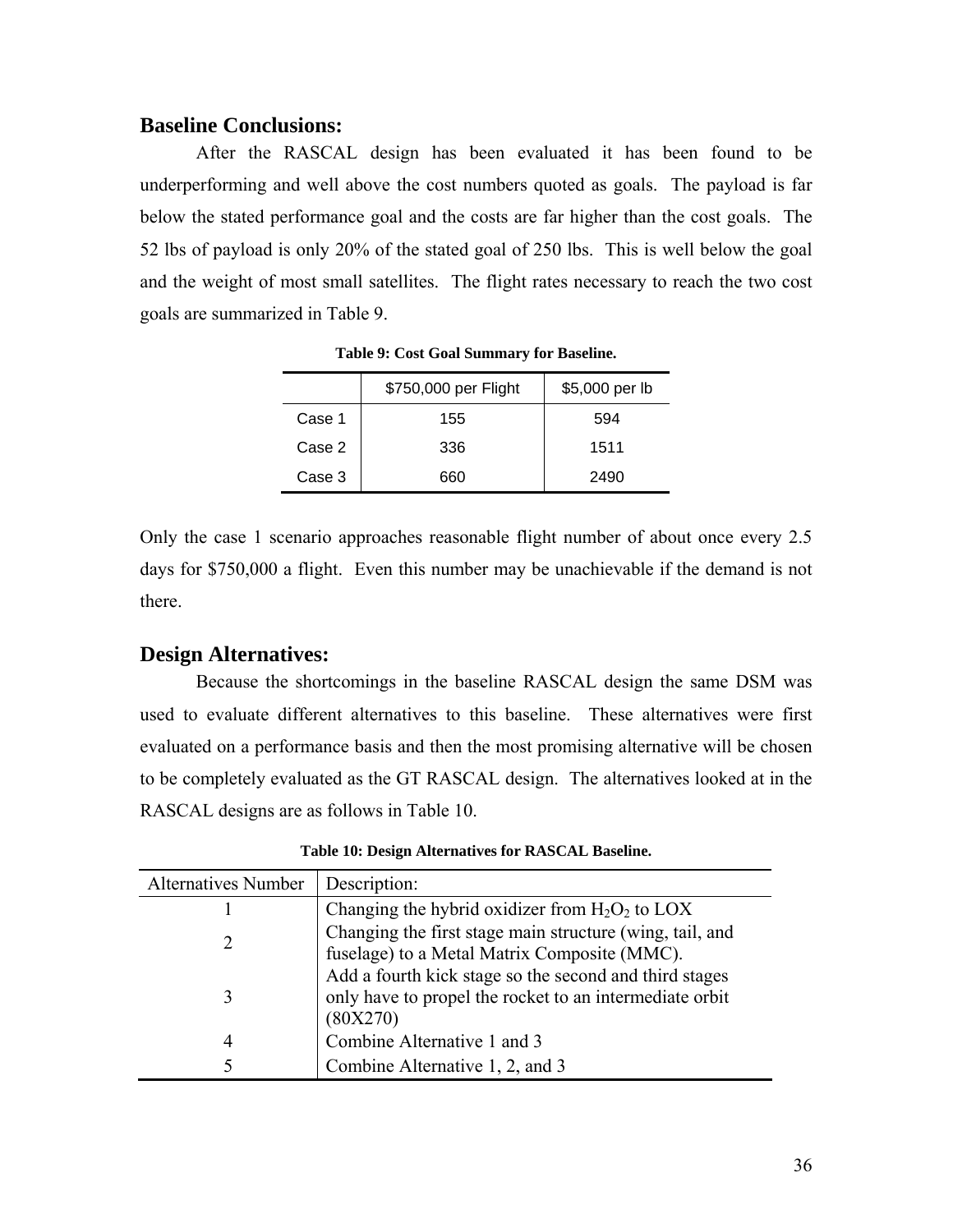#### **Baseline Conclusions:**

 After the RASCAL design has been evaluated it has been found to be underperforming and well above the cost numbers quoted as goals. The payload is far below the stated performance goal and the costs are far higher than the cost goals. The 52 lbs of payload is only 20% of the stated goal of 250 lbs. This is well below the goal and the weight of most small satellites. The flight rates necessary to reach the two cost goals are summarized in Table 9.

|        | \$750,000 per Flight | \$5,000 per lb |
|--------|----------------------|----------------|
| Case 1 | 155                  | 594            |
| Case 2 | 336                  | 1511           |
| Case 3 | 660                  | 2490           |

**Table 9: Cost Goal Summary for Baseline.** 

Only the case 1 scenario approaches reasonable flight number of about once every 2.5 days for \$750,000 a flight. Even this number may be unachievable if the demand is not there.

#### **Design Alternatives:**

 Because the shortcomings in the baseline RASCAL design the same DSM was used to evaluate different alternatives to this baseline. These alternatives were first evaluated on a performance basis and then the most promising alternative will be chosen to be completely evaluated as the GT RASCAL design. The alternatives looked at in the RASCAL designs are as follows in Table 10.

| <b>Alternatives Number</b> | Description:                                                                                                                  |
|----------------------------|-------------------------------------------------------------------------------------------------------------------------------|
|                            | Changing the hybrid oxidizer from $H_2O_2$ to LOX                                                                             |
|                            | Changing the first stage main structure (wing, tail, and<br>fuselage) to a Metal Matrix Composite (MMC).                      |
|                            | Add a fourth kick stage so the second and third stages<br>only have to propel the rocket to an intermediate orbit<br>(80X270) |
| 4                          | Combine Alternative 1 and 3                                                                                                   |
|                            | Combine Alternative 1, 2, and 3                                                                                               |

**Table 10: Design Alternatives for RASCAL Baseline.**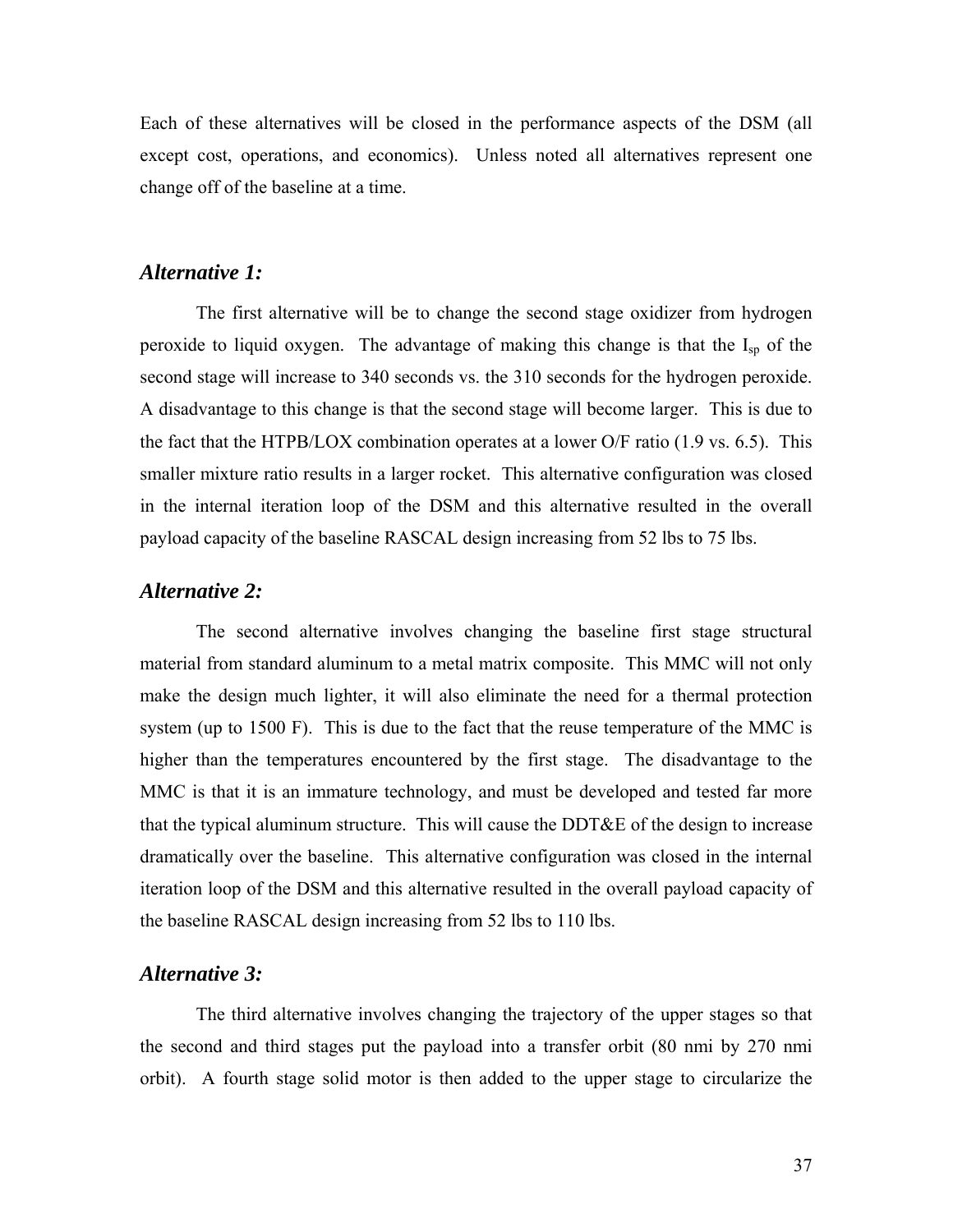Each of these alternatives will be closed in the performance aspects of the DSM (all except cost, operations, and economics). Unless noted all alternatives represent one change off of the baseline at a time.

#### *Alternative 1:*

 The first alternative will be to change the second stage oxidizer from hydrogen peroxide to liquid oxygen. The advantage of making this change is that the  $I_{\rm SD}$  of the second stage will increase to 340 seconds vs. the 310 seconds for the hydrogen peroxide. A disadvantage to this change is that the second stage will become larger. This is due to the fact that the HTPB/LOX combination operates at a lower O/F ratio (1.9 vs. 6.5). This smaller mixture ratio results in a larger rocket. This alternative configuration was closed in the internal iteration loop of the DSM and this alternative resulted in the overall payload capacity of the baseline RASCAL design increasing from 52 lbs to 75 lbs.

#### *Alternative 2:*

 The second alternative involves changing the baseline first stage structural material from standard aluminum to a metal matrix composite. This MMC will not only make the design much lighter, it will also eliminate the need for a thermal protection system (up to 1500 F). This is due to the fact that the reuse temperature of the MMC is higher than the temperatures encountered by the first stage. The disadvantage to the MMC is that it is an immature technology, and must be developed and tested far more that the typical aluminum structure. This will cause the DDT&E of the design to increase dramatically over the baseline. This alternative configuration was closed in the internal iteration loop of the DSM and this alternative resulted in the overall payload capacity of the baseline RASCAL design increasing from 52 lbs to 110 lbs.

#### *Alternative 3:*

 The third alternative involves changing the trajectory of the upper stages so that the second and third stages put the payload into a transfer orbit (80 nmi by 270 nmi orbit). A fourth stage solid motor is then added to the upper stage to circularize the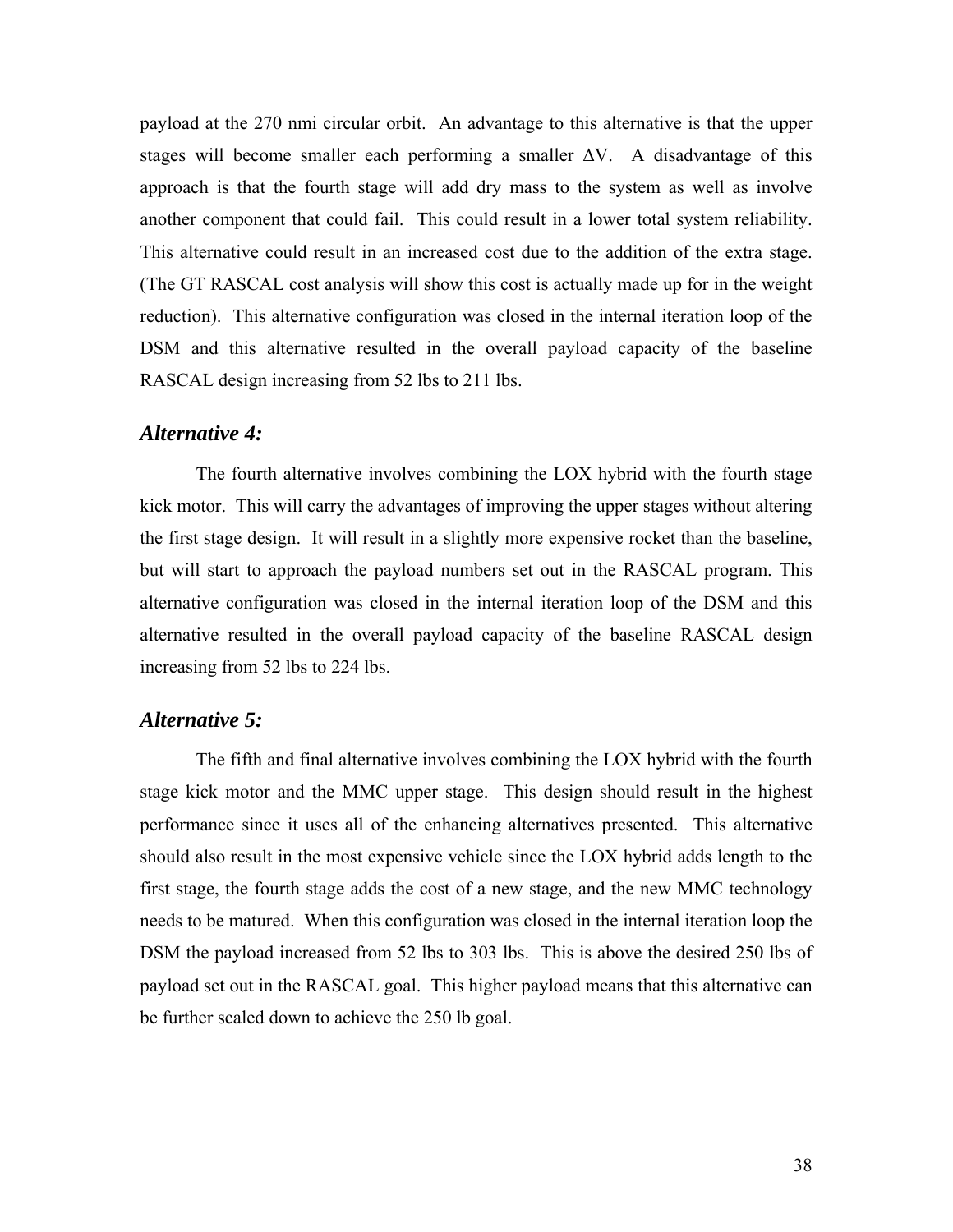payload at the 270 nmi circular orbit. An advantage to this alternative is that the upper stages will become smaller each performing a smaller  $\Delta V$ . A disadvantage of this approach is that the fourth stage will add dry mass to the system as well as involve another component that could fail. This could result in a lower total system reliability. This alternative could result in an increased cost due to the addition of the extra stage. (The GT RASCAL cost analysis will show this cost is actually made up for in the weight reduction). This alternative configuration was closed in the internal iteration loop of the DSM and this alternative resulted in the overall payload capacity of the baseline RASCAL design increasing from 52 lbs to 211 lbs.

#### *Alternative 4:*

 The fourth alternative involves combining the LOX hybrid with the fourth stage kick motor. This will carry the advantages of improving the upper stages without altering the first stage design. It will result in a slightly more expensive rocket than the baseline, but will start to approach the payload numbers set out in the RASCAL program. This alternative configuration was closed in the internal iteration loop of the DSM and this alternative resulted in the overall payload capacity of the baseline RASCAL design increasing from 52 lbs to 224 lbs.

#### *Alternative 5:*

 The fifth and final alternative involves combining the LOX hybrid with the fourth stage kick motor and the MMC upper stage. This design should result in the highest performance since it uses all of the enhancing alternatives presented. This alternative should also result in the most expensive vehicle since the LOX hybrid adds length to the first stage, the fourth stage adds the cost of a new stage, and the new MMC technology needs to be matured. When this configuration was closed in the internal iteration loop the DSM the payload increased from 52 lbs to 303 lbs. This is above the desired 250 lbs of payload set out in the RASCAL goal. This higher payload means that this alternative can be further scaled down to achieve the 250 lb goal.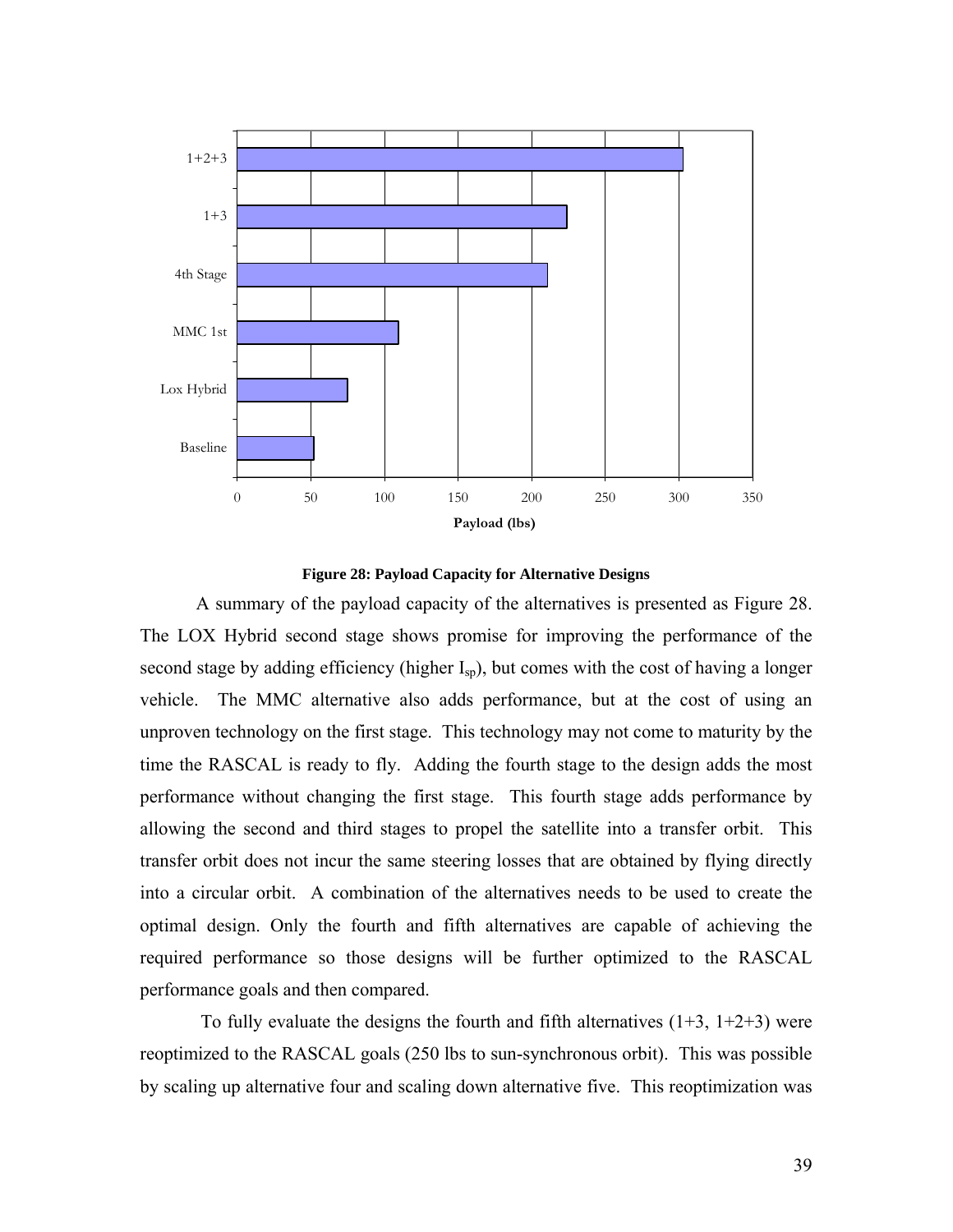



A summary of the payload capacity of the alternatives is presented as Figure 28. The LOX Hybrid second stage shows promise for improving the performance of the second stage by adding efficiency (higher  $I_{\rm SD}$ ), but comes with the cost of having a longer vehicle. The MMC alternative also adds performance, but at the cost of using an unproven technology on the first stage. This technology may not come to maturity by the time the RASCAL is ready to fly. Adding the fourth stage to the design adds the most performance without changing the first stage. This fourth stage adds performance by allowing the second and third stages to propel the satellite into a transfer orbit. This transfer orbit does not incur the same steering losses that are obtained by flying directly into a circular orbit. A combination of the alternatives needs to be used to create the optimal design. Only the fourth and fifth alternatives are capable of achieving the required performance so those designs will be further optimized to the RASCAL performance goals and then compared.

To fully evaluate the designs the fourth and fifth alternatives  $(1+3, 1+2+3)$  were reoptimized to the RASCAL goals (250 lbs to sun-synchronous orbit). This was possible by scaling up alternative four and scaling down alternative five. This reoptimization was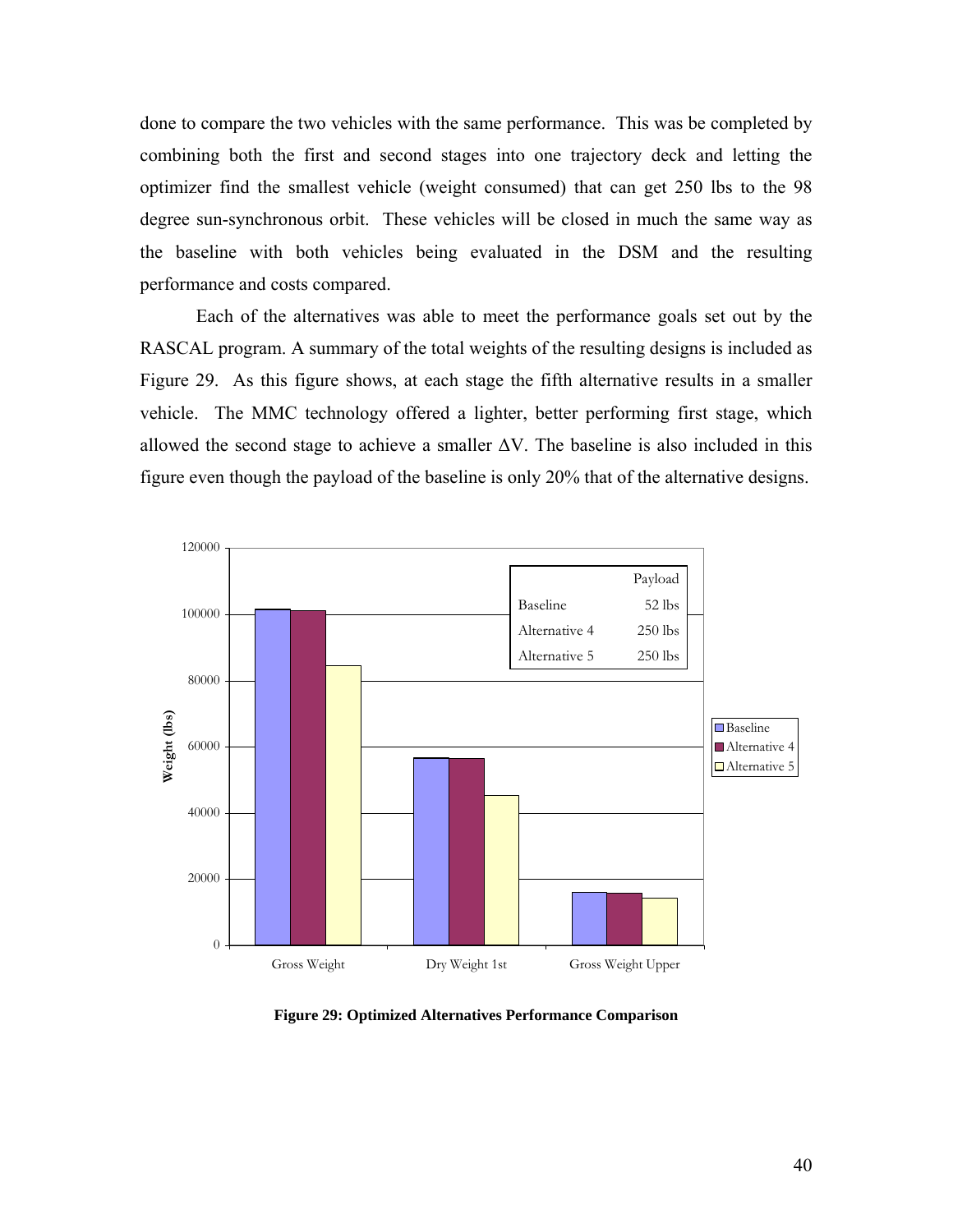done to compare the two vehicles with the same performance. This was be completed by combining both the first and second stages into one trajectory deck and letting the optimizer find the smallest vehicle (weight consumed) that can get 250 lbs to the 98 degree sun-synchronous orbit. These vehicles will be closed in much the same way as the baseline with both vehicles being evaluated in the DSM and the resulting performance and costs compared.

Each of the alternatives was able to meet the performance goals set out by the RASCAL program. A summary of the total weights of the resulting designs is included as Figure 29. As this figure shows, at each stage the fifth alternative results in a smaller vehicle. The MMC technology offered a lighter, better performing first stage, which allowed the second stage to achieve a smaller  $\Delta V$ . The baseline is also included in this figure even though the payload of the baseline is only 20% that of the alternative designs.



**Figure 29: Optimized Alternatives Performance Comparison**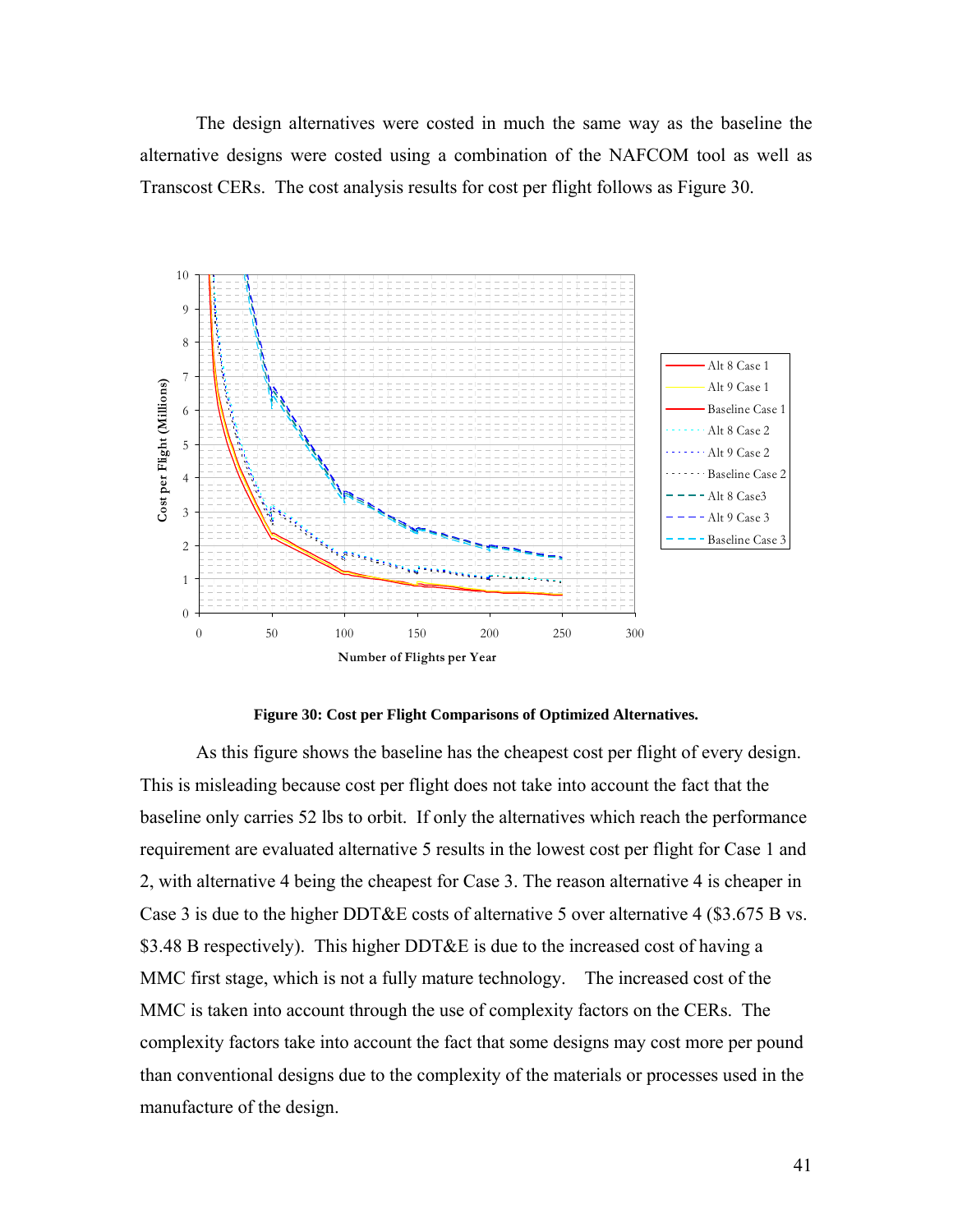The design alternatives were costed in much the same way as the baseline the alternative designs were costed using a combination of the NAFCOM tool as well as Transcost CERs. The cost analysis results for cost per flight follows as Figure 30.



**Figure 30: Cost per Flight Comparisons of Optimized Alternatives.** 

 As this figure shows the baseline has the cheapest cost per flight of every design. This is misleading because cost per flight does not take into account the fact that the baseline only carries 52 lbs to orbit. If only the alternatives which reach the performance requirement are evaluated alternative 5 results in the lowest cost per flight for Case 1 and 2, with alternative 4 being the cheapest for Case 3. The reason alternative 4 is cheaper in Case 3 is due to the higher DDT&E costs of alternative 5 over alternative 4 (\$3.675 B vs. \$3.48 B respectively). This higher DDT&E is due to the increased cost of having a MMC first stage, which is not a fully mature technology. The increased cost of the MMC is taken into account through the use of complexity factors on the CERs. The complexity factors take into account the fact that some designs may cost more per pound than conventional designs due to the complexity of the materials or processes used in the manufacture of the design.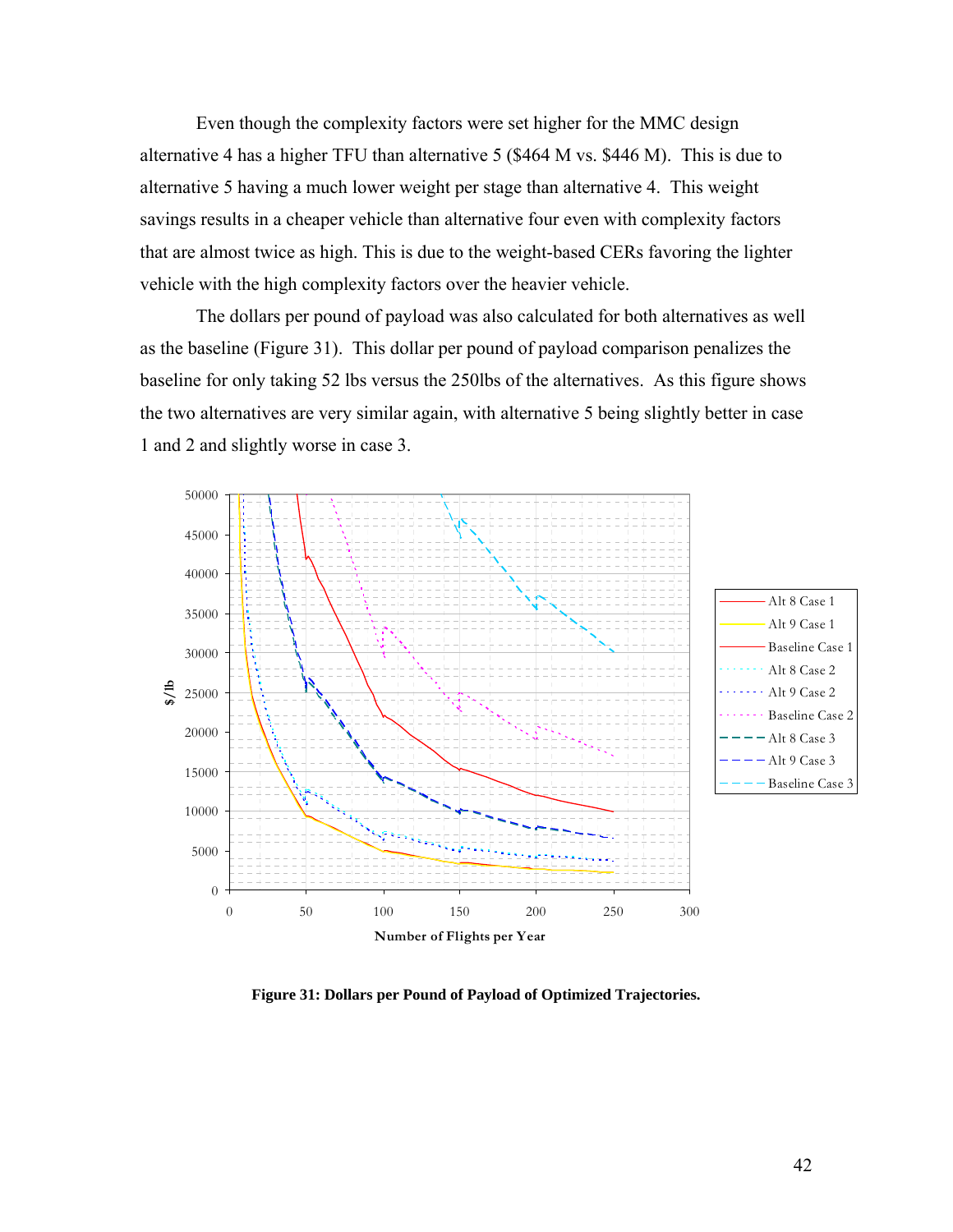Even though the complexity factors were set higher for the MMC design alternative 4 has a higher TFU than alternative 5 (\$464 M vs. \$446 M). This is due to alternative 5 having a much lower weight per stage than alternative 4. This weight savings results in a cheaper vehicle than alternative four even with complexity factors that are almost twice as high. This is due to the weight-based CERs favoring the lighter vehicle with the high complexity factors over the heavier vehicle.

 The dollars per pound of payload was also calculated for both alternatives as well as the baseline (Figure 31). This dollar per pound of payload comparison penalizes the baseline for only taking 52 lbs versus the 250lbs of the alternatives. As this figure shows the two alternatives are very similar again, with alternative 5 being slightly better in case 1 and 2 and slightly worse in case 3.



**Figure 31: Dollars per Pound of Payload of Optimized Trajectories.**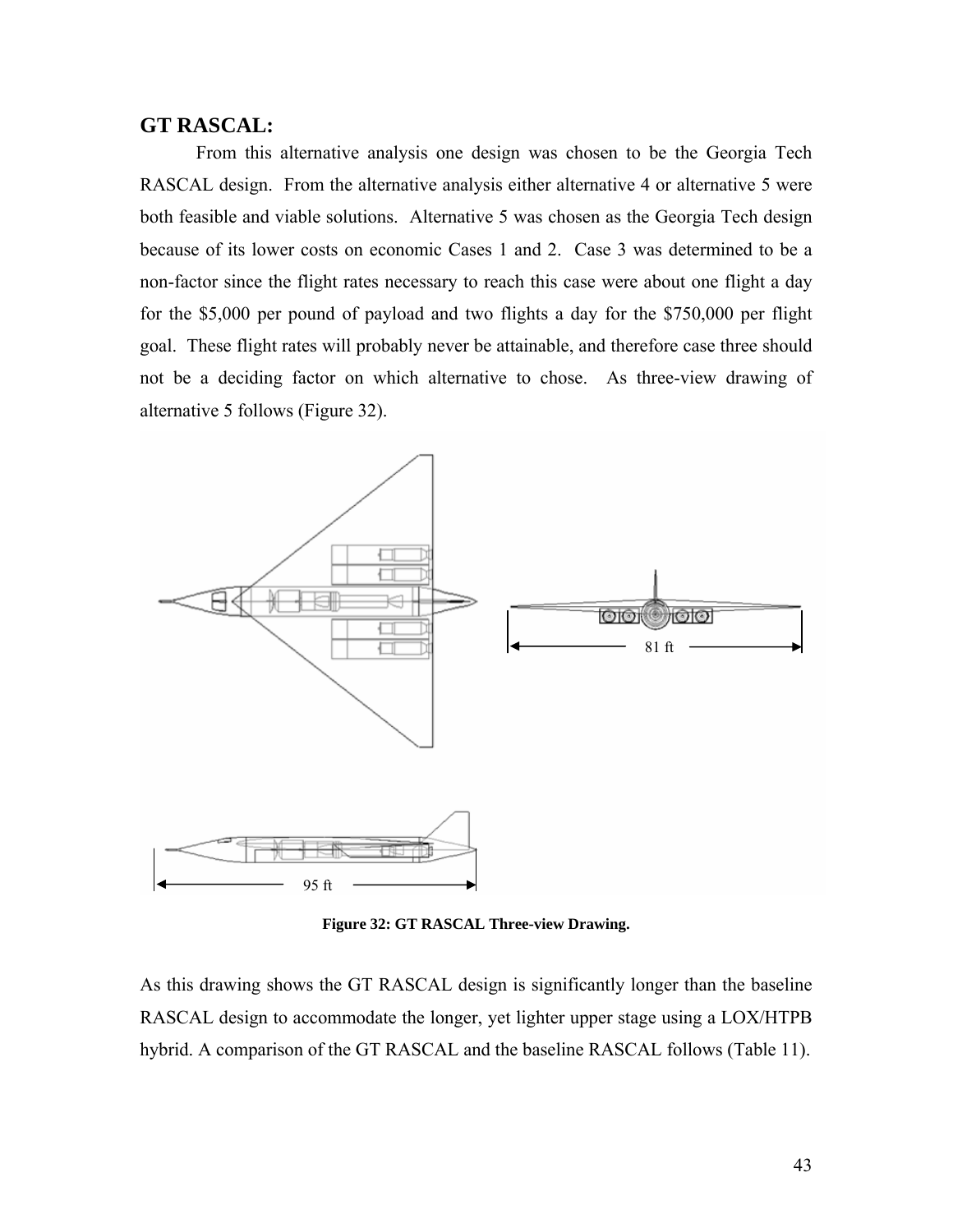#### **GT RASCAL:**

 From this alternative analysis one design was chosen to be the Georgia Tech RASCAL design. From the alternative analysis either alternative 4 or alternative 5 were both feasible and viable solutions. Alternative 5 was chosen as the Georgia Tech design because of its lower costs on economic Cases 1 and 2. Case 3 was determined to be a non-factor since the flight rates necessary to reach this case were about one flight a day for the \$5,000 per pound of payload and two flights a day for the \$750,000 per flight goal. These flight rates will probably never be attainable, and therefore case three should not be a deciding factor on which alternative to chose. As three-view drawing of alternative 5 follows (Figure 32).



**Figure 32: GT RASCAL Three-view Drawing.** 

As this drawing shows the GT RASCAL design is significantly longer than the baseline RASCAL design to accommodate the longer, yet lighter upper stage using a LOX/HTPB hybrid. A comparison of the GT RASCAL and the baseline RASCAL follows (Table 11).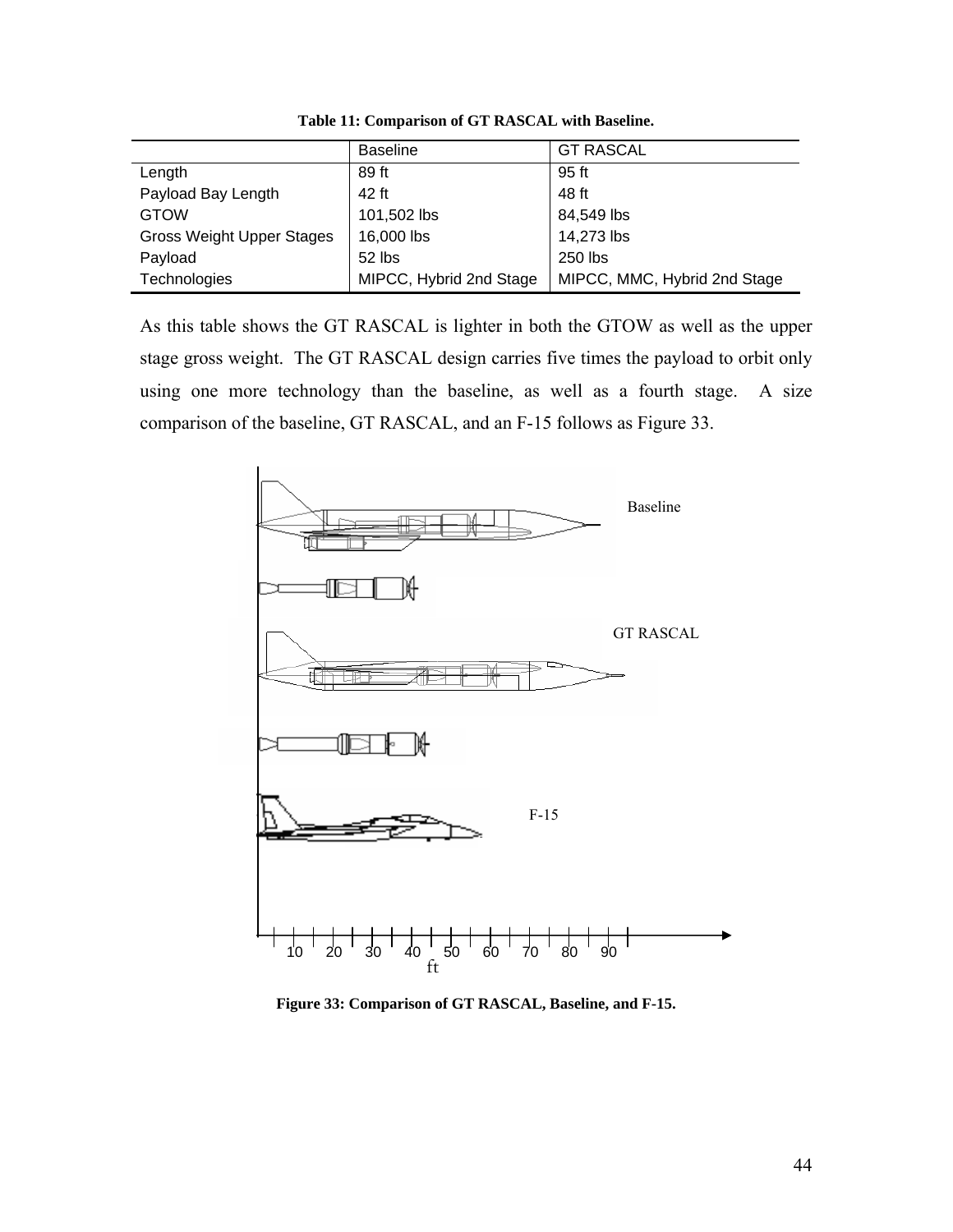|                                  | <b>Baseline</b>         | <b>GT RASCAL</b>             |
|----------------------------------|-------------------------|------------------------------|
| Length                           | 89 ft                   | 95 ft                        |
| Payload Bay Length               | 42 ft                   | 48 ft                        |
| <b>GTOW</b>                      | 101,502 lbs             | 84,549 lbs                   |
| <b>Gross Weight Upper Stages</b> | 16,000 lbs              | 14,273 lbs                   |
| Payload                          | 52 lbs                  | 250 lbs                      |
| <b>Technologies</b>              | MIPCC, Hybrid 2nd Stage | MIPCC, MMC, Hybrid 2nd Stage |

**Table 11: Comparison of GT RASCAL with Baseline.** 

As this table shows the GT RASCAL is lighter in both the GTOW as well as the upper stage gross weight. The GT RASCAL design carries five times the payload to orbit only using one more technology than the baseline, as well as a fourth stage. A size comparison of the baseline, GT RASCAL, and an F-15 follows as Figure 33.



**Figure 33: Comparison of GT RASCAL, Baseline, and F-15.**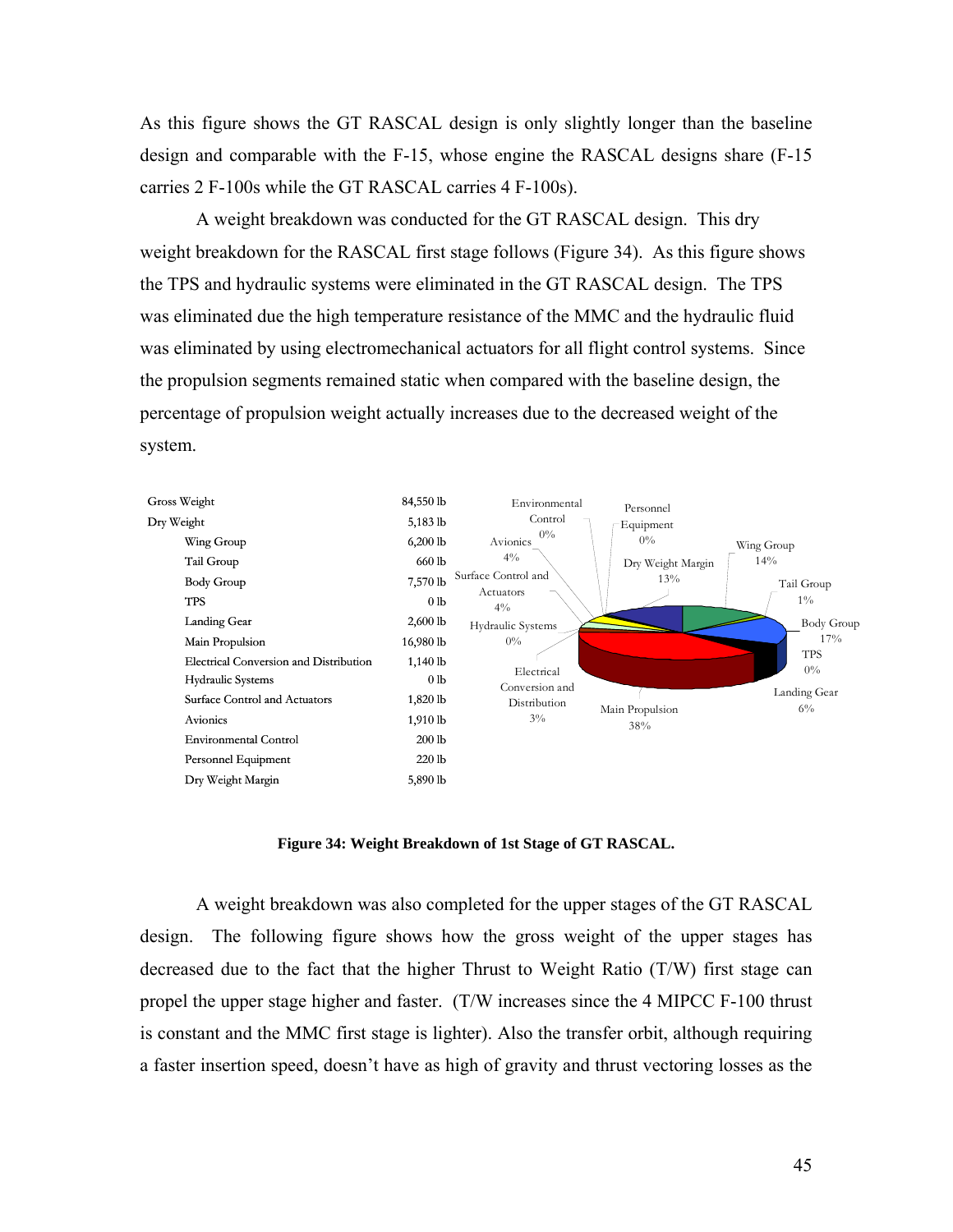As this figure shows the GT RASCAL design is only slightly longer than the baseline design and comparable with the F-15, whose engine the RASCAL designs share (F-15 carries 2 F-100s while the GT RASCAL carries 4 F-100s).

 A weight breakdown was conducted for the GT RASCAL design. This dry weight breakdown for the RASCAL first stage follows (Figure 34). As this figure shows the TPS and hydraulic systems were eliminated in the GT RASCAL design. The TPS was eliminated due the high temperature resistance of the MMC and the hydraulic fluid was eliminated by using electromechanical actuators for all flight control systems. Since the propulsion segments remained static when compared with the baseline design, the percentage of propulsion weight actually increases due to the decreased weight of the system.



**Figure 34: Weight Breakdown of 1st Stage of GT RASCAL.** 

A weight breakdown was also completed for the upper stages of the GT RASCAL design. The following figure shows how the gross weight of the upper stages has decreased due to the fact that the higher Thrust to Weight Ratio (T/W) first stage can propel the upper stage higher and faster. (T/W increases since the 4 MIPCC F-100 thrust is constant and the MMC first stage is lighter). Also the transfer orbit, although requiring a faster insertion speed, doesn't have as high of gravity and thrust vectoring losses as the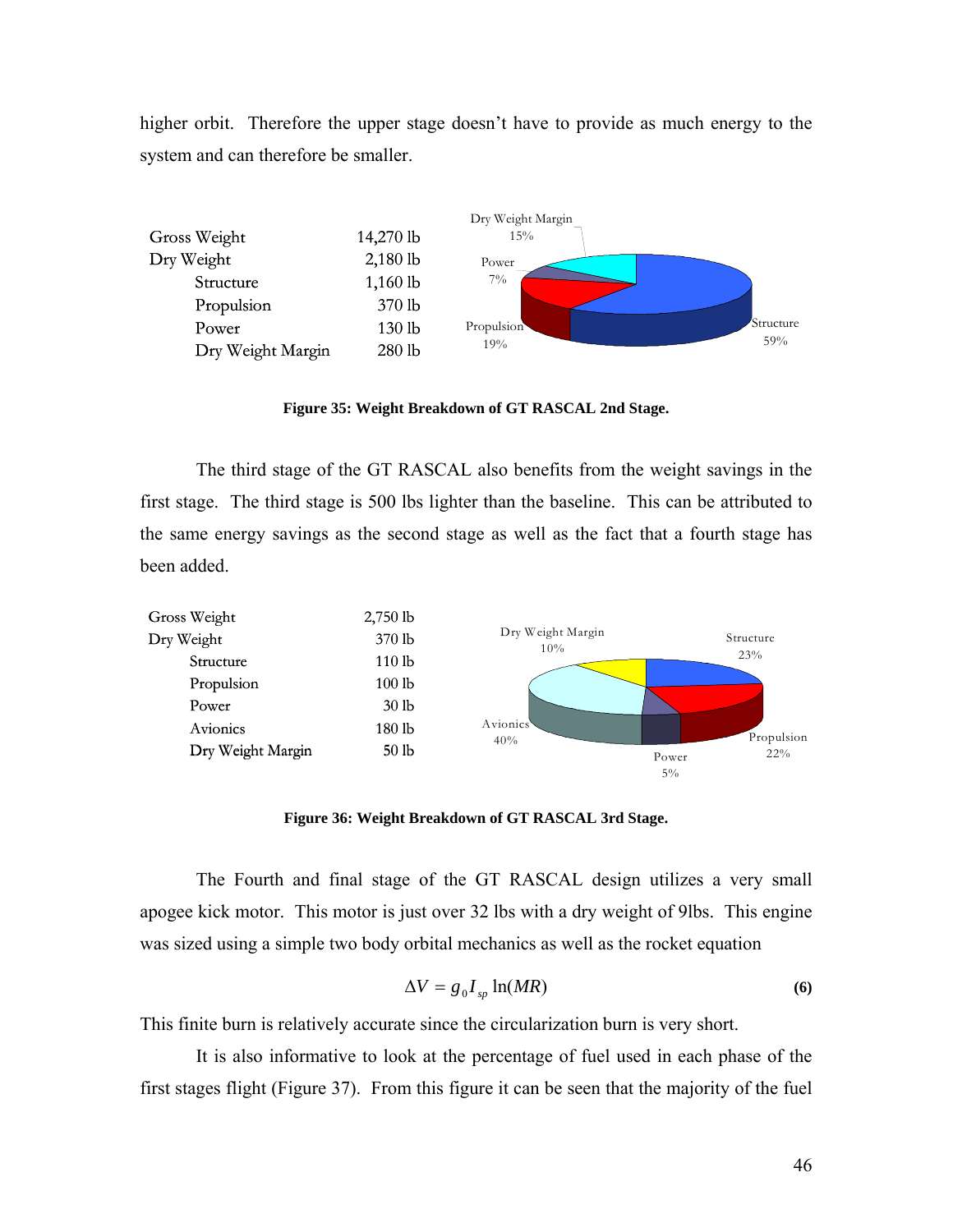higher orbit. Therefore the upper stage doesn't have to provide as much energy to the system and can therefore be smaller.



**Figure 35: Weight Breakdown of GT RASCAL 2nd Stage.** 

The third stage of the GT RASCAL also benefits from the weight savings in the first stage. The third stage is 500 lbs lighter than the baseline. This can be attributed to the same energy savings as the second stage as well as the fact that a fourth stage has been added.



**Figure 36: Weight Breakdown of GT RASCAL 3rd Stage.** 

The Fourth and final stage of the GT RASCAL design utilizes a very small apogee kick motor. This motor is just over 32 lbs with a dry weight of 9lbs. This engine was sized using a simple two body orbital mechanics as well as the rocket equation

$$
\Delta V = g_0 I_{sp} \ln(MR) \tag{6}
$$

This finite burn is relatively accurate since the circularization burn is very short.

 It is also informative to look at the percentage of fuel used in each phase of the first stages flight (Figure 37). From this figure it can be seen that the majority of the fuel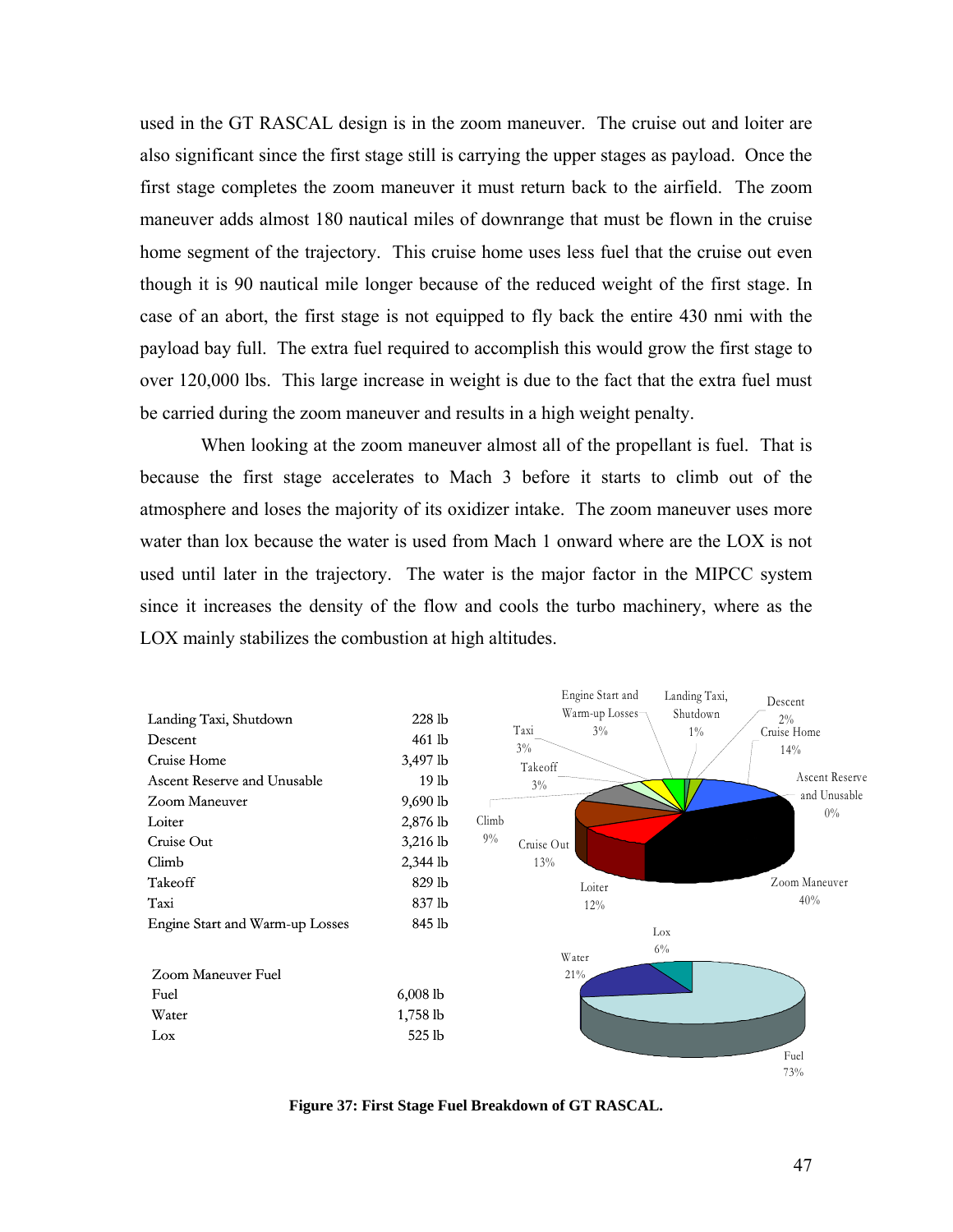used in the GT RASCAL design is in the zoom maneuver. The cruise out and loiter are also significant since the first stage still is carrying the upper stages as payload. Once the first stage completes the zoom maneuver it must return back to the airfield. The zoom maneuver adds almost 180 nautical miles of downrange that must be flown in the cruise home segment of the trajectory. This cruise home uses less fuel that the cruise out even though it is 90 nautical mile longer because of the reduced weight of the first stage. In case of an abort, the first stage is not equipped to fly back the entire 430 nmi with the payload bay full. The extra fuel required to accomplish this would grow the first stage to over 120,000 lbs. This large increase in weight is due to the fact that the extra fuel must be carried during the zoom maneuver and results in a high weight penalty.

 When looking at the zoom maneuver almost all of the propellant is fuel. That is because the first stage accelerates to Mach 3 before it starts to climb out of the atmosphere and loses the majority of its oxidizer intake. The zoom maneuver uses more water than lox because the water is used from Mach 1 onward where are the LOX is not used until later in the trajectory. The water is the major factor in the MIPCC system since it increases the density of the flow and cools the turbo machinery, where as the LOX mainly stabilizes the combustion at high altitudes.



**Figure 37: First Stage Fuel Breakdown of GT RASCAL.**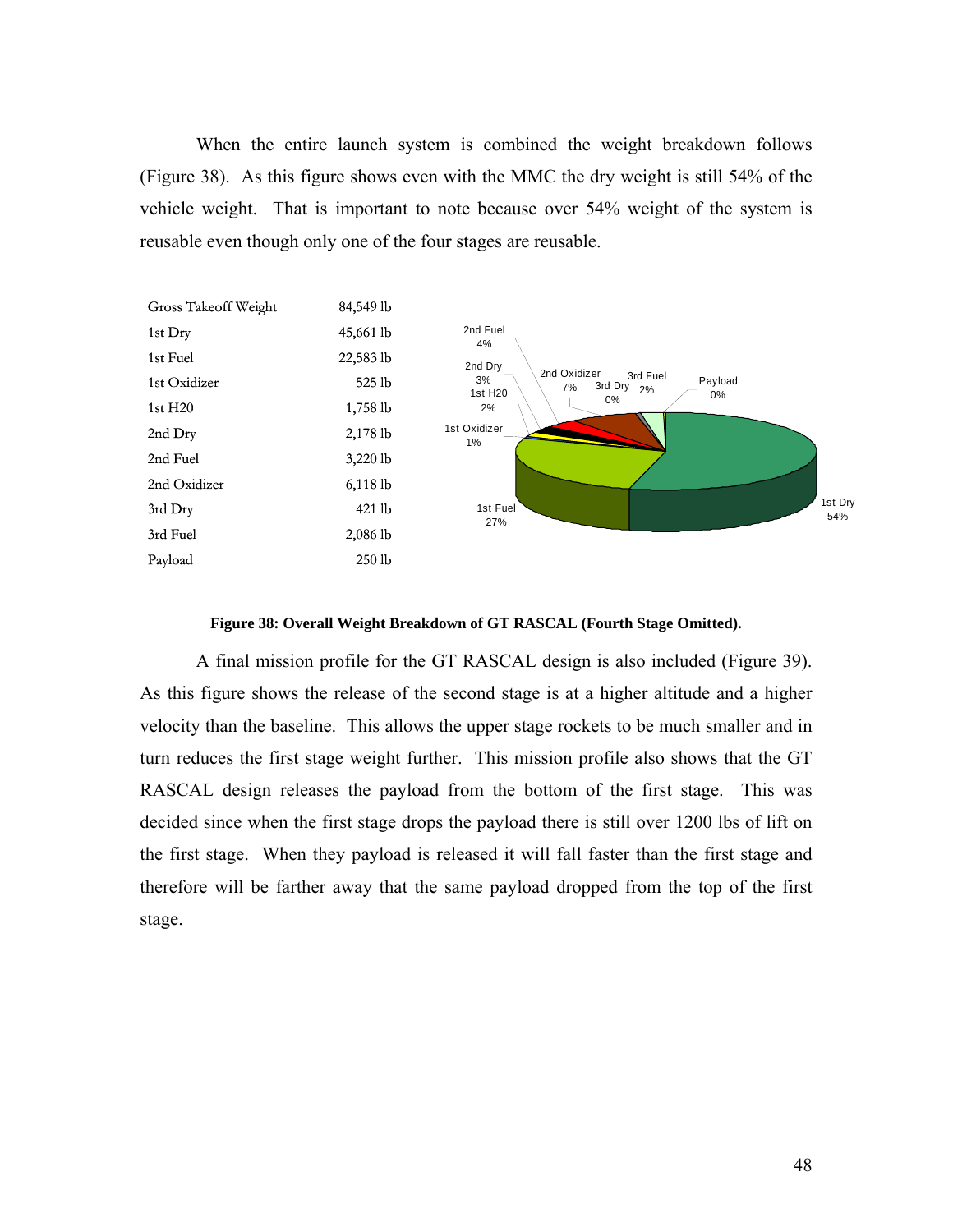When the entire launch system is combined the weight breakdown follows (Figure 38). As this figure shows even with the MMC the dry weight is still 54% of the vehicle weight. That is important to note because over 54% weight of the system is reusable even though only one of the four stages are reusable.



#### **Figure 38: Overall Weight Breakdown of GT RASCAL (Fourth Stage Omitted).**

 A final mission profile for the GT RASCAL design is also included (Figure 39). As this figure shows the release of the second stage is at a higher altitude and a higher velocity than the baseline. This allows the upper stage rockets to be much smaller and in turn reduces the first stage weight further. This mission profile also shows that the GT RASCAL design releases the payload from the bottom of the first stage. This was decided since when the first stage drops the payload there is still over 1200 lbs of lift on the first stage. When they payload is released it will fall faster than the first stage and therefore will be farther away that the same payload dropped from the top of the first stage.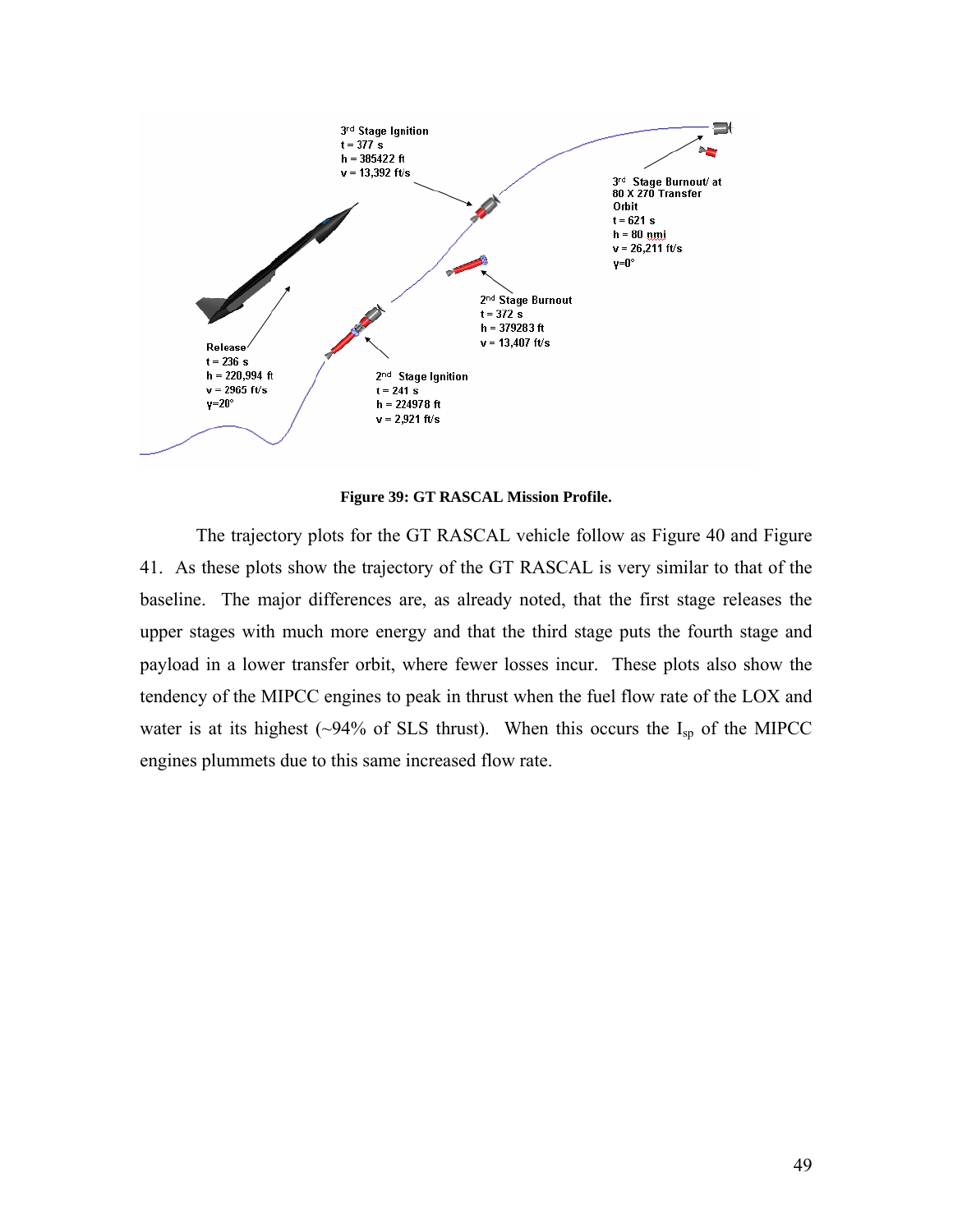

**Figure 39: GT RASCAL Mission Profile.** 

 The trajectory plots for the GT RASCAL vehicle follow as Figure 40 and Figure 41. As these plots show the trajectory of the GT RASCAL is very similar to that of the baseline. The major differences are, as already noted, that the first stage releases the upper stages with much more energy and that the third stage puts the fourth stage and payload in a lower transfer orbit, where fewer losses incur. These plots also show the tendency of the MIPCC engines to peak in thrust when the fuel flow rate of the LOX and water is at its highest  $(\sim)4\%$  of SLS thrust). When this occurs the I<sub>sp</sub> of the MIPCC engines plummets due to this same increased flow rate.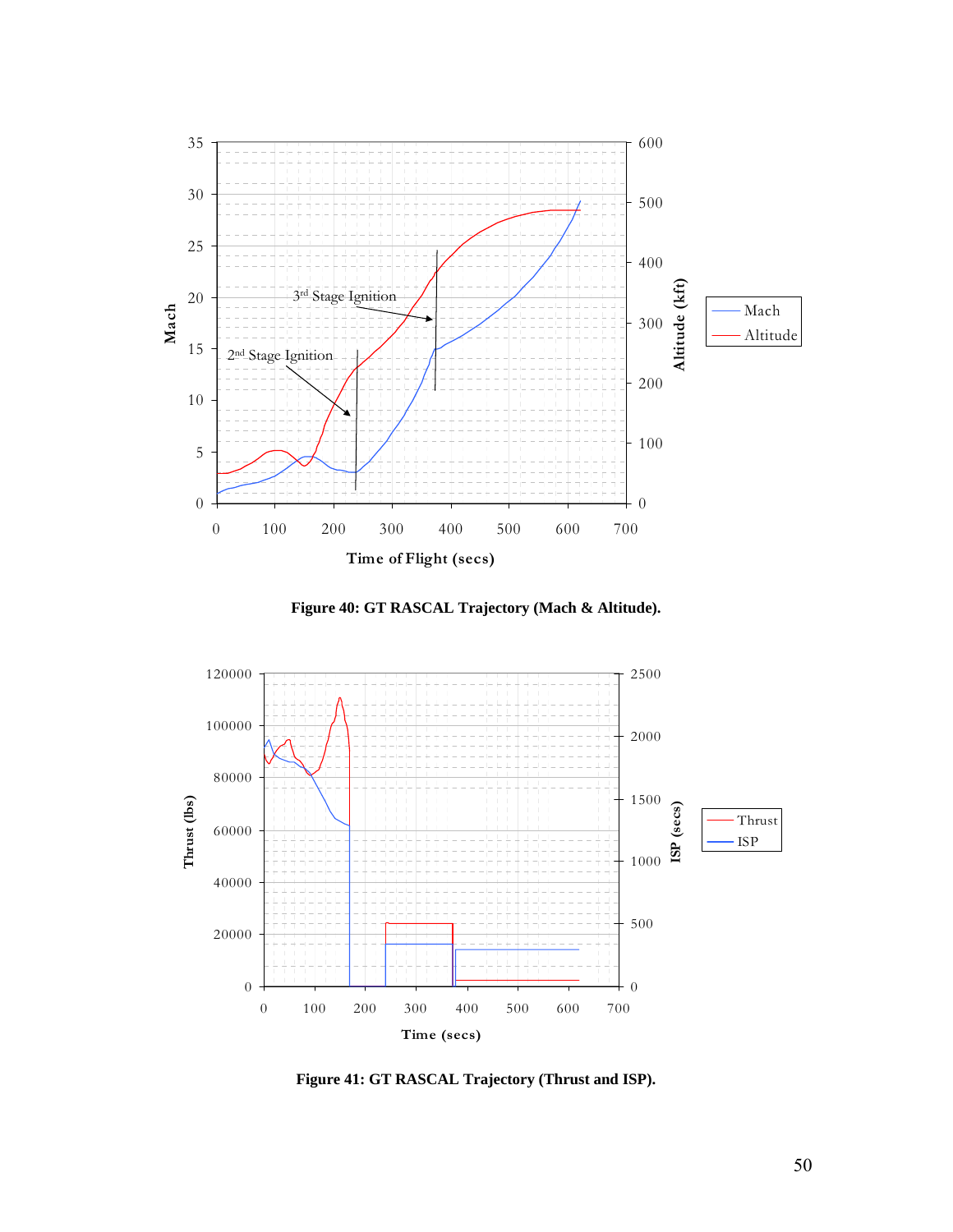

**Time of Flight (secs)**

**Figure 40: GT RASCAL Trajectory (Mach & Altitude).** 



**Figure 41: GT RASCAL Trajectory (Thrust and ISP).**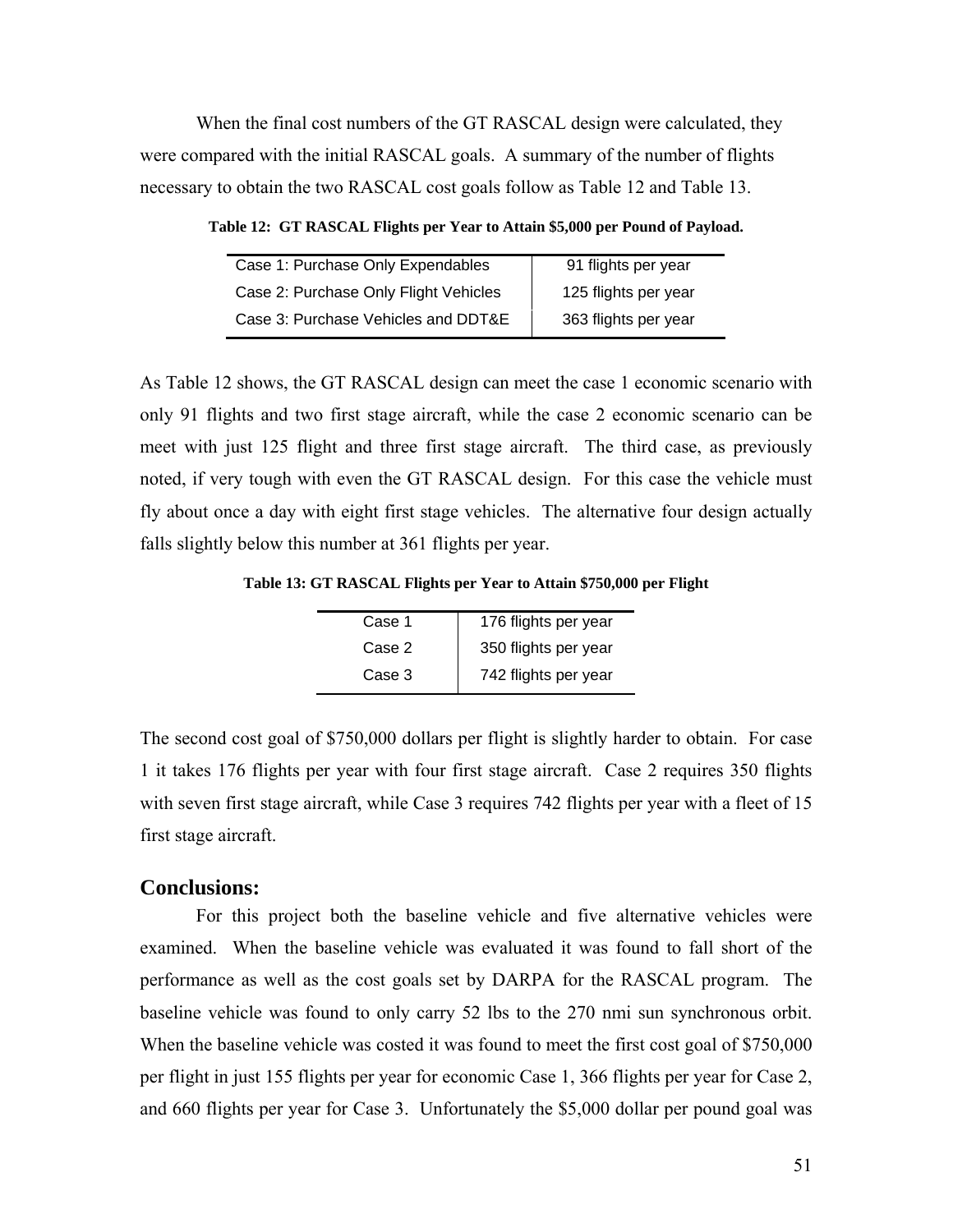When the final cost numbers of the GT RASCAL design were calculated, they were compared with the initial RASCAL goals. A summary of the number of flights necessary to obtain the two RASCAL cost goals follow as Table 12 and Table 13.

**Table 12: GT RASCAL Flights per Year to Attain \$5,000 per Pound of Payload.** 

| Case 1: Purchase Only Expendables     | 91 flights per year  |
|---------------------------------------|----------------------|
| Case 2: Purchase Only Flight Vehicles | 125 flights per year |
| Case 3: Purchase Vehicles and DDT&E   | 363 flights per year |

As Table 12 shows, the GT RASCAL design can meet the case 1 economic scenario with only 91 flights and two first stage aircraft, while the case 2 economic scenario can be meet with just 125 flight and three first stage aircraft. The third case, as previously noted, if very tough with even the GT RASCAL design. For this case the vehicle must fly about once a day with eight first stage vehicles. The alternative four design actually falls slightly below this number at 361 flights per year.

**Table 13: GT RASCAL Flights per Year to Attain \$750,000 per Flight** 

| Case 1 | 176 flights per year |
|--------|----------------------|
| Case 2 | 350 flights per year |
| Case 3 | 742 flights per year |

The second cost goal of \$750,000 dollars per flight is slightly harder to obtain. For case 1 it takes 176 flights per year with four first stage aircraft. Case 2 requires 350 flights with seven first stage aircraft, while Case 3 requires 742 flights per year with a fleet of 15 first stage aircraft.

#### **Conclusions:**

For this project both the baseline vehicle and five alternative vehicles were examined. When the baseline vehicle was evaluated it was found to fall short of the performance as well as the cost goals set by DARPA for the RASCAL program. The baseline vehicle was found to only carry 52 lbs to the 270 nmi sun synchronous orbit. When the baseline vehicle was costed it was found to meet the first cost goal of \$750,000 per flight in just 155 flights per year for economic Case 1, 366 flights per year for Case 2, and 660 flights per year for Case 3. Unfortunately the \$5,000 dollar per pound goal was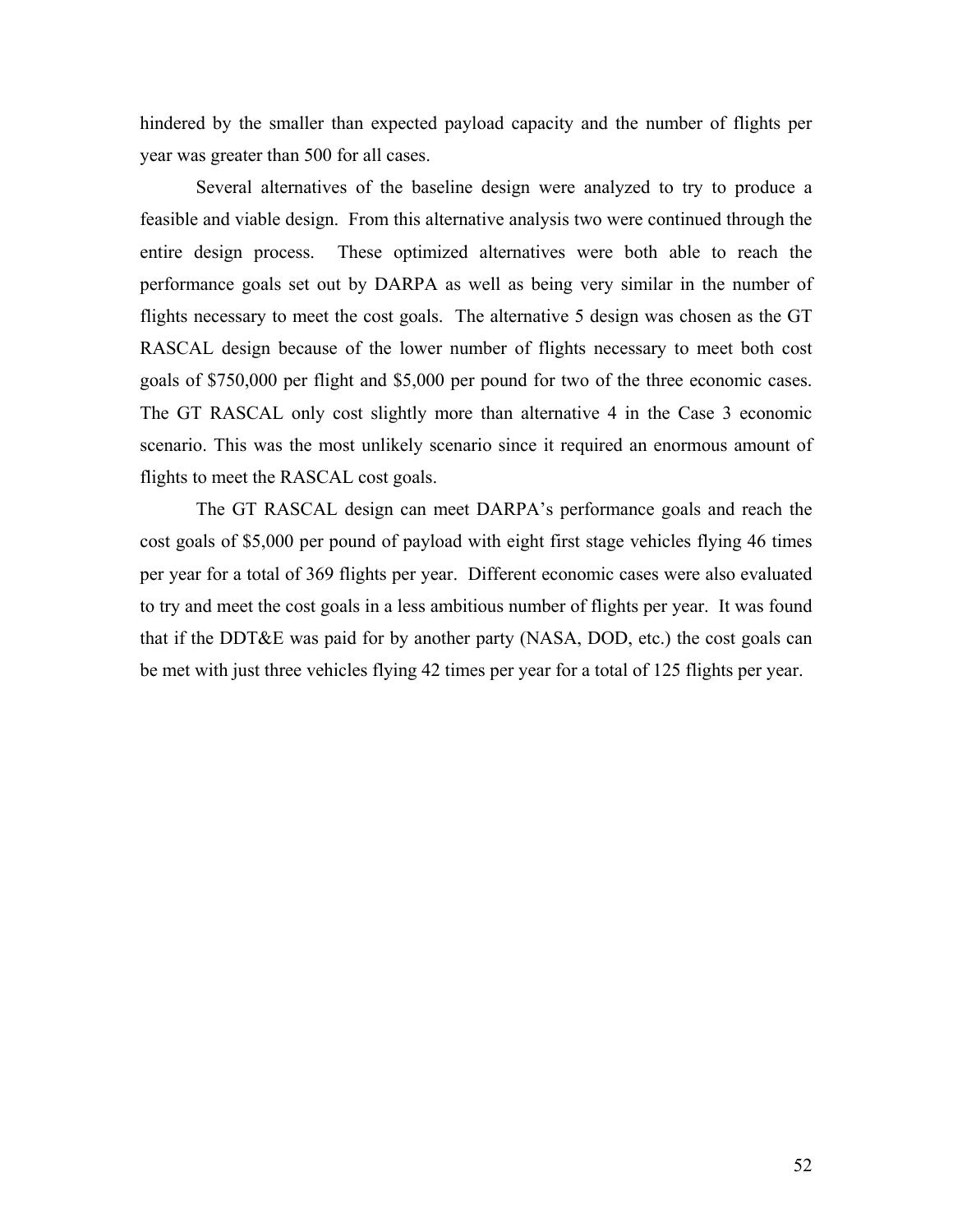hindered by the smaller than expected payload capacity and the number of flights per year was greater than 500 for all cases.

Several alternatives of the baseline design were analyzed to try to produce a feasible and viable design. From this alternative analysis two were continued through the entire design process. These optimized alternatives were both able to reach the performance goals set out by DARPA as well as being very similar in the number of flights necessary to meet the cost goals. The alternative 5 design was chosen as the GT RASCAL design because of the lower number of flights necessary to meet both cost goals of \$750,000 per flight and \$5,000 per pound for two of the three economic cases. The GT RASCAL only cost slightly more than alternative 4 in the Case 3 economic scenario. This was the most unlikely scenario since it required an enormous amount of flights to meet the RASCAL cost goals.

The GT RASCAL design can meet DARPA's performance goals and reach the cost goals of \$5,000 per pound of payload with eight first stage vehicles flying 46 times per year for a total of 369 flights per year. Different economic cases were also evaluated to try and meet the cost goals in a less ambitious number of flights per year. It was found that if the DDT&E was paid for by another party (NASA, DOD, etc.) the cost goals can be met with just three vehicles flying 42 times per year for a total of 125 flights per year.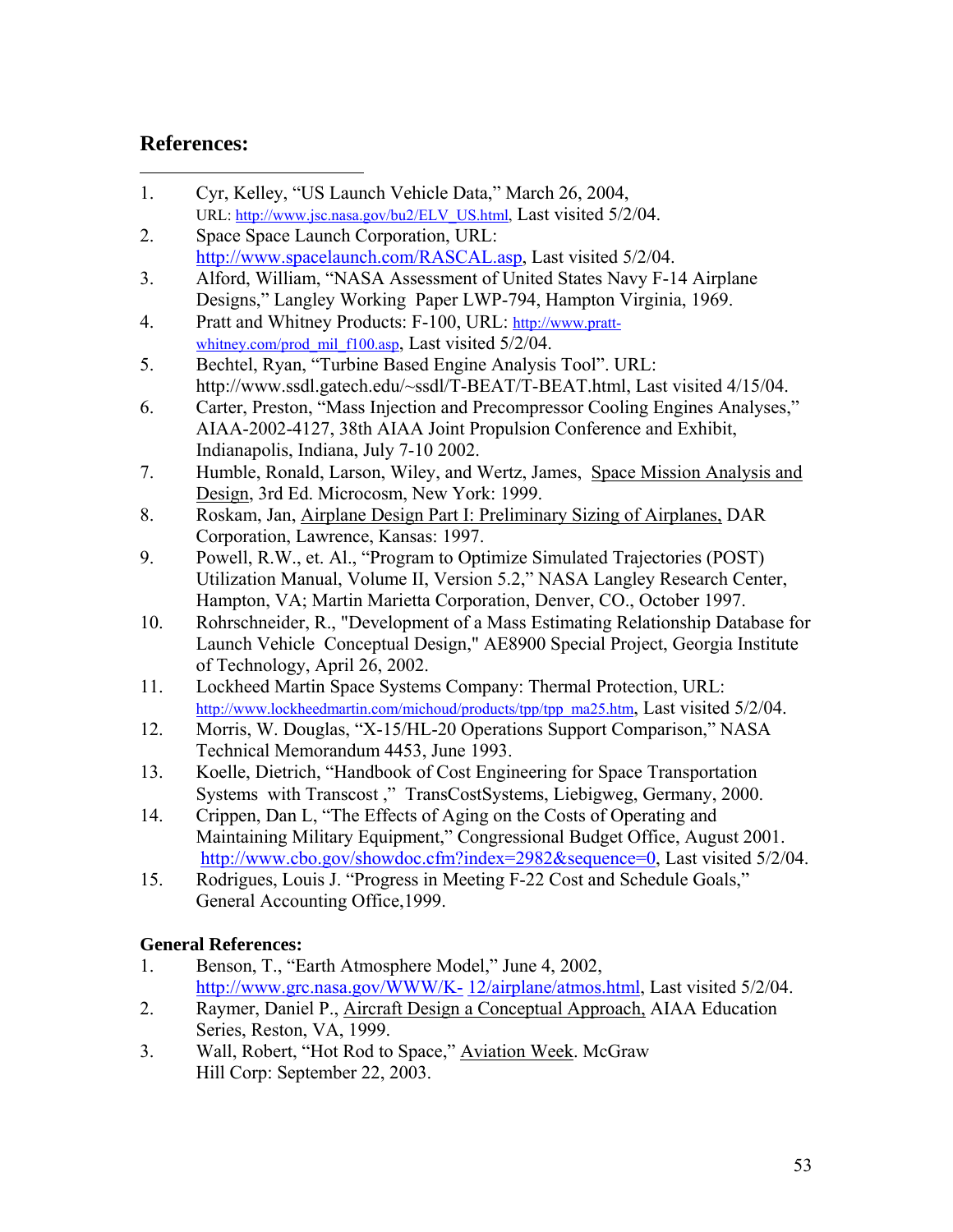# **References:**

- $\overline{a}$ 1. Cyr, Kelley, "US Launch Vehicle Data," March 26, 2004, URL: http://www.jsc.nasa.gov/bu2/ELV\_US.html, Last visited 5/2/04.
- 2. Space Space Launch Corporation, URL: http://www.spacelaunch.com/RASCAL.asp, Last visited 5/2/04.
- 3. Alford, William, "NASA Assessment of United States Navy F-14 Airplane Designs," Langley Working Paper LWP-794, Hampton Virginia, 1969.
- 4. Pratt and Whitney Products: F-100, URL: http://www.prattwhitney.com/prod\_mil\_f100.asp, Last visited 5/2/04.
- 5. Bechtel, Ryan, "Turbine Based Engine Analysis Tool". URL: http://www.ssdl.gatech.edu/~ssdl/T-BEAT/T-BEAT.html, Last visited 4/15/04.
- 6. Carter, Preston, "Mass Injection and Precompressor Cooling Engines Analyses," AIAA-2002-4127, 38th AIAA Joint Propulsion Conference and Exhibit, Indianapolis, Indiana, July 7-10 2002.
- 7. Humble, Ronald, Larson, Wiley, and Wertz, James, Space Mission Analysis and Design, 3rd Ed. Microcosm, New York: 1999.
- 8. Roskam, Jan, Airplane Design Part I: Preliminary Sizing of Airplanes, DAR Corporation, Lawrence, Kansas: 1997.<br>9. Powell, R.W., et. Al., "Program to Optic
- 9. Powell, R.W., et. Al., "Program to Optimize Simulated Trajectories (POST) Utilization Manual, Volume II, Version 5.2," NASA Langley Research Center, Hampton, VA; Martin Marietta Corporation, Denver, CO., October 1997.
- 10. Rohrschneider, R., "Development of a Mass Estimating Relationship Database for Launch Vehicle Conceptual Design," AE8900 Special Project, Georgia Institute of Technology, April 26, 2002.
- 11. Lockheed Martin Space Systems Company: Thermal Protection, URL: http://www.lockheedmartin.com/michoud/products/tpp/tpp\_ma25.htm, Last visited 5/2/04.
- 12. Morris, W. Douglas, "X-15/HL-20 Operations Support Comparison," NASA Technical Memorandum 4453, June 1993.
- 13. Koelle, Dietrich, "Handbook of Cost Engineering for Space Transportation Systems with Transcost ," TransCostSystems, Liebigweg, Germany, 2000.
- 14. Crippen, Dan L, "The Effects of Aging on the Costs of Operating and Maintaining Military Equipment," Congressional Budget Office, August 2001. http://www.cbo.gov/showdoc.cfm?index=2982&sequence=0, Last visited 5/2/04.
- 15. Rodrigues, Louis J. "Progress in Meeting F-22 Cost and Schedule Goals," General Accounting Office,1999.

# **General References:**

- 1. Benson, T., "Earth Atmosphere Model," June 4, 2002, http://www.grc.nasa.gov/WWW/K- 12/airplane/atmos.html, Last visited 5/2/04.
- 2. Raymer, Daniel P., Aircraft Design a Conceptual Approach, AIAA Education Series, Reston, VA, 1999.
- 3. Wall, Robert, "Hot Rod to Space," Aviation Week. McGraw Hill Corp: September 22, 2003.